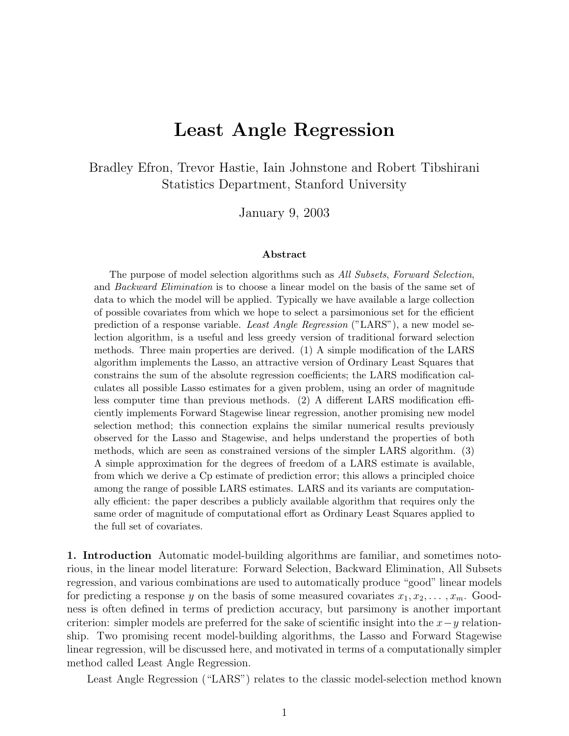# **Least Angle Regression**

Bradley Efron, Trevor Hastie, Iain Johnstone and Robert Tibshirani Statistics Department, Stanford University

January 9, 2003

#### **Abstract**

The purpose of model selection algorithms such as All Subsets, Forward Selection, and Backward Elimination is to choose a linear model on the basis of the same set of data to which the model will be applied. Typically we have available a large collection of possible covariates from which we hope to select a parsimonious set for the efficient prediction of a response variable. Least Angle Regression ("LARS"), a new model selection algorithm, is a useful and less greedy version of traditional forward selection methods. Three main properties are derived.  $(1)$  A simple modification of the LARS algorithm implements the Lasso, an attractive version of Ordinary Least Squares that constrains the sum of the absolute regression coefficients; the LARS modification calculates all possible Lasso estimates for a given problem, using an order of magnitude less computer time than previous methods.  $(2)$  A different LARS modification efficiently implements Forward Stagewise linear regression, another promising new model selection method; this connection explains the similar numerical results previously observed for the Lasso and Stagewise, and helps understand the properties of both methods, which are seen as constrained versions of the simpler LARS algorithm. (3) A simple approximation for the degrees of freedom of a LARS estimate is available, from which we derive a Cp estimate of prediction error; this allows a principled choice among the range of possible LARS estimates. LARS and its variants are computationally efficient: the paper describes a publicly available algorithm that requires only the same order of magnitude of computational effort as Ordinary Least Squares applied to the full set of covariates.

**1. Introduction** Automatic model-building algorithms are familiar, and sometimes notorious, in the linear model literature: Forward Selection, Backward Elimination, All Subsets regression, and various combinations are used to automatically produce "good" linear models for predicting a response y on the basis of some measured covariates  $x_1, x_2, \ldots, x_m$ . Goodness is often defined in terms of prediction accuracy, but parsimony is another important criterion: simpler models are preferred for the sake of scientific insight into the  $x-y$  relationship. Two promising recent model-building algorithms, the Lasso and Forward Stagewise linear regression, will be discussed here, and motivated in terms of a computationally simpler method called Least Angle Regression.

Least Angle Regression ("LARS") relates to the classic model-selection method known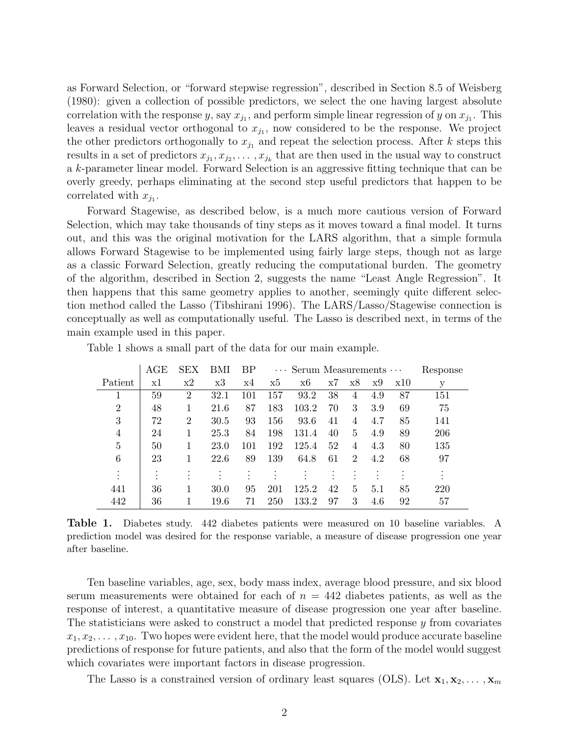as Forward Selection, or "forward stepwise regression", described in Section 8.5 of Weisberg (1980): given a collection of possible predictors, we select the one having largest absolute correlation with the response y, say  $x_{j_1}$ , and perform simple linear regression of y on  $x_{j_1}$ . This leaves a residual vector orthogonal to  $x_{j_1}$ , now considered to be the response. We project the other predictors orthogonally to  $x_{j_1}$  and repeat the selection process. After k steps this results in a set of predictors  $x_{j_1}, x_{j_2}, \ldots, x_{j_k}$  that are then used in the usual way to construct a k-parameter linear model. Forward Selection is an aggressive fitting technique that can be overly greedy, perhaps eliminating at the second step useful predictors that happen to be correlated with  $x_{j_1}$ .

Forward Stagewise, as described below, is a much more cautious version of Forward Selection, which may take thousands of tiny steps as it moves toward a final model. It turns out, and this was the original motivation for the LARS algorithm, that a simple formula allows Forward Stagewise to be implemented using fairly large steps, though not as large as a classic Forward Selection, greatly reducing the computational burden. The geometry of the algorithm, described in Section 2, suggests the name "Least Angle Regression". It then happens that this same geometry applies to another, seemingly quite different selection method called the Lasso (Tibshirani 1996). The LARS/Lasso/Stagewise connection is conceptually as well as computationally useful. The Lasso is described next, in terms of the main example used in this paper.

|                | AGE | <b>SEX</b>     | BMI  | BP  | $\cdots$ Serum Measurements $\cdots$ |       |    |                |     |     | Response |
|----------------|-----|----------------|------|-----|--------------------------------------|-------|----|----------------|-----|-----|----------|
| Patient        | x1  | x2             | x3   | x4  | x5                                   | x6    | x7 | x8             | х9  | x10 | у        |
|                | 59  | $\overline{2}$ | 32.1 | 101 | 157                                  | 93.2  | 38 | 4              | 4.9 | 87  | 151      |
| $\overline{2}$ | 48  | 1              | 21.6 | 87  | 183                                  | 103.2 | 70 | 3              | 3.9 | 69  | 75       |
| 3              | 72  | $\overline{2}$ | 30.5 | 93  | 156                                  | 93.6  | 41 | 4              | 4.7 | 85  | 141      |
| 4              | 24  | 1              | 25.3 | 84  | 198                                  | 131.4 | 40 | 5              | 4.9 | 89  | 206      |
| 5              | 50  |                | 23.0 | 101 | 192                                  | 125.4 | 52 | 4              | 4.3 | 80  | 135      |
| 6              | 23  |                | 22.6 | 89  | 139                                  | 64.8  | 61 | $\overline{2}$ | 4.2 | 68  | 97       |
| ٠<br>$\bullet$ |     |                |      |     |                                      |       | ٠  |                |     |     |          |
| 441            | 36  | 1              | 30.0 | 95  | 201                                  | 125.2 | 42 | 5              | 5.1 | 85  | 220      |
| 442            | 36  |                | 19.6 | 71  | 250                                  | 133.2 | 97 | 3              | 4.6 | 92  | 57       |

Table 1 shows a small part of the data for our main example.

**Table 1.** Diabetes study. 442 diabetes patients were measured on 10 baseline variables. A prediction model was desired for the response variable, a measure of disease progression one year after baseline.

Ten baseline variables, age, sex, body mass index, average blood pressure, and six blood serum measurements were obtained for each of  $n = 442$  diabetes patients, as well as the response of interest, a quantitative measure of disease progression one year after baseline. The statisticians were asked to construct a model that predicted response y from covariates  $x_1, x_2, \ldots, x_{10}$ . Two hopes were evident here, that the model would produce accurate baseline predictions of response for future patients, and also that the form of the model would suggest which covariates were important factors in disease progression.

The Lasso is a constrained version of ordinary least squares (OLS). Let  $\mathbf{x}_1, \mathbf{x}_2, \ldots, \mathbf{x}_m$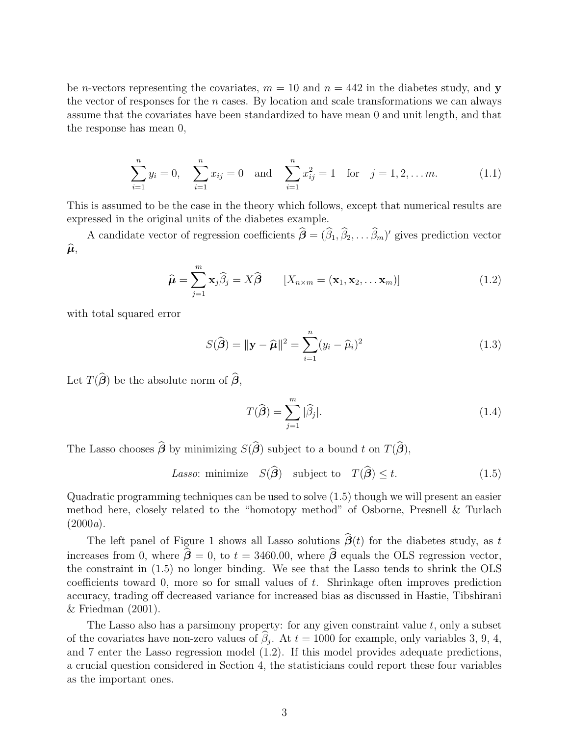be *n*-vectors representing the covariates,  $m = 10$  and  $n = 442$  in the diabetes study, and **y** the vector of responses for the  $n$  cases. By location and scale transformations we can always assume that the covariates have been standardized to have mean 0 and unit length, and that the response has mean 0,

$$
\sum_{i=1}^{n} y_i = 0, \quad \sum_{i=1}^{n} x_{ij} = 0 \quad \text{and} \quad \sum_{i=1}^{n} x_{ij}^2 = 1 \quad \text{for} \quad j = 1, 2, \dots m. \tag{1.1}
$$

This is assumed to be the case in the theory which follows, except that numerical results are expressed in the original units of the diabetes example.

A candidate vector of regression coefficients  $\boldsymbol{\beta} = (\beta_1, \beta_2, \dots, \beta_m)'$  gives prediction vector  $\widehat{\boldsymbol{\mu}},$ 

$$
\widehat{\boldsymbol{\mu}} = \sum_{j=1}^{m} \mathbf{x}_{j} \widehat{\beta}_{j} = X \widehat{\boldsymbol{\beta}} \qquad [X_{n \times m} = (\mathbf{x}_{1}, \mathbf{x}_{2}, \dots \mathbf{x}_{m})] \qquad (1.2)
$$

with total squared error

$$
S(\widehat{\boldsymbol{\beta}}) = \|\mathbf{y} - \widehat{\boldsymbol{\mu}}\|^2 = \sum_{i=1}^n (y_i - \widehat{\mu}_i)^2
$$
\n(1.3)

Let  $T(\beta)$  be the absolute norm of  $\beta$ ,

$$
T(\widehat{\boldsymbol{\beta}}) = \sum_{j=1}^{m} |\widehat{\beta}_j|.
$$
 (1.4)

The Lasso chooses  $\beta$  by minimizing  $S(\beta)$  subject to a bound t on  $T(\beta)$ ,

Lasso: minimize  $S(\boldsymbol{\beta})$  subject to  $T(\boldsymbol{\beta}) \leq t$ . (1.5)

Quadratic programming techniques can be used to solve (1.5) though we will present an easier method here, closely related to the "homotopy method" of Osborne, Presnell & Turlach  $(2000a).$ 

The left panel of Figure 1 shows all Lasso solutions  $\beta(t)$  for the diabetes study, as t increases from 0, where  $\beta = 0$ , to  $t = 3460.00$ , where  $\beta$  equals the OLS regression vector, the constraint in (1.5) no longer binding. We see that the Lasso tends to shrink the OLS coefficients toward 0, more so for small values of  $t$ . Shrinkage often improves prediction accuracy, trading off decreased variance for increased bias as discussed in Hastie, Tibshirani & Friedman (2001).

The Lasso also has a parsimony property: for any given constraint value  $t$ , only a subset of the covariates have non-zero values of  $\beta_j$ . At  $t = 1000$  for example, only variables 3, 9, 4, and 7 enter the Lasso regression model (1.2). If this model provides adequate predictions, a crucial question considered in Section 4, the statisticians could report these four variables as the important ones.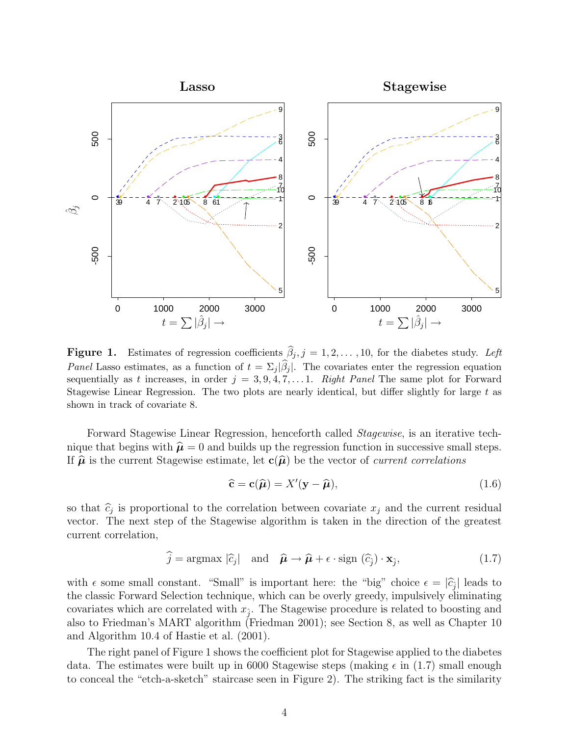

**Figure 1.** Estimates of regression coefficients  $\beta_j$ ,  $j = 1, 2, \ldots, 10$ , for the diabetes study. Left *Panel* Lasso estimates, as a function of  $t = \sum_j |\beta_j|$ . The covariates enter the regression equation sequentially as t increases, in order  $j = 3, 9, 4, 7, \ldots 1$ . Right Panel The same plot for Forward Stagewise Linear Regression. The two plots are nearly identical, but differ slightly for large  $t$  as shown in track of covariate 8.

Forward Stagewise Linear Regression, henceforth called Stagewise, is an iterative technique that begins with  $\hat{\mu} = 0$  and builds up the regression function in successive small steps. If  $\hat{\boldsymbol{\mu}}$  is the current Stagewise estimate, let  $\mathbf{c}(\hat{\boldsymbol{\mu}})$  be the vector of *current correlations* 

$$
\hat{\mathbf{c}} = \mathbf{c}(\hat{\boldsymbol{\mu}}) = X'(\mathbf{y} - \hat{\boldsymbol{\mu}}),\tag{1.6}
$$

so that  $\hat{c}_j$  is proportional to the correlation between covariate  $x_j$  and the current residual vector. The next step of the Stagewise algorithm is taken in the direction of the greatest current correlation,

$$
\widehat{j} = \operatorname{argmax} |\widehat{c}_j| \quad \text{and} \quad \widehat{\boldsymbol{\mu}} \to \widehat{\boldsymbol{\mu}} + \epsilon \cdot \operatorname{sign} (\widehat{c}_j) \cdot \mathbf{x}_j,\tag{1.7}
$$

with  $\epsilon$  some small constant. "Small" is important here: the "big" choice  $\epsilon = |\hat{c}_j|$  leads to the classic Forward Selection technique, which can be overly greedy, impulsively eliminating covariates which are correlated with  $x_{\hat{i}}$ . The Stagewise procedure is related to boosting and also to Friedman's MART algorithm (Friedman 2001); see Section 8, as well as Chapter 10 and Algorithm 10.4 of Hastie et al. (2001).

The right panel of Figure 1 shows the coefficient plot for Stagewise applied to the diabetes data. The estimates were built up in 6000 Stagewise steps (making  $\epsilon$  in (1.7) small enough to conceal the "etch-a-sketch" staircase seen in Figure 2). The striking fact is the similarity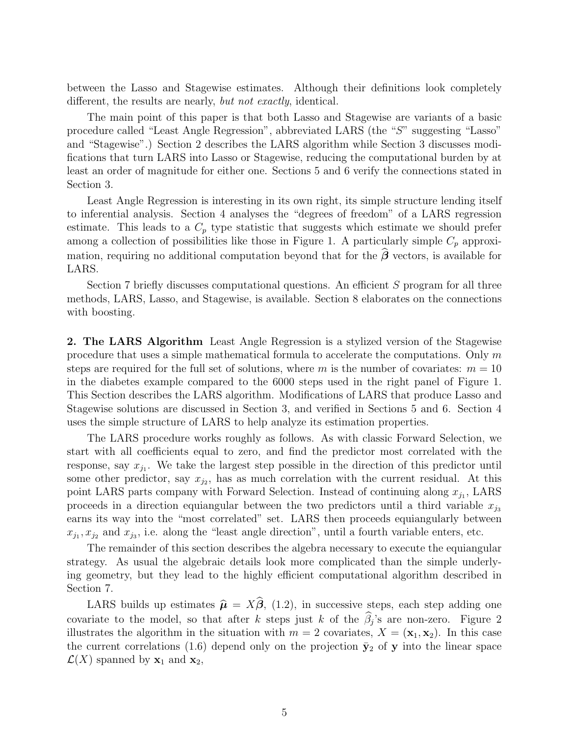between the Lasso and Stagewise estimates. Although their definitions look completely different, the results are nearly, but not exactly, identical.

The main point of this paper is that both Lasso and Stagewise are variants of a basic procedure called "Least Angle Regression", abbreviated LARS (the "S" suggesting "Lasso" and "Stagewise".) Section 2describes the LARS algorithm while Section 3 discusses modifications that turn LARS into Lasso or Stagewise, reducing the computational burden by at least an order of magnitude for either one. Sections 5 and 6 verify the connections stated in Section 3.

Least Angle Regression is interesting in its own right, its simple structure lending itself to inferential analysis. Section 4 analyses the "degrees of freedom" of a LARS regression estimate. This leads to a  $C_p$  type statistic that suggests which estimate we should prefer among a collection of possibilities like those in Figure 1. A particularly simple  $C_p$  approximation, requiring no additional computation beyond that for the  $\beta$  vectors, is available for LARS.

Section 7 briefly discusses computational questions. An efficient S program for all three methods, LARS, Lasso, and Stagewise, is available. Section 8 elaborates on the connections with boosting.

**2. The LARS Algorithm** Least Angle Regression is a stylized version of the Stagewise procedure that uses a simple mathematical formula to accelerate the computations. Only m steps are required for the full set of solutions, where m is the number of covariates:  $m = 10$ in the diabetes example compared to the 6000 steps used in the right panel of Figure 1. This Section describes the LARS algorithm. Modifications of LARS that produce Lasso and Stagewise solutions are discussed in Section 3, and verified in Sections 5 and 6. Section 4 uses the simple structure of LARS to help analyze its estimation properties.

The LARS procedure works roughly as follows. As with classic Forward Selection, we start with all coefficients equal to zero, and find the predictor most correlated with the response, say  $x_{j_1}$ . We take the largest step possible in the direction of this predictor until some other predictor, say  $x_{j_2}$ , has as much correlation with the current residual. At this point LARS parts company with Forward Selection. Instead of continuing along  $x_{j_1}$ , LARS proceeds in a direction equiangular between the two predictors until a third variable  $x_{j3}$ earns its way into the "most correlated" set. LARS then proceeds equiangularly between  $x_{j_1}, x_{j_2}$  and  $x_{j_3}$ , i.e. along the "least angle direction", until a fourth variable enters, etc.

The remainder of this section describes the algebra necessary to execute the equiangular strategy. As usual the algebraic details look more complicated than the simple underlying geometry, but they lead to the highly efficient computational algorithm described in Section 7.

LARS builds up estimates  $\hat{\mu} = X\beta$ , (1.2), in successive steps, each step adding one covariate to the model, so that after k steps just k of the  $\beta_j$ 's are non-zero. Figure 2 illustrates the algorithm in the situation with  $m = 2$  covariates,  $X = (\mathbf{x}_1, \mathbf{x}_2)$ . In this case the current correlations (1.6) depend only on the projection  $\bar{y}_2$  of **y** into the linear space  $\mathcal{L}(X)$  spanned by  $\mathbf{x}_1$  and  $\mathbf{x}_2$ ,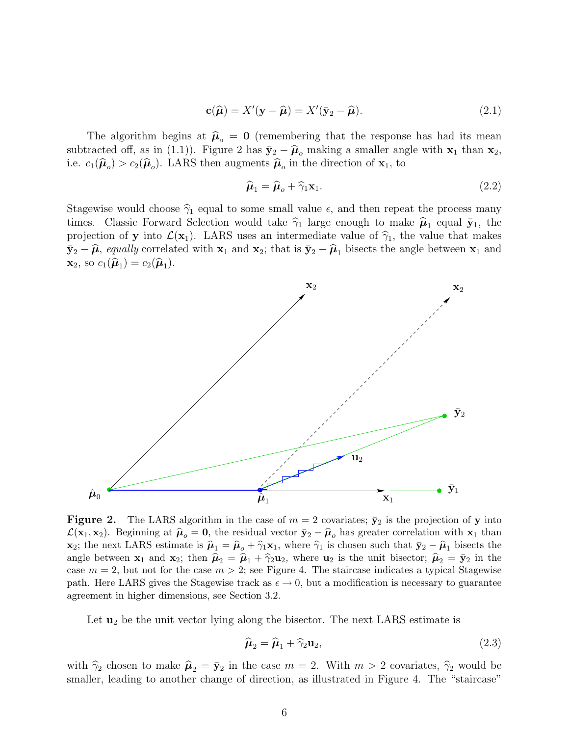$$
\mathbf{c}(\widehat{\boldsymbol{\mu}}) = X'(\mathbf{y} - \widehat{\boldsymbol{\mu}}) = X'(\bar{\mathbf{y}}_2 - \widehat{\boldsymbol{\mu}}).
$$
 (2.1)

The algorithm begins at  $\hat{\mu}_o = 0$  (remembering that the response has had its mean subtracted off, as in (1.1)). Figure 2 has  $\bar{\mathbf{y}}_2 - \hat{\mathbf{\mu}}_o$  making a smaller angle with  $\mathbf{x}_1$  than  $\mathbf{x}_2$ , i.e.  $c_1(\hat{\boldsymbol{\mu}}_o) > c_2(\hat{\boldsymbol{\mu}}_o)$ . LARS then augments  $\hat{\boldsymbol{\mu}}_o$  in the direction of  $\mathbf{x}_1$ , to

$$
\widehat{\boldsymbol{\mu}}_1 = \widehat{\boldsymbol{\mu}}_o + \widehat{\gamma}_1 \mathbf{x}_1. \tag{2.2}
$$

Stagewise would choose  $\hat{\gamma}_1$  equal to some small value  $\epsilon$ , and then repeat the process many times. Classic Forward Selection would take  $\hat{\gamma}_1$  large enough to make  $\hat{\mu}_1$  equal  $\bar{\mathbf{y}}_1$ , the projection of **y** into  $\mathcal{L}(\mathbf{x}_1)$ . LARS uses an intermediate value of  $\hat{\gamma}_1$ , the value that makes  $\bar{\mathbf{y}}_2 - \hat{\boldsymbol{\mu}}$ , equally correlated with  $\mathbf{x}_1$  and  $\mathbf{x}_2$ ; that is  $\bar{\mathbf{y}}_2 - \hat{\boldsymbol{\mu}}_1$  bisects the angle between  $\mathbf{x}_1$  and **x**<sub>2</sub>, so  $c_1(\widehat{\boldsymbol{\mu}}_1) = c_2(\widehat{\boldsymbol{\mu}}_1)$ .



**Figure 2.** The LARS algorithm in the case of  $m = 2$  covariates;  $\bar{y}_2$  is the projection of **y** into  $\mathcal{L}(\mathbf{x}_1, \mathbf{x}_2)$ . Beginning at  $\hat{\boldsymbol{\mu}}_o = \mathbf{0}$ , the residual vector  $\bar{\mathbf{y}}_2 - \hat{\boldsymbol{\mu}}_o$  has greater correlation with  $\mathbf{x}_1$  than **x**<sub>2</sub>; the next LARS estimate is  $\hat{\mu}_1 = \hat{\mu}_0 + \hat{\gamma}_1 \mathbf{x}_1$ , where  $\hat{\gamma}_1$  is chosen such that  $\bar{\mathbf{y}}_2 - \hat{\mu}_1$  bisects the angle between **x**<sub>1</sub> and **x**<sub>2</sub>; then  $\hat{\mu}_2 = \hat{\mu}_1 + \hat{\gamma}_2 \mathbf{u}_2$ , where **u**<sub>2</sub> is the unit bisector;  $\hat{\mu}_2 = \bar{\mathbf{y}}_2$  in the case  $m = 2$ , but not for the case  $m > 2$ ; see Figure 4. The staircase indicates a typical Stagewise path. Here LARS gives the Stagewise track as  $\epsilon \to 0$ , but a modification is necessary to guarantee agreement in higher dimensions, see Section 3.2.

Let **u**<sup>2</sup> be the unit vector lying along the bisector. The next LARS estimate is

$$
\widehat{\boldsymbol{\mu}}_2 = \widehat{\boldsymbol{\mu}}_1 + \widehat{\gamma}_2 \mathbf{u}_2, \tag{2.3}
$$

with  $\hat{\gamma}_2$  chosen to make  $\hat{\mu}_2 = \bar{y}_2$  in the case  $m = 2$ . With  $m > 2$  covariates,  $\hat{\gamma}_2$  would be smaller, leading to another change of direction, as illustrated in Figure 4. The "staircase"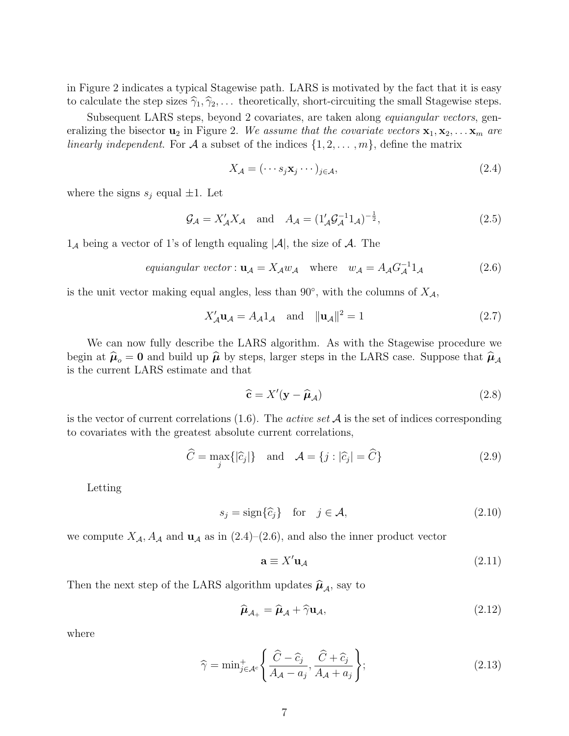in Figure 2indicates a typical Stagewise path. LARS is motivated by the fact that it is easy to calculate the step sizes  $\hat{\gamma}_1, \hat{\gamma}_2, \ldots$  theoretically, short-circuiting the small Stagewise steps.

Subsequent LARS steps, beyond 2 covariates, are taken along *equiangular vectors*, generalizing the bisector  $\mathbf{u}_2$  in Figure 2. We assume that the covariate vectors  $\mathbf{x}_1, \mathbf{x}_2, \ldots, \mathbf{x}_m$  are linearly independent. For A a subset of the indices  $\{1, 2, \ldots, m\}$ , define the matrix

$$
X_{\mathcal{A}} = (\cdots s_j \mathbf{x}_j \cdots)_{j \in \mathcal{A}},\tag{2.4}
$$

where the signs  $s_j$  equal  $\pm 1$ . Let

$$
\mathcal{G}_{\mathcal{A}} = X_{\mathcal{A}}' X_{\mathcal{A}} \quad \text{and} \quad A_{\mathcal{A}} = (1_{\mathcal{A}}' \mathcal{G}_{\mathcal{A}}^{-1} 1_{\mathcal{A}})^{-\frac{1}{2}}, \tag{2.5}
$$

 $1_A$  being a vector of 1's of length equaling  $|\mathcal{A}|$ , the size of  $\mathcal{A}$ . The

equiangular vector: 
$$
\mathbf{u}_{\mathcal{A}} = X_{\mathcal{A}} w_{\mathcal{A}}
$$
 where  $w_{\mathcal{A}} = A_{\mathcal{A}} G_{\mathcal{A}}^{-1} 1_{\mathcal{A}}$  (2.6)

is the unit vector making equal angles, less than 90 $^{\circ}$ , with the columns of  $X_{\mathcal{A}}$ ,

$$
X'_{\mathcal{A}} \mathbf{u}_{\mathcal{A}} = A_{\mathcal{A}} 1_{\mathcal{A}} \quad \text{and} \quad ||\mathbf{u}_{\mathcal{A}}||^2 = 1 \tag{2.7}
$$

We can now fully describe the LARS algorithm. As with the Stagewise procedure we begin at  $\hat{\boldsymbol{\mu}}_o = \mathbf{0}$  and build up  $\hat{\boldsymbol{\mu}}$  by steps, larger steps in the LARS case. Suppose that  $\hat{\boldsymbol{\mu}}_A$ is the current LARS estimate and that

$$
\hat{\mathbf{c}} = X'(\mathbf{y} - \hat{\boldsymbol{\mu}}_{\mathcal{A}}) \tag{2.8}
$$

is the vector of current correlations  $(1.6)$ . The *active set* A is the set of indices corresponding to covariates with the greatest absolute current correlations,

$$
\widehat{C} = \max_{j} \{ |\widehat{c}_j| \} \quad \text{and} \quad \mathcal{A} = \{ j : |\widehat{c}_j| = \widehat{C} \}
$$
\n(2.9)

Letting

$$
s_j = \text{sign}\{\hat{c}_j\} \quad \text{for} \quad j \in \mathcal{A},\tag{2.10}
$$

we compute  $X_A$ ,  $A_A$  and  $\mathbf{u}_A$  as in (2.4)–(2.6), and also the inner product vector

$$
\mathbf{a} \equiv X' \mathbf{u}_{\mathcal{A}} \tag{2.11}
$$

Then the next step of the LARS algorithm updates  $\widehat{\boldsymbol{\mu}}_{\mathcal{A}}$ , say to

$$
\widehat{\boldsymbol{\mu}}_{\mathcal{A}_+} = \widehat{\boldsymbol{\mu}}_{\mathcal{A}} + \widehat{\gamma} \mathbf{u}_{\mathcal{A}},\tag{2.12}
$$

where

$$
\widehat{\gamma} = \min_{j \in \mathcal{A}^c} \left\{ \frac{\widehat{C} - \widehat{c}_j}{A_{\mathcal{A}} - a_j}, \frac{\widehat{C} + \widehat{c}_j}{A_{\mathcal{A}} + a_j} \right\};\tag{2.13}
$$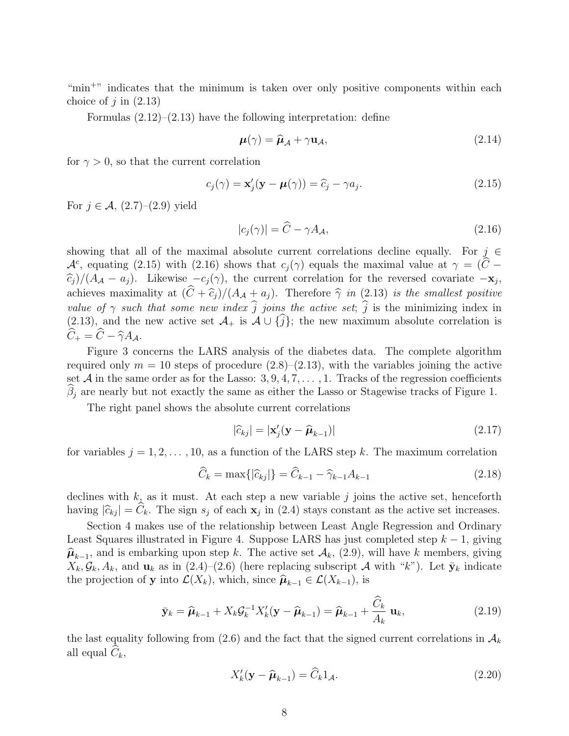"min<sup>+"</sup> indicates that the minimum is taken over only positive components within each choice of  $j$  in  $(2.13)$ 

Formulas  $(2.12)$ – $(2.13)$  have the following interpretation: define

$$
\boldsymbol{\mu}(\gamma) = \widehat{\boldsymbol{\mu}}_{\mathcal{A}} + \gamma \mathbf{u}_{\mathcal{A}},\tag{2.14}
$$

for  $\gamma > 0$ , so that the current correlation

$$
c_j(\gamma) = \mathbf{x}'_j(\mathbf{y} - \boldsymbol{\mu}(\gamma)) = \widehat{c}_j - \gamma a_j.
$$
 (2.15)

For  $j \in \mathcal{A}$ ,  $(2.7)$ – $(2.9)$  yield

$$
|c_j(\gamma)| = \widehat{C} - \gamma A_{\mathcal{A}},\tag{2.16}
$$

showing that all of the maximal absolute current correlations decline equally. For  $j \in \mathcal{L}$  $\mathcal{A}^c$ , equating (2.15) with (2.16) shows that  $c_j(\gamma)$  equals the maximal value at  $\gamma = (\hat{C} - \hat{C})$  $(\widehat{c}_j)/(A_{\mathcal{A}} - a_j)$ . Likewise  $-c_j(\gamma)$ , the current correlation for the reversed covariate  $-\mathbf{x}_j$ , achieves maximality at  $(C + \widehat{c}_j)/(A_{\mathcal{A}} + a_j)$ . Therefore  $\widehat{\gamma}$  in (2.13) is the smallest positive value of  $\gamma$  such that some new index j joins the active set; j is the minimizing index in  $(2.13)$ , and the new active set  $\mathcal{A}_+$  is  $\mathcal{A} \cup \{j\}$ ; the new maximum absolute correlation is  $C_+ = C - \widehat{\gamma} A_{\mathcal{A}}.$ 

Figure 3 concerns the LARS analysis of the diabetes data. The complete algorithm required only  $m = 10$  steps of procedure  $(2.8)$ – $(2.13)$ , with the variables joining the active set A in the same order as for the Lasso:  $3, 9, 4, 7, \ldots, 1$ . Tracks of the regression coefficients  $\beta_j$  are nearly but not exactly the same as either the Lasso or Stagewise tracks of Figure 1.

The right panel shows the absolute current correlations

$$
|\widehat{c}_{kj}| = |\mathbf{x}'_j(\mathbf{y} - \widehat{\boldsymbol{\mu}}_{k-1})|
$$
\n(2.17)

for variables  $j = 1, 2, \ldots, 10$ , as a function of the LARS step k. The maximum correlation

$$
\widehat{C}_k = \max\{|\widehat{c}_{kj}|\} = \widehat{C}_{k-1} - \widehat{\gamma}_{k-1}A_{k-1}
$$
\n(2.18)

declines with  $k$ , as it must. At each step a new variable  $j$  joins the active set, henceforth having  $|\hat{c}_{kj}| = C_k$ . The sign  $s_j$  of each  $\mathbf{x}_j$  in (2.4) stays constant as the active set increases.

Section 4 makes use of the relationship between Least Angle Regression and Ordinary Least Squares illustrated in Figure 4. Suppose LARS has just completed step  $k - 1$ , giving  $\hat{\mu}_{k-1}$ , and is embarking upon step k. The active set  $\mathcal{A}_k$ , (2.9), will have k members, giving  $X_k, \mathcal{G}_k, A_k$ , and  $\mathbf{u}_k$  as in (2.4)–(2.6) (here replacing subscript A with "k"). Let  $\bar{\mathbf{y}}_k$  indicate the projection of **y** into  $\mathcal{L}(X_k)$ , which, since  $\widehat{\boldsymbol{\mu}}_{k-1} \in \mathcal{L}(X_{k-1})$ , is

$$
\bar{\mathbf{y}}_k = \widehat{\boldsymbol{\mu}}_{k-1} + X_k \mathcal{G}_k^{-1} X'_k (\mathbf{y} - \widehat{\boldsymbol{\mu}}_{k-1}) = \widehat{\boldsymbol{\mu}}_{k-1} + \frac{\widehat{C}_k}{A_k} \mathbf{u}_k, \qquad (2.19)
$$

the last equality following from (2.6) and the fact that the signed current correlations in  $\mathcal{A}_k$ all equal  $C_k$ ,

$$
X'_{k}(\mathbf{y} - \widehat{\boldsymbol{\mu}}_{k-1}) = \widehat{C}_{k} 1_{\mathcal{A}}.
$$
\n(2.20)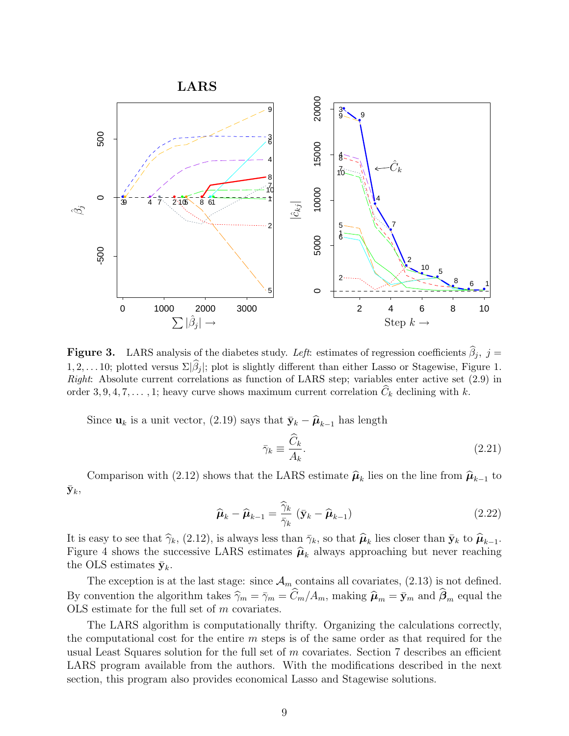

**Figure 3.** LARS analysis of the diabetes study. Left: estimates of regression coefficients  $\beta_j$ ,  $j =$ 1, 2,... 10; plotted versus  $\Sigma|\beta_j|$ ; plot is slightly different than either Lasso or Stagewise, Figure 1. Right: Absolute current correlations as function of LARS step; variables enter active set  $(2.9)$  in order 3, 9, 4, 7, ..., 1; heavy curve shows maximum current correlation  $C_k$  declining with k.

Since  $\mathbf{u}_k$  is a unit vector, (2.19) says that  $\bar{\mathbf{y}}_k - \hat{\boldsymbol{\mu}}_{k-1}$  has length

$$
\bar{\gamma}_k \equiv \frac{\widehat{C}_k}{A_k}.\tag{2.21}
$$

Comparison with (2.12) shows that the LARS estimate  $\hat{\mu}_k$  lies on the line from  $\hat{\mu}_{k-1}$  to  $\bar{\mathbf{y}}_k,$ 

$$
\widehat{\boldsymbol{\mu}}_k - \widehat{\boldsymbol{\mu}}_{k-1} = \frac{\widehat{\gamma}_k}{\overline{\gamma}_k} \left( \bar{\mathbf{y}}_k - \widehat{\boldsymbol{\mu}}_{k-1} \right)
$$
\n(2.22)

It is easy to see that  $\hat{\gamma}_k$ , (2.12), is always less than  $\bar{\gamma}_k$ , so that  $\hat{\mu}_k$  lies closer than  $\bar{\mathbf{y}}_k$  to  $\hat{\mu}_{k-1}$ . Figure 4 shows the successive LARS estimates  $\hat{\mu}_k$  always approaching but never reaching  $\hat{\mu}_k$  and  $\hat{\mu}_k$ the OLS estimates  $\bar{y}_k$ .

The exception is at the last stage: since  $\mathcal{A}_m$  contains all covariates, (2.13) is not defined. By convention the algorithm takes  $\widehat{\gamma}_m = \overline{\gamma}_m = C_m/A_m$ , making  $\widehat{\mu}_m = \overline{\mathbf{y}}_m$  and  $\beta_m$  equal the OLS estimate for the full set of m covariates.

The LARS algorithm is computationally thrifty. Organizing the calculations correctly, the computational cost for the entire  $m$  steps is of the same order as that required for the usual Least Squares solution for the full set of  $m$  covariates. Section  $7$  describes an efficient LARS program available from the authors. With the modifications described in the next section, this program also provides economical Lasso and Stagewise solutions.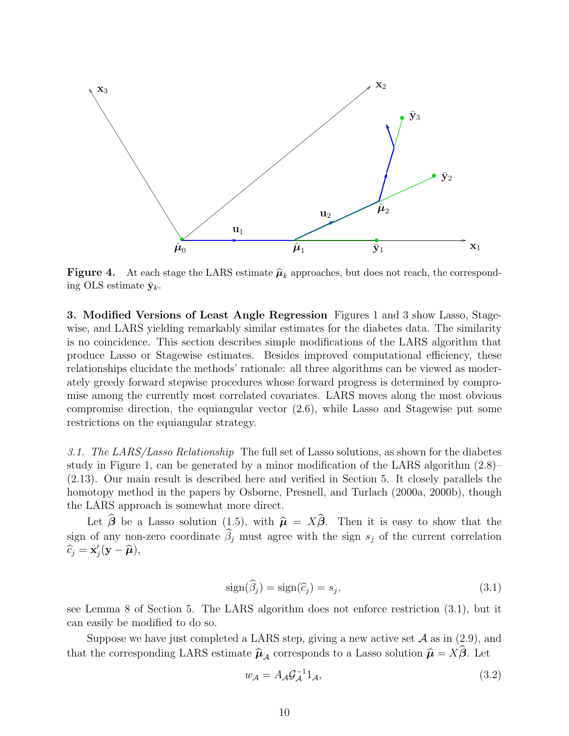

**Figure 4.** At each stage the LARS estimate  $\hat{\mu}_k$  approaches, but does not reach, the corresponding OLS estimate  $\bar{y}_k$ .

**3. Modified Versions of Least Angle Regression** Figures 1 and 3 show Lasso, Stagewise, and LARS yielding remarkably similar estimates for the diabetes data. The similarity is no coincidence. This section describes simple modifications of the LARS algorithm that produce Lasso or Stagewise estimates. Besides improved computational efficiency, these relationships elucidate the methods' rationale: all three algorithms can be viewed as moderately greedy forward stepwise procedures whose forward progress is determined by compromise among the currently most correlated covariates. LARS moves along the most obvious compromise direction, the equiangular vector (2.6), while Lasso and Stagewise put some restrictions on the equiangular strategy.

3.1. The LARS/Lasso Relationship The full set of Lasso solutions, as shown for the diabetes study in Figure 1, can be generated by a minor modification of the LARS algorithm (2.8)– (2.13). Our main result is described here and verified in Section 5. It closely parallels the homotopy method in the papers by Osborne, Presnell, and Turlach (2000a, 2000b), though the LARS approach is somewhat more direct.

Let  $\beta$  be a Lasso solution (1.5), with  $\hat{\mu} = X\beta$ . Then it is easy to show that the sign of any non-zero coordinate  $\beta_j$  must agree with the sign  $s_j$  of the current correlation  $\widehat{c}_j = \mathbf{x}'_j(\mathbf{y} - \widehat{\boldsymbol{\mu}}),$ 

$$
sign(\widehat{\beta}_j) = sign(\widehat{c}_j) = s_j,
$$
\n(3.1)

see Lemma 8 of Section 5. The LARS algorithm does not enforce restriction (3.1), but it can easily be modified to do so.

Suppose we have just completed a LARS step, giving a new active set  $A$  as in (2.9), and that the corresponding LARS estimate  $\hat{\mu}_A$  corresponds to a Lasso solution  $\hat{\mu} = X\beta$ . Let

$$
w_{\mathcal{A}} = A_{\mathcal{A}} \mathcal{G}_{\mathcal{A}}^{-1} 1_{\mathcal{A}},\tag{3.2}
$$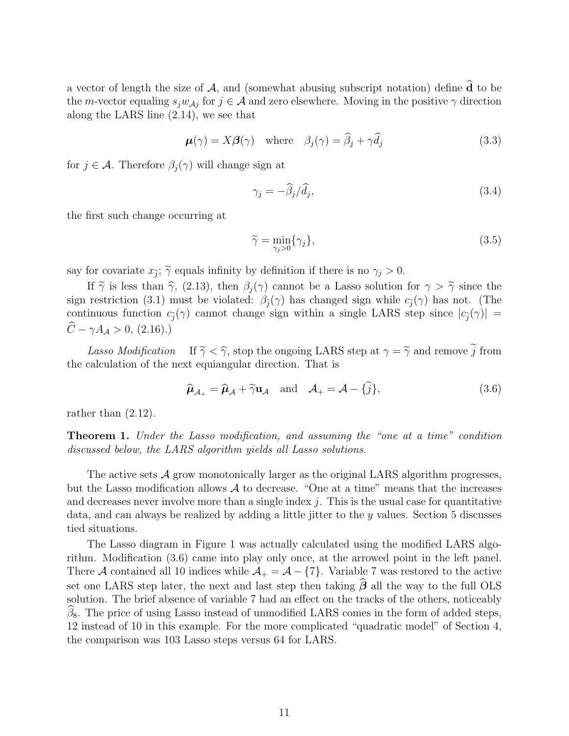a vector of length the size of  $A$ , and (somewhat abusing subscript notation) define **d** to be the m-vector equaling  $s_jw_{\mathcal{A}j}$  for  $j \in \mathcal{A}$  and zero elsewhere. Moving in the positive  $\gamma$  direction along the LARS line (2.14), we see that

$$
\boldsymbol{\mu}(\gamma) = X\boldsymbol{\beta}(\gamma) \quad \text{where} \quad \beta_j(\gamma) = \widehat{\beta}_j + \gamma \widehat{d}_j \tag{3.3}
$$

for  $j \in \mathcal{A}$ . Therefore  $\beta_i(\gamma)$  will change sign at

$$
\gamma_j = -\widehat{\beta}_j / \widehat{d}_j,\tag{3.4}
$$

the first such change occurring at

$$
\widetilde{\gamma} = \min_{\gamma_j > 0} \{ \gamma_j \},\tag{3.5}
$$

say for covariate  $x_{\tilde{i}}$ ;  $\tilde{\gamma}$  equals infinity by definition if there is no  $\gamma_j > 0$ .

If  $\tilde{\gamma}$  is less than  $\hat{\gamma}$ , (2.13), then  $\beta_j(\gamma)$  cannot be a Lasso solution for  $\gamma > \tilde{\gamma}$  since the sign restriction (3.1) must be violated:  $\beta_{\tilde{i}}(\gamma)$  has changed sign while  $c_{\tilde{i}}(\gamma)$  has not. (The continuous function  $c_j(\gamma)$  cannot change sign within a single LARS step since  $|c_j(\gamma)| =$  $C - \gamma A_{\mathcal{A}} > 0, (2.16).$ 

Lasso Modification If  $\tilde{\gamma} < \hat{\gamma}$ , stop the ongoing LARS step at  $\gamma = \tilde{\gamma}$  and remove  $\tilde{j}$  from the calculation of the next equiangular direction. That is

$$
\widehat{\boldsymbol{\mu}}_{\mathcal{A}_+} = \widehat{\boldsymbol{\mu}}_{\mathcal{A}} + \widetilde{\gamma} \mathbf{u}_{\mathcal{A}} \quad \text{and} \quad \mathcal{A}_+ = \mathcal{A} - \{\widetilde{j}\},\tag{3.6}
$$

rather than (2.12).

**Theorem 1.** Under the Lasso modification, and assuming the "one at a time" condition discussed below, the LARS algorithm yields all Lasso solutions.

The active sets  $\mathcal A$  grow monotonically larger as the original LARS algorithm progresses, but the Lasso modification allows  $\mathcal A$  to decrease. "One at a time" means that the increases and decreases never involve more than a single index  $j$ . This is the usual case for quantitative data, and can always be realized by adding a little jitter to the y values. Section 5 discusses tied situations.

The Lasso diagram in Figure 1 was actually calculated using the modified LARS algorithm. Modification (3.6) came into play only once, at the arrowed point in the left panel. There A contained all 10 indices while  $A_+ = A - \{7\}$ . Variable 7 was restored to the active set one LARS step later, the next and last step then taking  $\beta$  all the way to the full OLS solution. The brief absence of variable 7 had an effect on the tracks of the others, noticeably  $\beta_8$ . The price of using Lasso instead of unmodified LARS comes in the form of added steps, 12instead of 10 in this example. For the more complicated "quadratic model" of Section 4, the comparison was 103 Lasso steps versus 64 for LARS.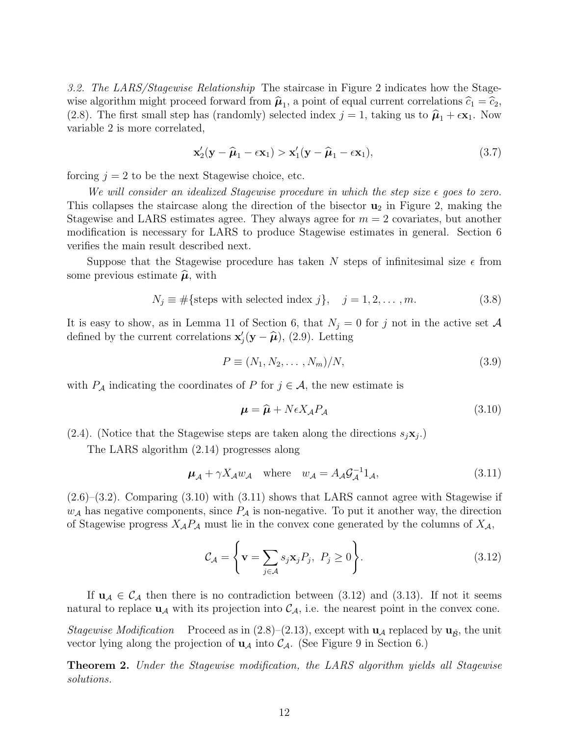3.2. The LARS/Stagewise Relationship The staircase in Figure 2 indicates how the Stagewise algorithm might proceed forward from  $\hat{\mu}_1$ , a point of equal current correlations  $\hat{c}_1 = \hat{c}_2$ , (2.8). The first small step has (randomly) selected index  $j = 1$ , taking us to  $\hat{\mu}_1 + \epsilon \mathbf{x}_1$ . Now variable 2 is more correlated,

$$
\mathbf{x}_2'(\mathbf{y} - \widehat{\boldsymbol{\mu}}_1 - \epsilon \mathbf{x}_1) > \mathbf{x}_1'(\mathbf{y} - \widehat{\boldsymbol{\mu}}_1 - \epsilon \mathbf{x}_1),\tag{3.7}
$$

forcing  $j = 2$  to be the next Stagewise choice, etc.

We will consider an idealized Stagewise procedure in which the step size  $\epsilon$  goes to zero. This collapses the staircase along the direction of the bisector **u**<sup>2</sup> in Figure 2, making the Stagewise and LARS estimates agree. They always agree for  $m = 2$  covariates, but another modification is necessary for LARS to produce Stagewise estimates in general. Section 6 verifies the main result described next.

Suppose that the Stagewise procedure has taken N steps of infinitesimal size  $\epsilon$  from some previous estimate  $\hat{\boldsymbol{\mu}}$ , with

$$
N_j \equiv #\{\text{steps with selected index } j\}, \quad j = 1, 2, \dots, m. \tag{3.8}
$$

It is easy to show, as in Lemma 11 of Section 6, that  $N_j = 0$  for j not in the active set A defined by the current correlations  $\mathbf{x}'_j(\mathbf{y} - \hat{\boldsymbol{\mu}})$ , (2.9). Letting

$$
P \equiv (N_1, N_2, \dots, N_m)/N, \tag{3.9}
$$

with  $P_A$  indicating the coordinates of P for  $j \in \mathcal{A}$ , the new estimate is

$$
\mu = \hat{\mu} + N\epsilon X_A P_A \tag{3.10}
$$

(2.4). (Notice that the Stagewise steps are taken along the directions  $s_j \mathbf{x}_j$ .)

The LARS algorithm (2.14) progresses along

$$
\mu_{\mathcal{A}} + \gamma X_{\mathcal{A}} w_{\mathcal{A}} \quad \text{where} \quad w_{\mathcal{A}} = A_{\mathcal{A}} \mathcal{G}_{\mathcal{A}}^{-1} 1_{\mathcal{A}}, \tag{3.11}
$$

(2.6)–(3.2). Comparing (3.10) with (3.11) shows that LARS cannot agree with Stagewise if  $w_{\mathcal{A}}$  has negative components, since  $P_{\mathcal{A}}$  is non-negative. To put it another way, the direction of Stagewise progress  $X_{\mathcal{A}}P_{\mathcal{A}}$  must lie in the convex cone generated by the columns of  $X_{\mathcal{A}}$ ,

$$
\mathcal{C}_{\mathcal{A}} = \left\{ \mathbf{v} = \sum_{j \in \mathcal{A}} s_j \mathbf{x}_j P_j, \ P_j \ge 0 \right\}.
$$
 (3.12)

If  $u_A \in C_A$  then there is no contradiction between (3.12) and (3.13). If not it seems natural to replace  $\mathbf{u}_{\mathcal{A}}$  with its projection into  $\mathcal{C}_{\mathcal{A}}$ , i.e. the nearest point in the convex cone.

Stagewise Modification Proceed as in  $(2.8)$ – $(2.13)$ , except with **u**<sub>A</sub> replaced by **u**<sub> $\hat{B}$ , the unit</sub> vector lying along the projection of  $\mathbf{u}_{\mathcal{A}}$  into  $\mathcal{C}_{\mathcal{A}}$ . (See Figure 9 in Section 6.)

**Theorem 2.** Under the Stagewise modification, the LARS algorithm yields all Stagewise solutions.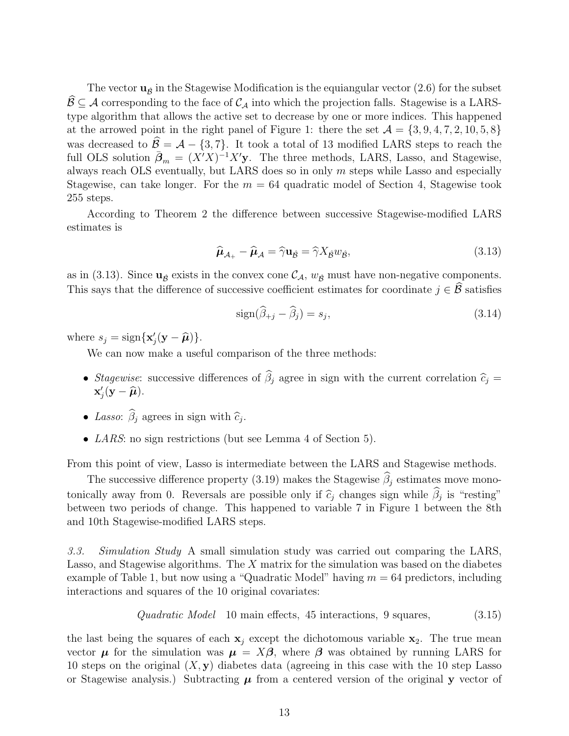The vector  $\mathbf{u}_{\hat{\beta}}$  in the Stagewise Modification is the equiangular vector (2.6) for the subset  $\mathcal{B} \subseteq \mathcal{A}$  corresponding to the face of  $\mathcal{C}_{\mathcal{A}}$  into which the projection falls. Stagewise is a LARStype algorithm that allows the active set to decrease by one or more indices. This happened at the arrowed point in the right panel of Figure 1: there the set  $\mathcal{A} = \{3, 9, 4, 7, 2, 10, 5, 8\}$ was decreased to  $\mathcal{B} = \mathcal{A} - \{3, 7\}$ . It took a total of 13 modified LARS steps to reach the full OLS solution  $\bar{\beta}_m = (X'X)^{-1}X'$ y. The three methods, LARS, Lasso, and Stagewise, always reach OLS eventually, but LARS does so in only  $m$  steps while Lasso and especially Stagewise, can take longer. For the  $m = 64$  quadratic model of Section 4, Stagewise took 255 steps.

According to Theorem 2 the difference between successive Stagewise-modified LARS estimates is

$$
\widehat{\boldsymbol{\mu}}_{\mathcal{A}_{+}} - \widehat{\boldsymbol{\mu}}_{\mathcal{A}} = \widehat{\gamma} \mathbf{u}_{\widehat{\mathcal{B}}} = \widehat{\gamma} X_{\widehat{\mathcal{B}}} w_{\widehat{\mathcal{B}}},\tag{3.13}
$$

as in (3.13). Since  $\mathbf{u}_{\beta}$  exists in the convex cone  $\mathcal{C}_{\mathcal{A}}$ ,  $w_{\beta}$  must have non-negative components. This says that the difference of successive coefficient estimates for coordinate  $j \in \mathcal{B}$  satisfies

$$
\text{sign}(\widehat{\beta}_{+j} - \widehat{\beta}_j) = s_j,\tag{3.14}
$$

where  $s_j = \text{sign}\{\mathbf{x}'_j(\mathbf{y} - \hat{\boldsymbol{\mu}})\}.$ 

We can now make a useful comparison of the three methods:

- Stagewise: successive differences of  $\beta_j$  agree in sign with the current correlation  $\hat{c}_j =$  $\mathbf{x}'_j(\mathbf{y}-\widehat{\boldsymbol{\mu}}).$
- Lasso:  $\beta_j$  agrees in sign with  $\widehat{c}_j$ .
- *LARS*: no sign restrictions (but see Lemma 4 of Section 5).

From this point of view, Lasso is intermediate between the LARS and Stagewise methods.

The successive difference property (3.19) makes the Stagewise  $\beta_j$  estimates move monotonically away from 0. Reversals are possible only if  $\hat{c}_j$  changes sign while  $\beta_j$  is "resting" between two periods of change. This happened to variable 7 in Figure 1 between the 8th and 10th Stagewise-modified LARS steps.

3.3. Simulation Study A small simulation study was carried out comparing the LARS, Lasso, and Stagewise algorithms. The X matrix for the simulation was based on the diabetes example of Table 1, but now using a "Quadratic Model" having  $m = 64$  predictors, including interactions and squares of the 10 original covariates:

Quadratic Model 10 main effects, 45 interactions, 9 squares, 
$$
(3.15)
$$

the last being the squares of each  $x_j$  except the dichotomous variable  $x_2$ . The true mean vector  $\mu$  for the simulation was  $\mu = X\beta$ , where  $\beta$  was obtained by running LARS for 10 steps on the original (X, **y**) diabetes data (agreeing in this case with the 10 step Lasso or Stagewise analysis.) Subtracting  $\mu$  from a centered version of the original **y** vector of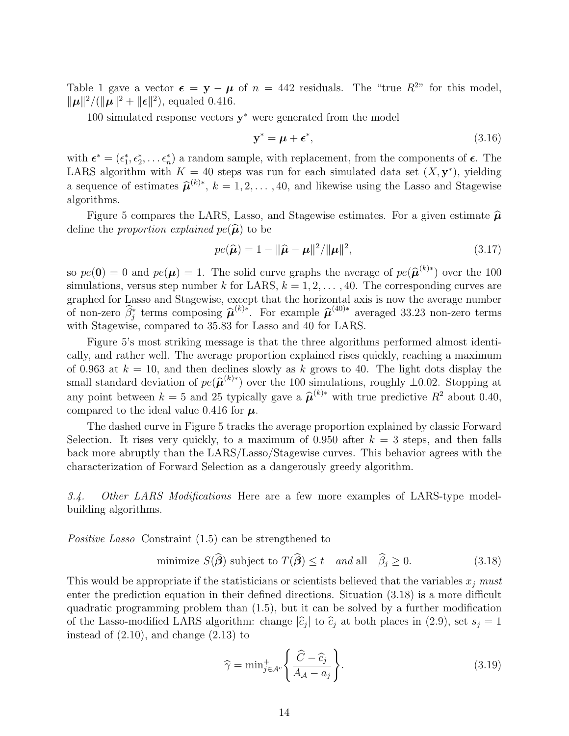Table 1 gave a vector  $\epsilon = y - \mu$  of  $n = 442$  residuals. The "true  $R^{2n}$  for this model,  $\|\mu\|^2/(\|\mu\|^2 + \|\epsilon\|^2)$ , equaled 0.416.

100 simulated response vectors **y**<sup>∗</sup> were generated from the model

$$
\mathbf{y}^* = \boldsymbol{\mu} + \boldsymbol{\epsilon}^*,\tag{3.16}
$$

with  $\boldsymbol{\epsilon}^* = (\epsilon_1^*, \epsilon_2^*, \dots \epsilon_n^*)$  a random sample, with replacement, from the components of  $\boldsymbol{\epsilon}$ . The LARS algorithm with  $K = 40$  steps was run for each simulated data set  $(X, y^*)$ , yielding a sequence of estimates  $\hat{\mu}^{(k)*}$ ,  $k = 1, 2, ..., 40$ , and likewise using the Lasso and Stagewise algorithms.

Figure 5 compares the LARS, Lasso, and Stagewise estimates. For a given estimate  $\hat{\mu}$ define the *proportion explained*  $pe(\hat{\boldsymbol{\mu}})$  to be

$$
pe(\widehat{\boldsymbol{\mu}}) = 1 - ||\widehat{\boldsymbol{\mu}} - \boldsymbol{\mu}||^2 / ||\boldsymbol{\mu}||^2, \tag{3.17}
$$

so  $pe(0) = 0$  and  $pe(\mu) = 1$ . The solid curve graphs the average of  $pe(\hat{\mu}^{(k)*})$  over the 100 simulations, versus step number k for LARS,  $k = 1, 2, \ldots, 40$ . The corresponding curves are graphed for Lasso and Stagewise, except that the horizontal axis is now the average number of non-zero  $\hat{\beta}_j^*$  terms composing  $\hat{\mu}^{(k)*}$ . For example  $\hat{\mu}^{(40)*}$  averaged 33.23 non-zero terms with Stagewise, compared to 35.83 for Lasso and 40 for LARS.

Figure 5's most striking message is that the three algorithms performed almost identically, and rather well. The average proportion explained rises quickly, reaching a maximum of 0.963 at  $k = 10$ , and then declines slowly as k grows to 40. The light dots display the small standard deviation of  $pe(\hat{\boldsymbol{\mu}}^{(k)*})$  over the 100 simulations, roughly  $\pm 0.02$ . Stopping at any point between  $k = 5$  and 25 typically gave a  $\hat{\mu}^{(k)*}$  with true predictive  $R^2$  about 0.40, compared to the ideal value 0.416 for *µ*.

The dashed curve in Figure 5 tracks the average proportion explained by classic Forward Selection. It rises very quickly, to a maximum of 0.950 after  $k = 3$  steps, and then falls back more abruptly than the LARS/Lasso/Stagewise curves. This behavior agrees with the characterization of Forward Selection as a dangerously greedy algorithm.

3.4. Other LARS Modifications Here are a few more examples of LARS-type modelbuilding algorithms.

Positive Lasso Constraint (1.5) can be strengthened to

minimize 
$$
S(\hat{\boldsymbol{\beta}})
$$
 subject to  $T(\hat{\boldsymbol{\beta}}) \le t$  and all  $\hat{\beta}_j \ge 0$ . (3.18)

This would be appropriate if the statisticians or scientists believed that the variables  $x_i$  must enter the prediction equation in their defined directions. Situation (3.18) is a more difficult quadratic programming problem than (1.5), but it can be solved by a further modification of the Lasso-modified LARS algorithm: change  $|\hat{c}_j|$  to  $\hat{c}_j$  at both places in (2.9), set  $s_j = 1$ instead of  $(2.10)$ , and change  $(2.13)$  to

$$
\widehat{\gamma} = \min_{j \in \mathcal{A}^c} \left\{ \frac{\widehat{C} - \widehat{c}_j}{A_{\mathcal{A}} - a_j} \right\}.
$$
\n(3.19)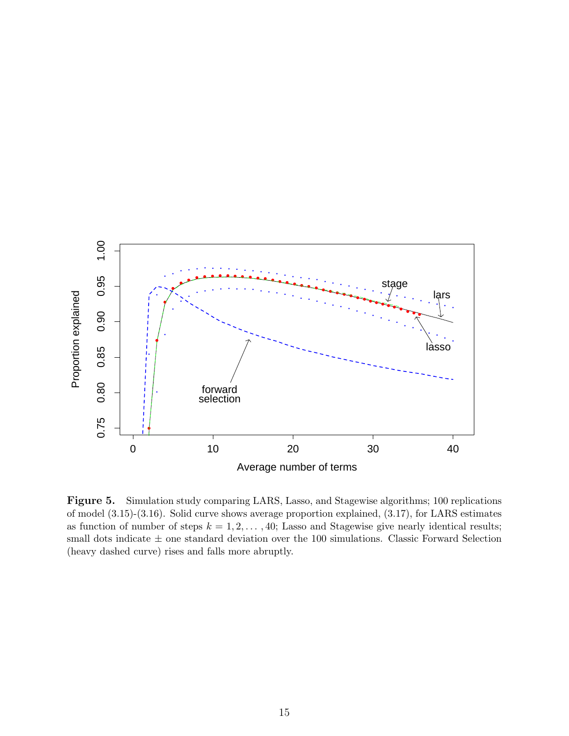

**Figure 5.** Simulation study comparing LARS, Lasso, and Stagewise algorithms; 100 replications of model (3.15)-(3.16). Solid curve shows average proportion explained, (3.17), for LARS estimates as function of number of steps  $k = 1, 2, \ldots, 40$ ; Lasso and Stagewise give nearly identical results; small dots indicate  $\pm$  one standard deviation over the 100 simulations. Classic Forward Selection (heavy dashed curve) rises and falls more abruptly.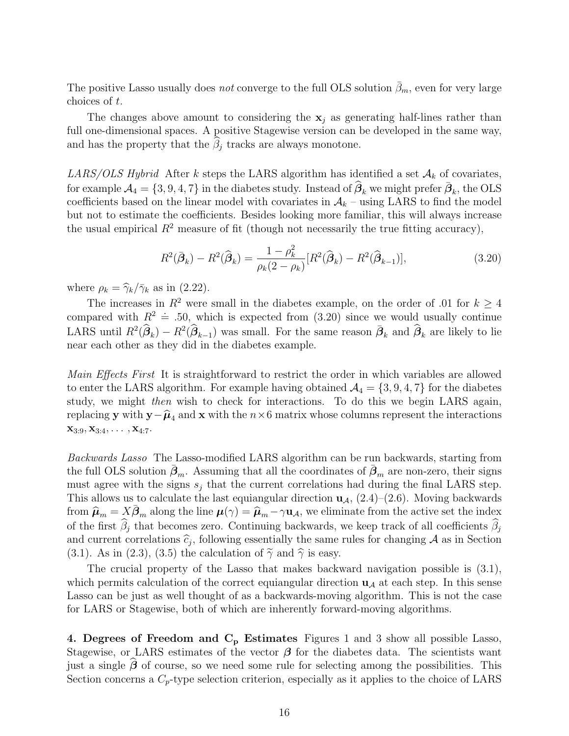The positive Lasso usually does *not* converge to the full OLS solution  $\bar{\beta}_m$ , even for very large choices of t.

The changes above amount to considering the  $x_j$  as generating half-lines rather than full one-dimensional spaces. A positive Stagewise version can be developed in the same way, and has the property that the  $\beta_j$  tracks are always monotone.

LARS/OLS Hybrid After k steps the LARS algorithm has identified a set  $\mathcal{A}_k$  of covariates,  $\mathcal{A}_4 = \{3, 9, 4, 7\}$  in the diabetes study. Instead of  $\widehat{\boldsymbol{\beta}}_k$  we might prefer  $\bar{\boldsymbol{\beta}}_k$ , the OLS coefficients based on the linear model with covariates in  $A_k$  – using LARS to find the model but not to estimate the coefficients. Besides looking more familiar, this will always increase the usual empirical  $R^2$  measure of fit (though not necessarily the true fitting accuracy),

$$
R^{2}(\bar{\beta}_{k}) - R^{2}(\hat{\beta}_{k}) = \frac{1 - \rho_{k}^{2}}{\rho_{k}(2 - \rho_{k})} [R^{2}(\hat{\beta}_{k}) - R^{2}(\hat{\beta}_{k-1})],
$$
\n(3.20)

where  $\rho_k = \hat{\gamma}_k / \bar{\gamma}_k$  as in (2.22).

The increases in  $R^2$  were small in the diabetes example, on the order of .01 for  $k \geq 4$ compared with  $R^2 \doteq 0.50$ , which is expected from (3.20) since we would usually continue LARS until  $R^2(\hat{\beta}_k) - R^2(\hat{\beta}_{k-1})$  was small. For the same reason  $\bar{\beta}_k$  and  $\hat{\beta}_k$  are likely to lie near each other as they did in the diabetes example.

Main Effects First It is straightforward to restrict the order in which variables are allowed to enter the LARS algorithm. For example having obtained  $\mathcal{A}_4 = \{3, 9, 4, 7\}$  for the diabetes study, we might then wish to check for interactions. To do this we begin LARS again, replacing **y** with **y**− $\hat{\mu}_4$  and **x** with the  $n \times 6$  matrix whose columns represent the interactions  $\mathbf{x}_{3:9}, \mathbf{x}_{3:4}, \ldots, \mathbf{x}_{4:7}.$ 

Backwards Lasso The Lasso-modified LARS algorithm can be run backwards, starting from the full OLS solution  $\bar{\beta}_m$ . Assuming that all the coordinates of  $\bar{\beta}_m$  are non-zero, their signs must agree with the signs  $s_j$  that the current correlations had during the final LARS step. This allows us to calculate the last equiangular direction  $\mathbf{u}_{\mathcal{A}}$ ,  $(2.4)$ – $(2.6)$ . Moving backwards from  $\hat{\mu}_m = X \bar{\beta}_m$  along the line  $\mu(\gamma) = \hat{\mu}_m - \gamma \mathbf{u}_A$ , we eliminate from the active set the index of the first  $\beta_j$  that becomes zero. Continuing backwards, we keep track of all coefficients  $\beta_j$ and current correlations  $\hat{c}_j$ , following essentially the same rules for changing A as in Section (3.1). As in (2.3), (3.5) the calculation of  $\tilde{\gamma}$  and  $\hat{\gamma}$  is easy.

The crucial property of the Lasso that makes backward navigation possible is (3.1), which permits calculation of the correct equiangular direction  $\mathbf{u}_{\mathcal{A}}$  at each step. In this sense Lasso can be just as well thought of as a backwards-moving algorithm. This is not the case for LARS or Stagewise, both of which are inherently forward-moving algorithms.

**4. Degrees of Freedom and C<sup>p</sup> Estimates** Figures 1 and 3 show all possible Lasso, Stagewise, or LARS estimates of the vector  $\beta$  for the diabetes data. The scientists want just a single  $\beta$  of course, so we need some rule for selecting among the possibilities. This Section concerns a  $C_p$ -type selection criterion, especially as it applies to the choice of LARS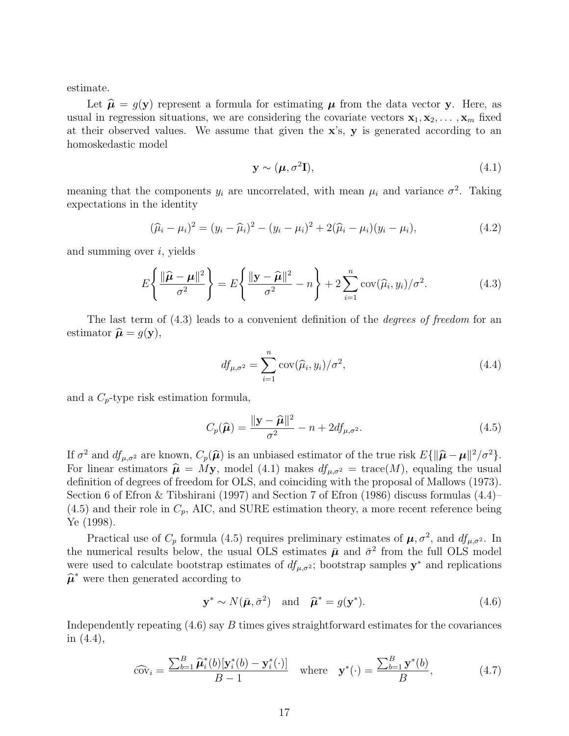estimate.

Let  $\hat{\mu} = g(\mathbf{y})$  represent a formula for estimating  $\mu$  from the data vector **y**. Here, as usual in regression situations, we are considering the covariate vectors  $\mathbf{x}_1, \mathbf{x}_2, \ldots, \mathbf{x}_m$  fixed at their observed values. We assume that given the **x**'s, **y** is generated according to an homoskedastic model

$$
\mathbf{y} \sim (\boldsymbol{\mu}, \sigma^2 \mathbf{I}),\tag{4.1}
$$

meaning that the components  $y_i$  are uncorrelated, with mean  $\mu_i$  and variance  $\sigma^2$ . Taking expectations in the identity

$$
(\hat{\mu}_i - \mu_i)^2 = (y_i - \hat{\mu}_i)^2 - (y_i - \mu_i)^2 + 2(\hat{\mu}_i - \mu_i)(y_i - \mu_i),
$$
\n(4.2)

and summing over  $i$ , yields

$$
E\left\{\frac{\|\widehat{\boldsymbol{\mu}} - \boldsymbol{\mu}\|^2}{\sigma^2}\right\} = E\left\{\frac{\|\mathbf{y} - \widehat{\boldsymbol{\mu}}\|^2}{\sigma^2} - n\right\} + 2\sum_{i=1}^n \text{cov}(\widehat{\mu}_i, y_i) / \sigma^2.
$$
 (4.3)

The last term of  $(4.3)$  leads to a convenient definition of the *degrees of freedom* for an estimator  $\hat{\boldsymbol{\mu}} = g(\mathbf{y}),$ 

$$
df_{\mu,\sigma^2} = \sum_{i=1}^n \text{cov}(\widehat{\mu}_i, y_i) / \sigma^2,
$$
\n(4.4)

and a  $C_p$ -type risk estimation formula,

$$
C_p(\widehat{\boldsymbol{\mu}}) = \frac{\|\mathbf{y} - \widehat{\boldsymbol{\mu}}\|^2}{\sigma^2} - n + 2df_{\mu,\sigma^2}.
$$
\n(4.5)

If  $\sigma^2$  and  $df_{\mu,\sigma^2}$  are known,  $C_p(\hat{\mu})$  is an unbiased estimator of the true risk  $E\{\|\hat{\mu} - \mu\|^2/\sigma^2\}$ . For linear estimators  $\hat{\mu} = M y$ , model (4.1) makes  $df_{\mu,\sigma^2} = \text{trace}(M)$ , equaling the usual definition of degrees of freedom for OLS, and coinciding with the proposal of Mallows (1973). Section 6 of Efron & Tibshirani (1997) and Section 7 of Efron (1986) discuss formulas (4.4)–  $(4.5)$  and their role in  $C_p$ , AIC, and SURE estimation theory, a more recent reference being Ye (1998).

Practical use of  $C_p$  formula (4.5) requires preliminary estimates of  $\mu$ ,  $\sigma^2$ , and  $df_{\mu,\sigma^2}$ . In the numerical results below, the usual OLS estimates  $\bar{\mu}$  and  $\bar{\sigma}^2$  from the full OLS model were used to calculate bootstrap estimates of  $df_{\mu,\sigma^2}$ ; bootstrap samples **y**<sup>\*</sup> and replications  $\hat{\boldsymbol{\mu}}^*$  were then generated according to

$$
\mathbf{y}^* \sim N(\bar{\boldsymbol{\mu}}, \bar{\sigma}^2) \quad \text{and} \quad \hat{\boldsymbol{\mu}}^* = g(\mathbf{y}^*). \tag{4.6}
$$

Independently repeating  $(4.6)$  say B times gives straightforward estimates for the covariances in (4.4),

$$
\widehat{\text{cov}}_i = \frac{\sum_{b=1}^B \widehat{\boldsymbol{\mu}}_i^*(b)[\mathbf{y}_i^*(b) - \mathbf{y}_i^*(\cdot)]}{B - 1} \quad \text{where} \quad \mathbf{y}^*(\cdot) = \frac{\sum_{b=1}^B \mathbf{y}^*(b)}{B},\tag{4.7}
$$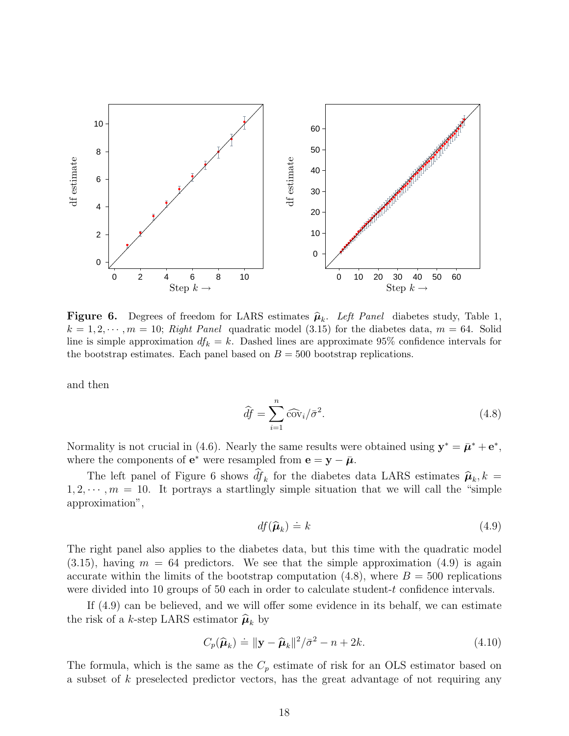

**Figure 6.** Degrees of freedom for LARS estimates  $\hat{\mu}_k$ . Left Panel diabetes study, Table 1,  $k = 1, 2, \dots, m = 10$ ; Right Panel quadratic model (3.15) for the diabetes data,  $m = 64$ . Solid line is simple approximation  $df_k = k$ . Dashed lines are approximate 95% confidence intervals for the bootstrap estimates. Each panel based on  $B = 500$  bootstrap replications.

and then

$$
\widehat{df} = \sum_{i=1}^{n} \widehat{\text{cov}}_i / \bar{\sigma}^2. \tag{4.8}
$$

Normality is not crucial in (4.6). Nearly the same results were obtained using  $\mathbf{y}^* = \bar{\boldsymbol{\mu}}^* + \mathbf{e}^*$ , where the components of  $e^*$  were resampled from  $e = y - \bar{\mu}$ .

The left panel of Figure 6 shows  $df_k$  for the diabetes data LARS estimates  $\hat{\mu}_k$ ,  $k =$  $1, 2, \dots, m = 10$ . It portrays a startlingly simple situation that we will call the "simple approximation",

$$
df(\hat{\boldsymbol{\mu}}_k) \doteq k \tag{4.9}
$$

The right panel also applies to the diabetes data, but this time with the quadratic model  $(3.15)$ , having  $m = 64$  predictors. We see that the simple approximation  $(4.9)$  is again accurate within the limits of the bootstrap computation  $(4.8)$ , where  $B = 500$  replications were divided into 10 groups of 50 each in order to calculate student-t confidence intervals.

If (4.9) can be believed, and we will offer some evidence in its behalf, we can estimate the risk of a *k*-step LARS estimator  $\hat{\boldsymbol{\mu}}_k$  by

$$
C_p(\widehat{\boldsymbol{\mu}}_k) \doteq ||\mathbf{y} - \widehat{\boldsymbol{\mu}}_k||^2 / \bar{\sigma}^2 - n + 2k. \tag{4.10}
$$

The formula, which is the same as the  $C_p$  estimate of risk for an OLS estimator based on a subset of k preselected predictor vectors, has the great advantage of not requiring any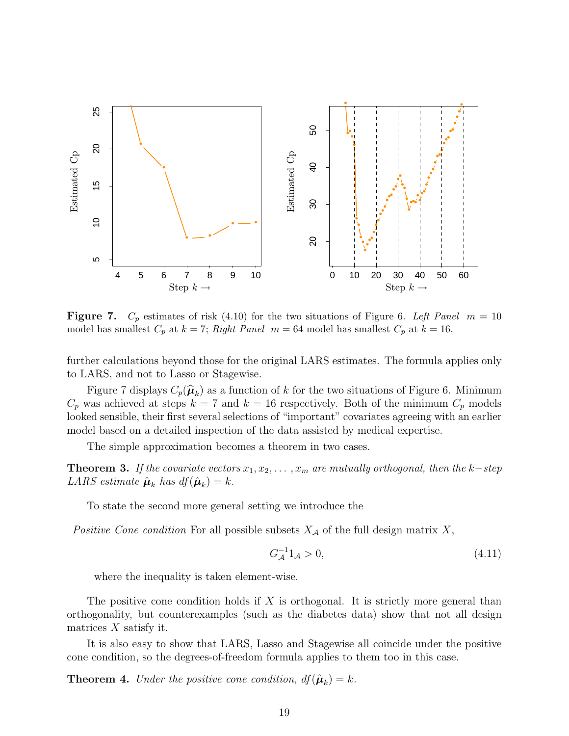

**Figure 7.**  $C_p$  estimates of risk (4.10) for the two situations of Figure 6. Left Panel  $m = 10$ model has smallest  $C_p$  at  $k = 7$ ; Right Panel  $m = 64$  model has smallest  $C_p$  at  $k = 16$ .

further calculations beyond those for the original LARS estimates. The formula applies only to LARS, and not to Lasso or Stagewise.

Figure 7 displays  $C_p(\hat{\mu}_k)$  as a function of k for the two situations of Figure 6. Minimum  $C_p$  was achieved at steps  $k = 7$  and  $k = 16$  respectively. Both of the minimum  $C_p$  models looked sensible, their first several selections of "important" covariates agreeing with an earlier model based on a detailed inspection of the data assisted by medical expertise.

The simple approximation becomes a theorem in two cases.

**Theorem 3.** If the covariate vectors  $x_1, x_2, \ldots, x_m$  are mutually orthogonal, then the k–step LARS estimate  $\hat{\boldsymbol{\mu}}_k$  has  $df(\hat{\boldsymbol{\mu}}_k) = k$ .

To state the second more general setting we introduce the

Positive Cone condition For all possible subsets  $X_{\mathcal{A}}$  of the full design matrix X,

$$
G_{\mathcal{A}}^{-1}1_{\mathcal{A}} > 0, \tag{4.11}
$$

where the inequality is taken element-wise.

The positive cone condition holds if X is orthogonal. It is strictly more general than orthogonality, but counterexamples (such as the diabetes data) show that not all design matrices  $X$  satisfy it.

It is also easy to show that LARS, Lasso and Stagewise all coincide under the positive cone condition, so the degrees-of-freedom formula applies to them too in this case.

**Theorem 4.** Under the positive cone condition,  $df(\hat{\boldsymbol{\mu}}_k) = k$ .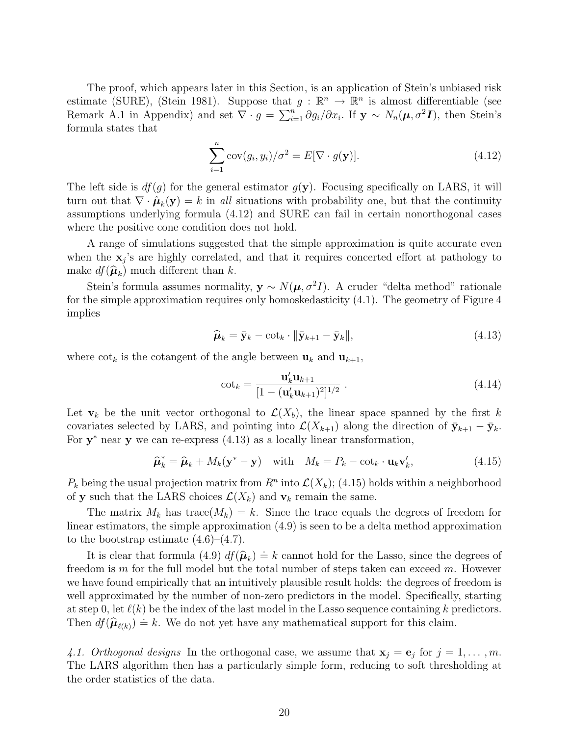The proof, which appears later in this Section, is an application of Stein's unbiased risk estimate (SURE), (Stein 1981). Suppose that  $g : \mathbb{R}^n \to \mathbb{R}^n$  is almost differentiable (see Remark A.1 in Appendix) and set  $\nabla \cdot g = \sum_{i=1}^n \partial g_i / \partial x_i$ . If  $\mathbf{y} \sim N_n(\boldsymbol{\mu}, \sigma^2 \mathbf{I})$ , then Stein's formula states that

$$
\sum_{i=1}^{n} \text{cov}(g_i, y_i) / \sigma^2 = E[\nabla \cdot g(\mathbf{y})]. \tag{4.12}
$$

The left side is  $df(g)$  for the general estimator  $g(y)$ . Focusing specifically on LARS, it will turn out that  $\nabla \cdot \hat{\boldsymbol{\mu}}_k(\mathbf{y}) = k$  in all situations with probability one, but that the continuity assumptions underlying formula (4.12) and SURE can fail in certain nonorthogonal cases where the positive cone condition does not hold.

A range of simulations suggested that the simple approximation is quite accurate even when the  $x_j$ 's are highly correlated, and that it requires concerted effort at pathology to make  $df(\hat{\boldsymbol{\mu}}_k)$  much different than k.

Stein's formula assumes normality,  $y \sim N(\mu, \sigma^2 I)$ . A cruder "delta method" rationale for the simple approximation requires only homoskedasticity (4.1). The geometry of Figure 4 implies

$$
\widehat{\boldsymbol{\mu}}_k = \bar{\mathbf{y}}_k - \cot_k \cdot \|\bar{\mathbf{y}}_{k+1} - \bar{\mathbf{y}}_k\|,\tag{4.13}
$$

where  $\cot_k$  is the cotangent of the angle between  $\mathbf{u}_k$  and  $\mathbf{u}_{k+1}$ ,

$$
\cot_k = \frac{\mathbf{u}_k' \mathbf{u}_{k+1}}{[1 - (\mathbf{u}_k' \mathbf{u}_{k+1})^2]^{1/2}} \,. \tag{4.14}
$$

Let  $\mathbf{v}_k$  be the unit vector orthogonal to  $\mathcal{L}(X_b)$ , the linear space spanned by the first k covariates selected by LARS, and pointing into  $\mathcal{L}(X_{k+1})$  along the direction of  $\bar{\mathbf{y}}_{k+1} - \bar{\mathbf{y}}_k$ . For **y**<sup>∗</sup> near **y** we can re-express (4.13) as a locally linear transformation,

$$
\widehat{\boldsymbol{\mu}}_k^* = \widehat{\boldsymbol{\mu}}_k + M_k(\mathbf{y}^* - \mathbf{y}) \quad \text{with} \quad M_k = P_k - \cot_k \cdot \mathbf{u}_k \mathbf{v}_k', \tag{4.15}
$$

 $P_k$  being the usual projection matrix from  $R^n$  into  $\mathcal{L}(X_k)$ ; (4.15) holds within a neighborhood of **y** such that the LARS choices  $\mathcal{L}(X_k)$  and  $\mathbf{v}_k$  remain the same.

The matrix  $M_k$  has trace( $M_k$ ) = k. Since the trace equals the degrees of freedom for linear estimators, the simple approximation (4.9) is seen to be a delta method approximation to the bootstrap estimate  $(4.6)$ – $(4.7)$ .

It is clear that formula  $(4.9)$   $df(\hat{\mu}_k) = k$  cannot hold for the Lasso, since the degrees of freedom is m for the full model but the total number of steps taken can exceed m. However we have found empirically that an intuitively plausible result holds: the degrees of freedom is well approximated by the number of non-zero predictors in the model. Specifically, starting at step 0, let  $\ell(k)$  be the index of the last model in the Lasso sequence containing k predictors. Then  $df(\hat{\boldsymbol{\mu}}_{\ell(k)}) \doteq k$ . We do not yet have any mathematical support for this claim.

4.1. Orthogonal designs In the orthogonal case, we assume that  $\mathbf{x}_j = \mathbf{e}_j$  for  $j = 1, \ldots, m$ . The LARS algorithm then has a particularly simple form, reducing to soft thresholding at the order statistics of the data.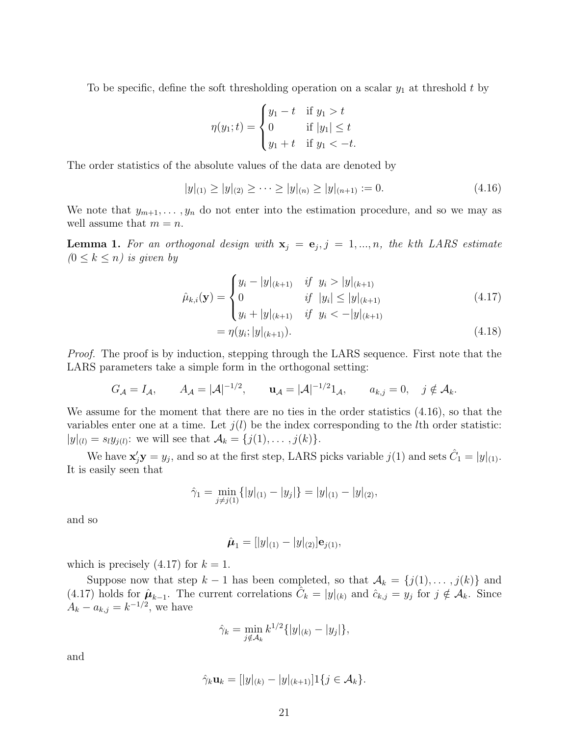To be specific, define the soft thresholding operation on a scalar  $y_1$  at threshold t by

$$
\eta(y_1; t) = \begin{cases} y_1 - t & \text{if } y_1 > t \\ 0 & \text{if } |y_1| \le t \\ y_1 + t & \text{if } y_1 < -t. \end{cases}
$$

The order statistics of the absolute values of the data are denoted by

$$
|y|_{(1)} \ge |y|_{(2)} \ge \cdots \ge |y|_{(n)} \ge |y|_{(n+1)} := 0. \tag{4.16}
$$

We note that  $y_{m+1},\ldots,y_n$  do not enter into the estimation procedure, and so we may as well assume that  $m = n$ .

**Lemma 1.** For an orthogonal design with  $\mathbf{x}_j = \mathbf{e}_j, j = 1, ..., n$ , the kth LARS estimate  $(0 \leq k \leq n)$  is given by

$$
\hat{\mu}_{k,i}(\mathbf{y}) = \begin{cases}\ny_i - |y|_{(k+1)} & \text{if } y_i > |y|_{(k+1)} \\
0 & \text{if } |y_i| \le |y|_{(k+1)} \\
y_i + |y|_{(k+1)} & \text{if } y_i < -|y|_{(k+1)}\n\end{cases}\n\tag{4.17}
$$
\n
$$
= \eta(y_i; |y|_{(k+1)}).
$$
\n(4.18)

Proof. The proof is by induction, stepping through the LARS sequence. First note that the LARS parameters take a simple form in the orthogonal setting:

$$
G_{\mathcal{A}} = I_{\mathcal{A}}, \qquad A_{\mathcal{A}} = |\mathcal{A}|^{-1/2}, \qquad \mathbf{u}_{\mathcal{A}} = |\mathcal{A}|^{-1/2} \mathbf{1}_{\mathcal{A}}, \qquad a_{k,j} = 0, \quad j \notin \mathcal{A}_{k}.
$$

We assume for the moment that there are no ties in the order statistics (4.16), so that the variables enter one at a time. Let  $j(l)$  be the index corresponding to the lth order statistic:  $|y|_{(l)} = s_l y_{j(l)}$ : we will see that  $A_k = \{j(1), \ldots, j(k)\}.$ 

We have  $\mathbf{x}'_j \mathbf{y} = y_j$ , and so at the first step, LARS picks variable  $j(1)$  and sets  $\hat{C}_1 = |y|_{(1)}$ . It is easily seen that

$$
\hat{\gamma}_1 = \min_{j \neq j(1)} \{|y|_{(1)} - |y_j|\} = |y|_{(1)} - |y|_{(2)},
$$

and so

$$
\hat{\boldsymbol{\mu}}_1 = [|y|_{(1)} - |y|_{(2)}] \mathbf{e}_{j(1)},
$$

which is precisely  $(4.17)$  for  $k = 1$ .

Suppose now that step  $k-1$  has been completed, so that  $\mathcal{A}_k = \{j(1), \ldots, j(k)\}\$ and (4.17) holds for  $\hat{\mu}_{k-1}$ . The current correlations  $\hat{C}_k = |y|_{(k)}$  and  $\hat{c}_{k,j} = y_j$  for  $j \notin \mathcal{A}_k$ . Since  $A_k - a_{k,j} = k^{-1/2}$ , we have

$$
\hat{\gamma}_k = \min_{j \notin \mathcal{A}_k} k^{1/2} \{ |y|_{(k)} - |y_j| \},\
$$

and

$$
\hat{\gamma}_k \mathbf{u}_k = [|y|_{(k)} - |y|_{(k+1)}] \mathbf{1} \{ j \in \mathcal{A}_k \}.
$$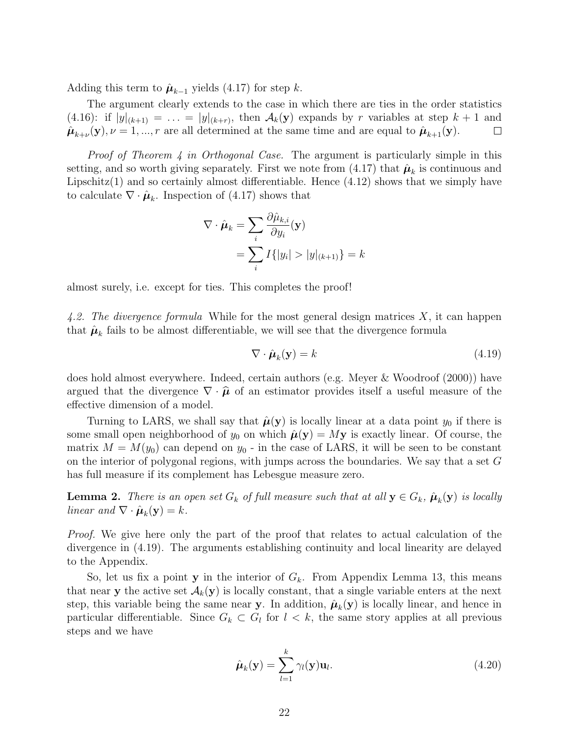Adding this term to  $\hat{\mu}_{k-1}$  yields (4.17) for step k.

The argument clearly extends to the case in which there are ties in the order statistics  $(4.16)$ : if  $|y|_{(k+1)} = \ldots = |y|_{(k+r)}$ , then  $\mathcal{A}_k(\mathbf{y})$  expands by r variables at step  $k+1$  and  $\hat{\boldsymbol{\mu}}_{k+\nu}(\mathbf{y}), \nu = 1, ..., r$  are all determined at the same time and are equal to  $\hat{\boldsymbol{\mu}}_{k+1}(\mathbf{y}).$  $\Box$ 

Proof of Theorem 4 in Orthogonal Case. The argument is particularly simple in this setting, and so worth giving separately. First we note from  $(4.17)$  that  $\hat{\mu}_k$  is continuous and Lipschitz $(1)$  and so certainly almost differentiable. Hence  $(4.12)$  shows that we simply have to calculate  $\nabla \cdot \hat{\boldsymbol{\mu}}_k$ . Inspection of (4.17) shows that

$$
\nabla \cdot \hat{\boldsymbol{\mu}}_k = \sum_i \frac{\partial \hat{\mu}_{k,i}}{\partial y_i}(\mathbf{y})
$$
  
= 
$$
\sum_i I\{|y_i| > |y|_{(k+1)}\} = k
$$

almost surely, i.e. except for ties. This completes the proof!

4.2. The divergence formula While for the most general design matrices  $X$ , it can happen that  $\hat{\mu}_k$  fails to be almost differentiable, we will see that the divergence formula

$$
\nabla \cdot \hat{\boldsymbol{\mu}}_k(\mathbf{y}) = k \tag{4.19}
$$

does hold almost everywhere. Indeed, certain authors (e.g. Meyer & Woodroof (2000)) have argued that the divergence  $\nabla \cdot \hat{\boldsymbol{\mu}}$  of an estimator provides itself a useful measure of the effective dimension of a model.

Turning to LARS, we shall say that  $\hat{\mu}(\mathbf{y})$  is locally linear at a data point  $y_0$  if there is some small open neighborhood of  $y_0$  on which  $\hat{\mu}(y) = My$  is exactly linear. Of course, the matrix  $M = M(y_0)$  can depend on  $y_0$  - in the case of LARS, it will be seen to be constant on the interior of polygonal regions, with jumps across the boundaries. We say that a set G has full measure if its complement has Lebesgue measure zero.

**Lemma 2.** There is an open set  $G_k$  of full measure such that at all  $y \in G_k$ ,  $\hat{\mu}_k(y)$  is locally linear and  $\nabla \cdot \hat{\boldsymbol{\mu}}_k(\mathbf{y}) = k$ .

*Proof.* We give here only the part of the proof that relates to actual calculation of the divergence in (4.19). The arguments establishing continuity and local linearity are delayed to the Appendix.

So, let us fix a point **y** in the interior of  $G_k$ . From Appendix Lemma 13, this means that near **y** the active set  $\mathcal{A}_k(\mathbf{y})$  is locally constant, that a single variable enters at the next step, this variable being the same near **y**. In addition,  $\hat{\mu}_k(y)$  is locally linear, and hence in particular differentiable. Since  $G_k \subset G_l$  for  $l \leq k$ , the same story applies at all previous steps and we have

$$
\hat{\boldsymbol{\mu}}_k(\mathbf{y}) = \sum_{l=1}^k \gamma_l(\mathbf{y}) \mathbf{u}_l.
$$
\n(4.20)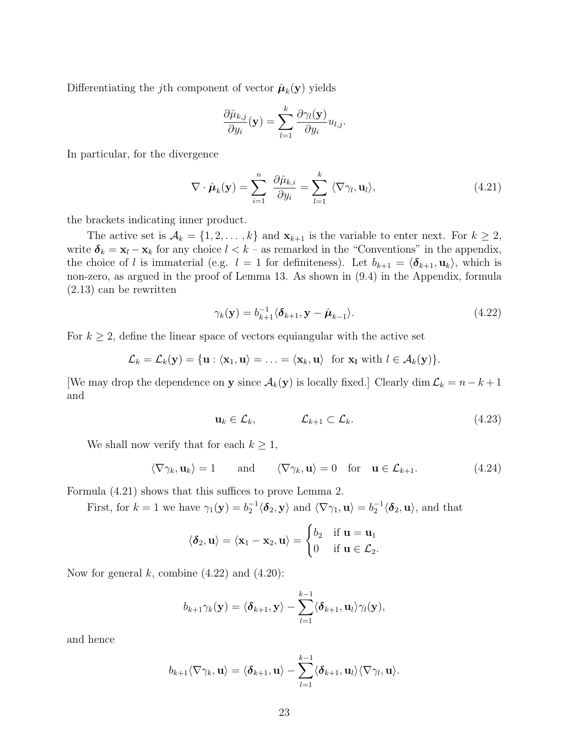Differentiating the j<sup>th</sup> component of vector  $\hat{\boldsymbol{\mu}}_k(\mathbf{y})$  yields

$$
\frac{\partial \hat{\mu}_{k,j}}{\partial y_i}(\mathbf{y}) = \sum_{l=1}^k \frac{\partial \gamma_l(\mathbf{y})}{\partial y_i} u_{l,j}.
$$

In particular, for the divergence

$$
\nabla \cdot \hat{\boldsymbol{\mu}}_k(\mathbf{y}) = \sum_{i=1}^n \frac{\partial \hat{\mu}_{k,i}}{\partial y_i} = \sum_{l=1}^k \langle \nabla \gamma_l, \mathbf{u}_l \rangle,
$$
\n(4.21)

the brackets indicating inner product.

The active set is  $A_k = \{1, 2, ..., k\}$  and  $\mathbf{x}_{k+1}$  is the variable to enter next. For  $k \geq 2$ , write  $\delta_k = \mathbf{x}_l - \mathbf{x}_k$  for any choice  $l < k$  – as remarked in the "Conventions" in the appendix, the choice of l is immaterial (e.g.  $l = 1$  for definiteness). Let  $b_{k+1} = \langle \delta_{k+1}, \mathbf{u}_k \rangle$ , which is non-zero, as argued in the proof of Lemma 13. As shown in (9.4) in the Appendix, formula (2.13) can be rewritten

$$
\gamma_k(\mathbf{y}) = b_{k+1}^{-1} \langle \boldsymbol{\delta}_{k+1}, \mathbf{y} - \hat{\boldsymbol{\mu}}_{k-1} \rangle.
$$
 (4.22)

For  $k \geq 2$ , define the linear space of vectors equiangular with the active set

$$
\mathcal{L}_k = \mathcal{L}_k(\mathbf{y}) = \{\mathbf{u} : \langle \mathbf{x}_1, \mathbf{u} \rangle = \ldots = \langle \mathbf{x}_k, \mathbf{u} \rangle \text{ for } \mathbf{x}_1 \text{ with } l \in \mathcal{A}_k(\mathbf{y})\}.
$$

[We may drop the dependence on **y** since  $\mathcal{A}_k(\mathbf{y})$  is locally fixed.] Clearly dim  $\mathcal{L}_k = n - k + 1$ and

$$
\mathbf{u}_k \in \mathcal{L}_k, \qquad \mathcal{L}_{k+1} \subset \mathcal{L}_k. \tag{4.23}
$$

We shall now verify that for each  $k \geq 1$ ,

$$
\langle \nabla \gamma_k, \mathbf{u}_k \rangle = 1
$$
 and  $\langle \nabla \gamma_k, \mathbf{u} \rangle = 0$  for  $\mathbf{u} \in \mathcal{L}_{k+1}.$  (4.24)

Formula (4.21) shows that this suffices to prove Lemma 2.

First, for  $k = 1$  we have  $\gamma_1(\mathbf{y}) = b_2^{-1} \langle \mathbf{\delta}_2, \mathbf{y} \rangle$  and  $\langle \nabla \gamma_1, \mathbf{u} \rangle = b_2^{-1} \langle \mathbf{\delta}_2, \mathbf{u} \rangle$ , and that

$$
\langle \delta_2, \mathbf{u} \rangle = \langle \mathbf{x}_1 - \mathbf{x}_2, \mathbf{u} \rangle = \begin{cases} b_2 & \text{if } \mathbf{u} = \mathbf{u}_1 \\ 0 & \text{if } \mathbf{u} \in \mathcal{L}_2. \end{cases}
$$

Now for general  $k$ , combine  $(4.22)$  and  $(4.20)$ :

$$
b_{k+1}\gamma_k(\mathbf{y}) = \langle \boldsymbol{\delta}_{k+1}, \mathbf{y} \rangle - \sum_{l=1}^{k-1} \langle \boldsymbol{\delta}_{k+1}, \mathbf{u}_l \rangle \gamma_l(\mathbf{y}),
$$

and hence

$$
b_{k+1}\langle \nabla \gamma_k, \mathbf{u}\rangle=\langle \boldsymbol{\delta}_{k+1}, \mathbf{u}\rangle-\sum_{l=1}^{k-1}\langle \boldsymbol{\delta}_{k+1}, \mathbf{u}_l\rangle \langle \nabla \gamma_l, \mathbf{u}\rangle.
$$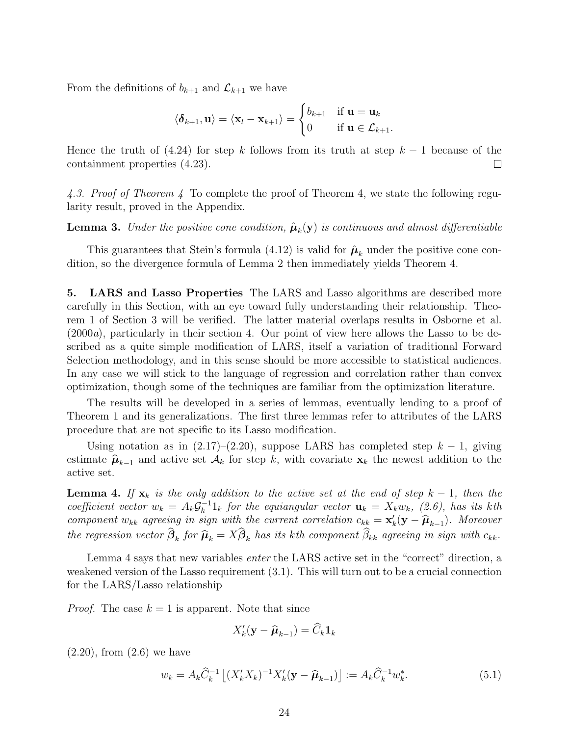From the definitions of  $b_{k+1}$  and  $\mathcal{L}_{k+1}$  we have

$$
\langle \boldsymbol{\delta}_{k+1}, \mathbf{u} \rangle = \langle \mathbf{x}_l - \mathbf{x}_{k+1} \rangle = \begin{cases} b_{k+1} & \text{if } \mathbf{u} = \mathbf{u}_k \\ 0 & \text{if } \mathbf{u} \in \mathcal{L}_{k+1}. \end{cases}
$$

Hence the truth of (4.24) for step k follows from its truth at step  $k-1$  because of the containment properties (4.23).  $\Box$ 

4.3. Proof of Theorem 4 To complete the proof of Theorem 4, we state the following regularity result, proved in the Appendix.

**Lemma 3.** Under the positive cone condition,  $\hat{\mu}_k(y)$  is continuous and almost differentiable

This guarantees that Stein's formula  $(4.12)$  is valid for  $\hat{\mu}_k$  under the positive cone condition, so the divergence formula of Lemma 2 then immediately yields Theorem 4.

**5. LARS and Lasso Properties** The LARS and Lasso algorithms are described more carefully in this Section, with an eye toward fully understanding their relationship. Theorem 1 of Section 3 will be verified. The latter material overlaps results in Osborne et al. (2000a), particularly in their section 4. Our point of view here allows the Lasso to be described as a quite simple modification of LARS, itself a variation of traditional Forward Selection methodology, and in this sense should be more accessible to statistical audiences. In any case we will stick to the language of regression and correlation rather than convex optimization, though some of the techniques are familiar from the optimization literature.

The results will be developed in a series of lemmas, eventually lending to a proof of Theorem 1 and its generalizations. The first three lemmas refer to attributes of the LARS procedure that are not specific to its Lasso modification.

Using notation as in  $(2.17)–(2.20)$ , suppose LARS has completed step  $k-1$ , giving estimate  $\hat{\mu}_{k-1}$  and active set  $\mathcal{A}_k$  for step k, with covariate  $\mathbf{x}_k$  the newest addition to the active set.

**Lemma 4.** If  $\mathbf{x}_k$  is the only addition to the active set at the end of step  $k-1$ , then the coefficient vector  $w_k = A_k \mathcal{G}_k^{-1} \mathbb{1}_k$  for the equiangular vector  $\mathbf{u}_k = X_k w_k$ , (2.6), has its kth component w<sub>kk</sub> agreeing in sign with the current correlation  $c_{kk} = \mathbf{x}'_k(\mathbf{y} - \hat{\boldsymbol{\mu}}_{k-1})$ . Moreover the regression vector  $\beta_k$  for  $\widehat{\mu}_k = X\beta_k$  has its kth component  $\beta_{kk}$  agreeing in sign with  $c_{kk}$ .

Lemma 4 says that new variables enter the LARS active set in the "correct" direction, a weakened version of the Lasso requirement (3.1). This will turn out to be a crucial connection for the LARS/Lasso relationship

*Proof.* The case  $k = 1$  is apparent. Note that since

$$
X'_{k}(\mathbf{y} - \widehat{\boldsymbol{\mu}}_{k-1}) = \widehat{C}_{k} \mathbf{1}_{k}
$$

(2.20), from (2.6) we have

$$
w_k = A_k \widehat{C}_k^{-1} \left[ (X_k' X_k)^{-1} X_k' (\mathbf{y} - \widehat{\boldsymbol{\mu}}_{k-1}) \right] := A_k \widehat{C}_k^{-1} w_k^*.
$$
 (5.1)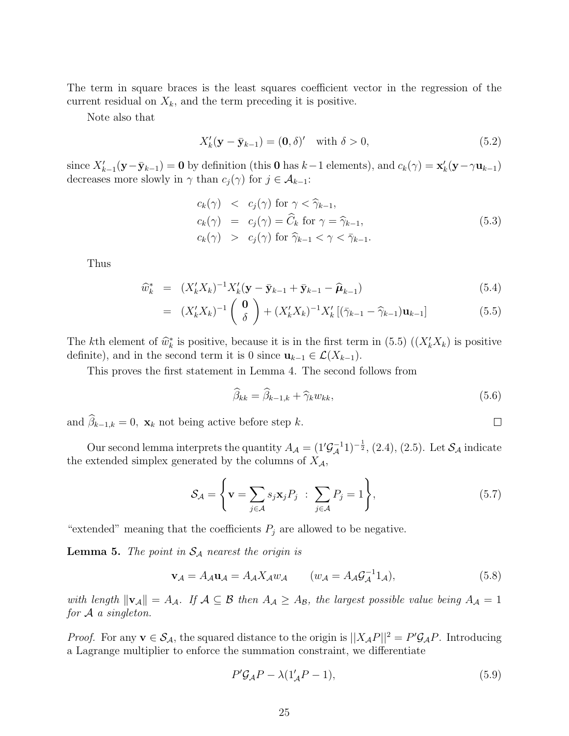The term in square braces is the least squares coefficient vector in the regression of the current residual on  $X_k$ , and the term preceding it is positive.

Note also that

$$
X'_{k}(\mathbf{y} - \bar{\mathbf{y}}_{k-1}) = (\mathbf{0}, \delta)' \quad \text{with } \delta > 0,
$$
\n
$$
(5.2)
$$

since  $X'_{k-1}(\mathbf{y}-\bar{\mathbf{y}}_{k-1}) = \mathbf{0}$  by definition (this  $\mathbf{0}$  has  $k-1$  elements), and  $c_k(\gamma) = \mathbf{x}'_k(\mathbf{y}-\gamma \mathbf{u}_{k-1})$ decreases more slowly in  $\gamma$  than  $c_j(\gamma)$  for  $j \in \mathcal{A}_{k-1}$ :

$$
c_k(\gamma) < c_j(\gamma) \text{ for } \gamma < \widehat{\gamma}_{k-1},
$$
\n
$$
c_k(\gamma) = c_j(\gamma) = \widehat{C}_k \text{ for } \gamma = \widehat{\gamma}_{k-1},
$$
\n
$$
c_k(\gamma) > c_j(\gamma) \text{ for } \widehat{\gamma}_{k-1} < \gamma < \overline{\gamma}_{k-1}.
$$
\n
$$
(5.3)
$$

Thus

$$
\widehat{w}_{k}^{*} = (X_{k}'X_{k})^{-1}X_{k}'(\mathbf{y} - \bar{\mathbf{y}}_{k-1} + \bar{\mathbf{y}}_{k-1} - \widehat{\boldsymbol{\mu}}_{k-1})
$$
\n(5.4)

$$
= (X'_{k}X_{k})^{-1} \begin{pmatrix} \mathbf{0} \\ \delta \end{pmatrix} + (X'_{k}X_{k})^{-1}X'_{k} [(\bar{\gamma}_{k-1} - \hat{\gamma}_{k-1})\mathbf{u}_{k-1}]
$$
(5.5)

The kth element of  $\hat{w}_k^*$  is positive, because it is in the first term in (5.5)  $((X_k'X_k)$  is positive definite), and in the second term it is 0 since  $\mathbf{u}_{k-1} \in \mathcal{L}(X_{k-1})$ .

This proves the first statement in Lemma 4. The second follows from

$$
\widehat{\beta}_{kk} = \widehat{\beta}_{k-1,k} + \widehat{\gamma}_k w_{kk},\tag{5.6}
$$

 $\Box$ 

and  $\beta_{k-1,k} = 0$ ,  $\mathbf{x}_k$  not being active before step k.

Our second lemma interprets the quantity  $A_{\mathcal{A}} = (1'\mathcal{G}_{\mathcal{A}}^{-1}1)^{-\frac{1}{2}}, (2.4), (2.5)$ . Let  $\mathcal{S}_{\mathcal{A}}$  indicate the extended simplex generated by the columns of  $X_{\mathcal{A}}$ ,

$$
\mathcal{S}_{\mathcal{A}} = \left\{ \mathbf{v} = \sum_{j \in \mathcal{A}} s_j \mathbf{x}_j P_j \; : \; \sum_{j \in \mathcal{A}} P_j = 1 \right\},\tag{5.7}
$$

"extended" meaning that the coefficients  $P_j$  are allowed to be negative.

**Lemma 5.** The point in  $S_A$  nearest the origin is

$$
\mathbf{v}_{\mathcal{A}} = A_{\mathcal{A}} \mathbf{u}_{\mathcal{A}} = A_{\mathcal{A}} X_{\mathcal{A}} w_{\mathcal{A}} \qquad (w_{\mathcal{A}} = A_{\mathcal{A}} \mathcal{G}_{\mathcal{A}}^{-1} 1_{\mathcal{A}}), \tag{5.8}
$$

with length  $\|\mathbf{v}_\mathcal{A}\| = A_\mathcal{A}$ . If  $\mathcal{A} \subseteq \mathcal{B}$  then  $A_\mathcal{A} \geq A_\mathcal{B}$ , the largest possible value being  $A_\mathcal{A} = 1$ for  $A$  a singleton.

*Proof.* For any  $\mathbf{v} \in \mathcal{S}_{A}$ , the squared distance to the origin is  $||X_{A}P||^{2} = P'\mathcal{G}_{A}P$ . Introducing a Lagrange multiplier to enforce the summation constraint, we differentiate

$$
P' \mathcal{G}_{\mathcal{A}} P - \lambda (1'_{\mathcal{A}} P - 1), \tag{5.9}
$$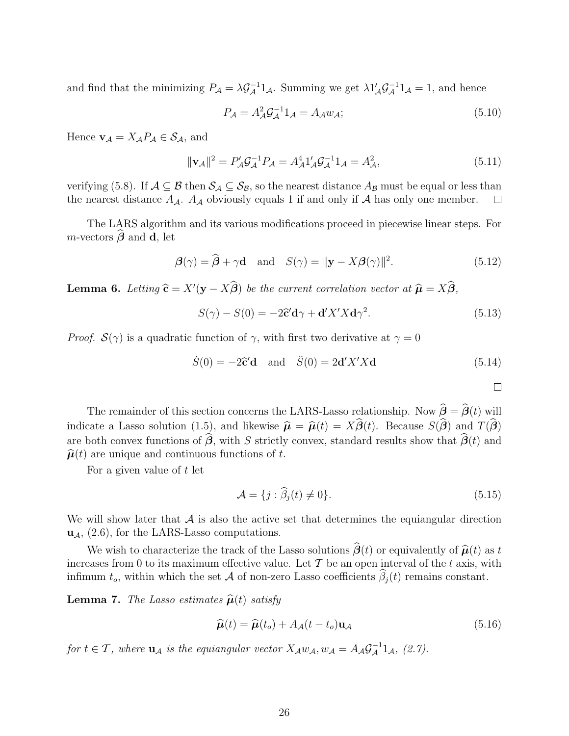and find that the minimizing  $P_{\mathcal{A}} = \lambda \mathcal{G}_{\mathcal{A}}^{-1}1_{\mathcal{A}}$ . Summing we get  $\lambda 1'_{\mathcal{A}} \mathcal{G}_{\mathcal{A}}^{-1}1_{\mathcal{A}} = 1$ , and hence

$$
P_{\mathcal{A}} = A_{\mathcal{A}}^2 \mathcal{G}_{\mathcal{A}}^{-1} 1_{\mathcal{A}} = A_{\mathcal{A}} w_{\mathcal{A}};
$$
\n(5.10)

Hence  $\mathbf{v}_{\mathcal{A}} = X_{\mathcal{A}} P_{\mathcal{A}} \in \mathcal{S}_{\mathcal{A}}$ , and

$$
\|\mathbf{v}_{\mathcal{A}}\|^2 = P'_{\mathcal{A}} \mathcal{G}_{\mathcal{A}}^{-1} P_{\mathcal{A}} = A_{\mathcal{A}}^4 \mathbf{1}'_{\mathcal{A}} \mathcal{G}_{\mathcal{A}}^{-1} \mathbf{1}_{\mathcal{A}} = A_{\mathcal{A}}^2,\tag{5.11}
$$

verifying (5.8). If  $A \subseteq B$  then  $S_A \subseteq S_B$ , so the nearest distance  $A_B$  must be equal or less than the nearest distance  $A_A$ .  $A_A$  obviously equals 1 if and only if A has only one member.  $\Box$ the nearest distance  $A_{\mathcal{A}}$ .  $A_{\mathcal{A}}$  obviously equals 1 if and only if  $\mathcal A$  has only one member.

The LARS algorithm and its various modifications proceed in piecewise linear steps. For  $m$ -vectors  $\boldsymbol{\beta}$  and **d**, let

$$
\boldsymbol{\beta}(\gamma) = \widehat{\boldsymbol{\beta}} + \gamma \mathbf{d} \quad \text{and} \quad S(\gamma) = \|\mathbf{y} - X\boldsymbol{\beta}(\gamma)\|^2. \tag{5.12}
$$

**Lemma 6.** Letting  $\hat{\mathbf{c}} = X'(\mathbf{y} - X\boldsymbol{\beta})$  be the current correlation vector at  $\hat{\boldsymbol{\mu}} = X\boldsymbol{\beta}$ ,

$$
S(\gamma) - S(0) = -2\hat{\mathbf{c}}'\mathbf{d}\gamma + \mathbf{d}'X'X\mathbf{d}\gamma^2.
$$
 (5.13)

*Proof.*  $\mathcal{S}(\gamma)$  is a quadratic function of  $\gamma$ , with first two derivative at  $\gamma = 0$ 

$$
\dot{S}(0) = -2\hat{c}'\mathbf{d} \quad \text{and} \quad \ddot{S}(0) = 2\mathbf{d}'X'X\mathbf{d} \tag{5.14}
$$

 $\Box$ 

The remainder of this section concerns the LARS-Lasso relationship. Now  $\beta = \beta(t)$  will indicate a Lasso solution (1.5), and likewise  $\hat{\mu} = \hat{\mu}(t) = X\beta(t)$ . Because  $S(\beta)$  and  $T(\beta)$ are both convex functions of  $\beta$ , with S strictly convex, standard results show that  $\beta(t)$  and  $\hat{\boldsymbol{\mu}}(t)$  are unique and continuous functions of t.

For a given value of t let

$$
\mathcal{A} = \{j : \widehat{\beta}_j(t) \neq 0\}.
$$
\n(5.15)

We will show later that  $\mathcal A$  is also the active set that determines the equiangular direction **u**A, (2.6), for the LARS-Lasso computations.

We wish to characterize the track of the Lasso solutions  $\beta(t)$  or equivalently of  $\hat{\mu}(t)$  as t increases from 0 to its maximum effective value. Let  $\mathcal T$  be an open interval of the t axis, with infimum  $t_o$ , within which the set  $\mathcal A$  of non-zero Lasso coefficients  $\beta_j(t)$  remains constant.

**Lemma 7.** The Lasso estimates  $\hat{\boldsymbol{\mu}}(t)$  satisfy

$$
\widehat{\boldsymbol{\mu}}(t) = \widehat{\boldsymbol{\mu}}(t_o) + A_{\mathcal{A}}(t - t_o) \mathbf{u}_{\mathcal{A}} \tag{5.16}
$$

for  $t \in \mathcal{T}$ , where  $\mathbf{u}_{\mathcal{A}}$  is the equiangular vector  $X_{\mathcal{A}}w_{\mathcal{A}}, w_{\mathcal{A}} = A_{\mathcal{A}}\mathcal{G}_{\mathcal{A}}^{-1}1_{\mathcal{A}}, (2.7)$ .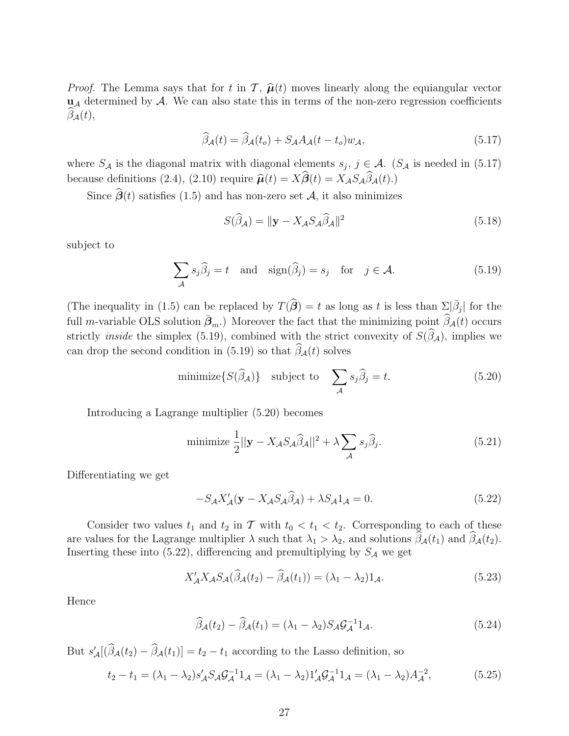*Proof.* The Lemma says that for t in  $\mathcal{T}, \hat{\boldsymbol{\mu}}(t)$  moves linearly along the equiangular vector  **determined by**  $A$ **. We can also state this in terms of the non-zero regression coefficients**  $\beta_{\mathcal{A}}(t),$ 

$$
\widehat{\beta}_{\mathcal{A}}(t) = \widehat{\beta}_{\mathcal{A}}(t_o) + S_{\mathcal{A}} A_{\mathcal{A}}(t - t_o) w_{\mathcal{A}},\tag{5.17}
$$

where  $S_{\mathcal{A}}$  is the diagonal matrix with diagonal elements  $s_j, j \in \mathcal{A}$ . ( $S_{\mathcal{A}}$  is needed in (5.17) because definitions (2.4), (2.10) require  $\hat{\boldsymbol{\mu}}(t) = X\boldsymbol{\beta}(t) = X_{\mathcal{A}}S_{\mathcal{A}}\beta_{\mathcal{A}}(t)$ .)

Since  $\beta(t)$  satisfies (1.5) and has non-zero set  $\mathcal{A}$ , it also minimizes

$$
S(\widehat{\beta}_{\mathcal{A}}) = \|\mathbf{y} - X_{\mathcal{A}} S_{\mathcal{A}} \widehat{\beta}_{\mathcal{A}}\|^2 \tag{5.18}
$$

subject to

$$
\sum_{\mathcal{A}} s_j \hat{\beta}_j = t \quad \text{and} \quad \text{sign}(\hat{\beta}_j) = s_j \quad \text{for} \quad j \in \mathcal{A}.
$$
 (5.19)

(The inequality in (1.5) can be replaced by  $T(\hat{\beta}) = t$  as long as t is less than  $\Sigma_{\hat{\beta}}|\hat{\beta}_j|$  for the full *m*-variable OLS solution  $\bar{\beta}_m$ .) Moreover the fact that the minimizing point  $\widehat{\beta}_{\mathcal{A}}(t)$  occurs strictly *inside* the simplex (5.19), combined with the strict convexity of  $S(\beta_{\mathcal{A}})$ , implies we can drop the second condition in (5.19) so that  $\beta_{\mathcal{A}}(t)$  solves

minimize
$$
\{S(\widehat{\beta}_{\mathcal{A}})\}
$$
 subject to  $\sum_{\mathcal{A}} s_j \widehat{\beta}_j = t.$  (5.20)

Introducing a Lagrange multiplier (5.20) becomes

minimize 
$$
\frac{1}{2} ||\mathbf{y} - X_{\mathcal{A}} S_{\mathcal{A}} \hat{\beta}_{\mathcal{A}}||^2 + \lambda \sum_{\mathcal{A}} s_j \hat{\beta}_j.
$$
 (5.21)

Differentiating we get

$$
-S_A X'_A(\mathbf{y} - X_A S_A \hat{\beta}_A) + \lambda S_A 1_A = 0.
$$
\n(5.22)

Consider two values  $t_1$  and  $t_2$  in T with  $t_0 < t_1 < t_2$ . Corresponding to each of these are values for the Lagrange multiplier  $\lambda$  such that  $\lambda_1 > \lambda_2$ , and solutions  $\beta_{\mathcal{A}}(t_1)$  and  $\beta_{\mathcal{A}}(t_2)$ . Inserting these into (5.22), differencing and premultiplying by  $S_A$  we get

$$
X'_{\mathcal{A}} X_{\mathcal{A}} S_{\mathcal{A}}(\widehat{\beta}_{\mathcal{A}}(t_2) - \widehat{\beta}_{\mathcal{A}}(t_1)) = (\lambda_1 - \lambda_2) 1_{\mathcal{A}}.
$$
\n(5.23)

Hence

$$
\widehat{\beta}_{\mathcal{A}}(t_2) - \widehat{\beta}_{\mathcal{A}}(t_1) = (\lambda_1 - \lambda_2) S_{\mathcal{A}} \mathcal{G}_{\mathcal{A}}^{-1} \mathbf{1}_{\mathcal{A}}.
$$
\n(5.24)

But  $s'_{\mathcal{A}}[(\beta_{\mathcal{A}}(t_2) - \beta_{\mathcal{A}}(t_1)] = t_2 - t_1$  according to the Lasso definition, so

$$
t_2 - t_1 = (\lambda_1 - \lambda_2)s'_{\mathcal{A}}S_{\mathcal{A}}\mathcal{G}_{\mathcal{A}}^{-1}1_{\mathcal{A}} = (\lambda_1 - \lambda_2)1'_{\mathcal{A}}\mathcal{G}_{\mathcal{A}}^{-1}1_{\mathcal{A}} = (\lambda_1 - \lambda_2)A_{\mathcal{A}}^{-2},
$$
(5.25)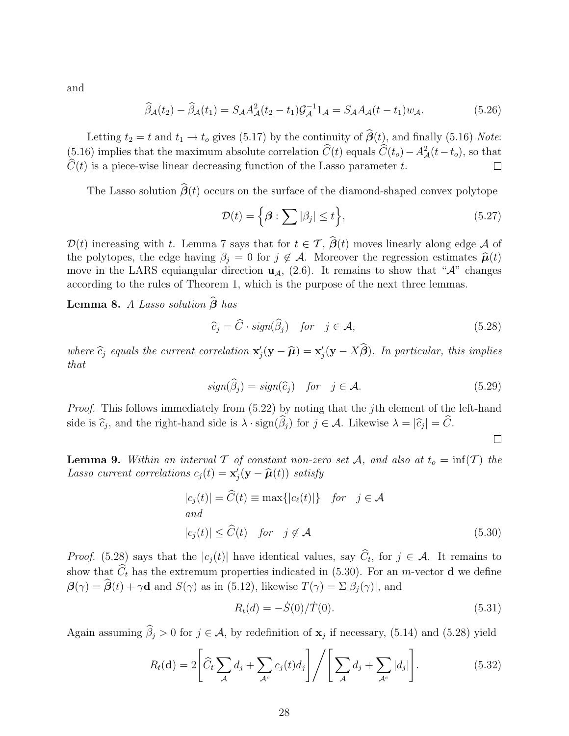and

$$
\widehat{\beta}_{\mathcal{A}}(t_2) - \widehat{\beta}_{\mathcal{A}}(t_1) = S_{\mathcal{A}} A_{\mathcal{A}}^2(t_2 - t_1) \mathcal{G}_{\mathcal{A}}^{-1} 1_{\mathcal{A}} = S_{\mathcal{A}} A_{\mathcal{A}}(t - t_1) w_{\mathcal{A}}.
$$
\n(5.26)

Letting  $t_2 = t$  and  $t_1 \rightarrow t_0$  gives (5.17) by the continuity of  $\beta(t)$ , and finally (5.16) Note: (5.16) implies that the maximum absolute correlation  $\hat{C}(t)$  equals  $\hat{C}(t_o) - A^2_{\mathcal{A}}(t-t_o)$ , so that  $C(t)$  is a piece-wise linear decreasing function of the Lasso parameter t.  $\Box$ 

The Lasso solution  $\beta(t)$  occurs on the surface of the diamond-shaped convex polytope

$$
\mathcal{D}(t) = \left\{ \boldsymbol{\beta} : \sum |\beta_j| \le t \right\},\tag{5.27}
$$

 $\mathcal{D}(t)$  increasing with t. Lemma 7 says that for  $t \in \mathcal{T}$ ,  $\mathcal{B}(t)$  moves linearly along edge A of the polytopes, the edge having  $\beta_j = 0$  for  $j \notin \mathcal{A}$ . Moreover the regression estimates  $\hat{\boldsymbol{\mu}}(t)$ move in the LARS equiangular direction  $\mathbf{u}_{\mathcal{A}}$ , (2.6). It remains to show that " $\mathcal{A}$ " changes according to the rules of Theorem 1, which is the purpose of the next three lemmas.

Lemma 8. A Lasso solution  $β$  has

$$
\widehat{c}_j = \widehat{C} \cdot sign(\widehat{\beta}_j) \quad \text{for} \quad j \in \mathcal{A}, \tag{5.28}
$$

where  $\hat{c}_j$  equals the current correlation  $\mathbf{x}'_j(\mathbf{y} - \hat{\boldsymbol{\mu}}) = \mathbf{x}'_j(\mathbf{y} - X\boldsymbol{\beta})$ . In particular, this implies that

$$
sign(\widehat{\beta}_j) = sign(\widehat{c}_j) \quad for \quad j \in \mathcal{A}.\tag{5.29}
$$

 $\Box$ 

Proof. This follows immediately from  $(5.22)$  by noting that the jth element of the left-hand side is  $\widehat{c}_j$ , and the right-hand side is  $\lambda \cdot \text{sign}(\beta_j)$  for  $j \in \mathcal{A}$ . Likewise  $\lambda = |\widehat{c}_j| = C$ .

**Lemma 9.** Within an interval  $\mathcal T$  of constant non-zero set  $\mathcal A$ , and also at  $t_o = \inf(\mathcal T)$  the Lasso current correlations  $c_j(t) = \mathbf{x}'_j(\mathbf{y} - \widehat{\boldsymbol{\mu}}(t))$  satisfy

$$
|c_j(t)| = \widehat{C}(t) \equiv \max\{|c_\ell(t)|\} \quad \text{for} \quad j \in \mathcal{A}
$$
  
and  

$$
|c_j(t)| \le \widehat{C}(t) \quad \text{for} \quad j \notin \mathcal{A}
$$
 (5.30)

*Proof.* (5.28) says that the  $|c_j(t)|$  have identical values, say  $C_t$ , for  $j \in \mathcal{A}$ . It remains to show that  $C_t$  has the extremum properties indicated in (5.30). For an *m*-vector **d** we define  $\mathcal{B}(\gamma) = \mathcal{B}(t) + \gamma \mathbf{d}$  and  $S(\gamma)$  as in (5.12), likewise  $T(\gamma) = \Sigma |\beta_j(\gamma)|$ , and

$$
R_t(d) = -\dot{S}(0)/\dot{T}(0). \tag{5.31}
$$

Again assuming  $\beta_j > 0$  for  $j \in \mathcal{A}$ , by redefinition of  $\mathbf{x}_j$  if necessary, (5.14) and (5.28) yield

$$
R_t(\mathbf{d}) = 2 \left[ \widehat{C}_t \sum_{\mathcal{A}} d_j + \sum_{\mathcal{A}^c} c_j(t) d_j \right] / \left[ \sum_{\mathcal{A}} d_j + \sum_{\mathcal{A}^c} |d_j| \right]. \tag{5.32}
$$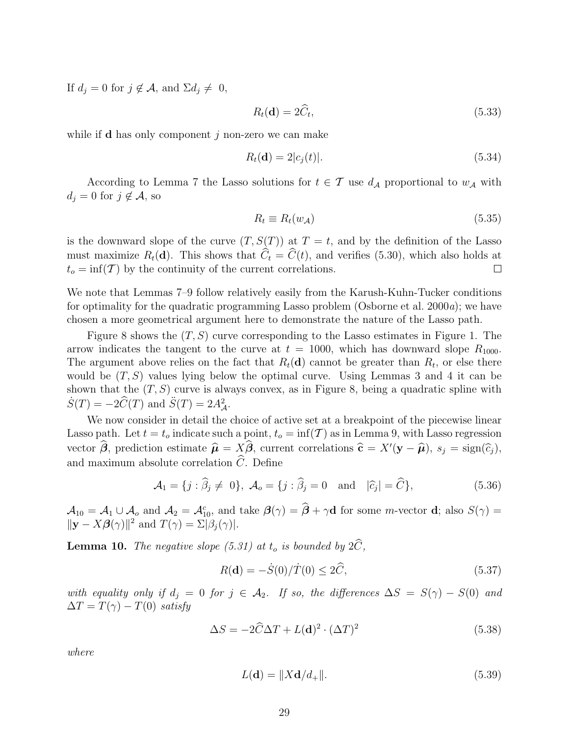If  $d_j = 0$  for  $j \notin \mathcal{A}$ , and  $\Sigma d_j \neq 0$ ,

$$
R_t(\mathbf{d}) = 2\widehat{C}_t,\tag{5.33}
$$

while if **d** has only component  $i$  non-zero we can make

$$
R_t(\mathbf{d}) = 2|c_j(t)|.\tag{5.34}
$$

According to Lemma 7 the Lasso solutions for  $t \in \mathcal{T}$  use  $d_{\mathcal{A}}$  proportional to  $w_{\mathcal{A}}$  with  $d_i = 0$  for  $j \notin \mathcal{A}$ , so

$$
R_t \equiv R_t(w_{\mathcal{A}}) \tag{5.35}
$$

is the downward slope of the curve  $(T, S(T))$  at  $T = t$ , and by the definition of the Lasso must maximize  $R_t(\mathbf{d})$ . This shows that  $C_t = C(t)$ , and verifies (5.30), which also holds at  $t_o = \inf(\mathcal{T})$  by the continuity of the current correlations.  $\Box$ 

We note that Lemmas 7–9 follow relatively easily from the Karush-Kuhn-Tucker conditions for optimality for the quadratic programming Lasso problem (Osborne et al. 2000a); we have chosen a more geometrical argument here to demonstrate the nature of the Lasso path.

Figure 8 shows the  $(T, S)$  curve corresponding to the Lasso estimates in Figure 1. The arrow indicates the tangent to the curve at  $t = 1000$ , which has downward slope  $R_{1000}$ . The argument above relies on the fact that  $R_t(\mathbf{d})$  cannot be greater than  $R_t$ , or else there would be  $(T, S)$  values lying below the optimal curve. Using Lemmas 3 and 4 it can be shown that the  $(T, S)$  curve is always convex, as in Figure 8, being a quadratic spline with  $\dot{S}(T) = -2\widehat{C}(T)$  and  $\ddot{S}(T) = 2A_{\mathcal{A}}^2$ .

We now consider in detail the choice of active set at a breakpoint of the piecewise linear Lasso path. Let  $t = t_o$  indicate such a point,  $t_o = \inf(\mathcal{T})$  as in Lemma 9, with Lasso regression vector  $\beta$ , prediction estimate  $\hat{\mu} = X\beta$ , current correlations  $\hat{\mathbf{c}} = X'(\mathbf{y} - \hat{\mu})$ ,  $s_j = \text{sign}(\hat{c}_j)$ , and maximum absolute correlation  $C$ . Define

$$
\mathcal{A}_1 = \{j : \widehat{\beta}_j \neq 0\}, \ \mathcal{A}_o = \{j : \widehat{\beta}_j = 0 \quad \text{and} \quad |\widehat{c}_j| = \widehat{C}\},\tag{5.36}
$$

 $\mathcal{A}_{10} = \mathcal{A}_1 \cup \mathcal{A}_o$  and  $\mathcal{A}_2 = \mathcal{A}_{10}^c$ , and take  $\mathcal{B}(\gamma) = \hat{\mathcal{B}} + \gamma \mathbf{d}$  for some *m*-vector **d**; also  $S(\gamma) =$  $\|\mathbf{y} - X\boldsymbol{\beta}(\gamma)\|^2$  and  $T(\gamma) = \Sigma|\beta_j(\gamma)|$ .

**Lemma 10.** The negative slope  $(5.31)$  at  $t_o$  is bounded by  $2C$ ,

$$
R(\mathbf{d}) = -\dot{S}(0)/\dot{T}(0) \le 2\hat{C},\tag{5.37}
$$

with equality only if  $d_j = 0$  for  $j \in \mathcal{A}_2$ . If so, the differences  $\Delta S = S(\gamma) - S(0)$  and  $\Delta T = T(\gamma) - T(0)$  satisfy

$$
\Delta S = -2\hat{C}\Delta T + L(\mathbf{d})^2 \cdot (\Delta T)^2 \tag{5.38}
$$

where

$$
L(\mathbf{d}) = \|X\mathbf{d}/d_+\|.\tag{5.39}
$$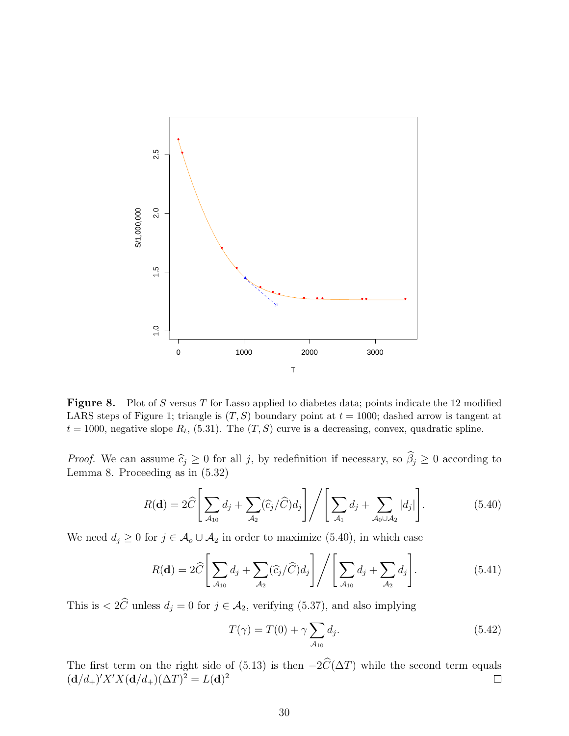

Figure 8. Plot of S versus T for Lasso applied to diabetes data; points indicate the 12 modified LARS steps of Figure 1; triangle is  $(T, S)$  boundary point at  $t = 1000$ ; dashed arrow is tangent at  $t = 1000$ , negative slope  $R_t$ , (5.31). The  $(T, S)$  curve is a decreasing, convex, quadratic spline.

*Proof.* We can assume  $\hat{c}_j \geq 0$  for all j, by redefinition if necessary, so  $\beta_j \geq 0$  according to Lemma 8. Proceeding as in (5.32)

$$
R(\mathbf{d}) = 2\widehat{C} \left[ \sum_{\mathcal{A}_{10}} d_j + \sum_{\mathcal{A}_2} (\widehat{c}_j / \widehat{C}) d_j \right] / \left[ \sum_{\mathcal{A}_1} d_j + \sum_{\mathcal{A}_0 \cup \mathcal{A}_2} |d_j| \right]. \tag{5.40}
$$

We need  $d_j \geq 0$  for  $j \in \mathcal{A}_o \cup \mathcal{A}_2$  in order to maximize (5.40), in which case

$$
R(\mathbf{d}) = 2\widehat{C} \left[ \sum_{\mathcal{A}_{10}} d_j + \sum_{\mathcal{A}_2} (\widehat{c}_j / \widehat{C}) d_j \right] / \left[ \sum_{\mathcal{A}_{10}} d_j + \sum_{\mathcal{A}_2} d_j \right]. \tag{5.41}
$$

This is  $\langle 2C \rangle$  unless  $d_j = 0$  for  $j \in \mathcal{A}_2$ , verifying (5.37), and also implying

$$
T(\gamma) = T(0) + \gamma \sum_{\mathcal{A}_{10}} d_j. \tag{5.42}
$$

The first term on the right side of (5.13) is then  $-2C(\Delta T)$  while the second term equals  $({\bf d}/d_+)'X'X({\bf d}/d_+)(\Delta T)^2 = L({\bf d})^2$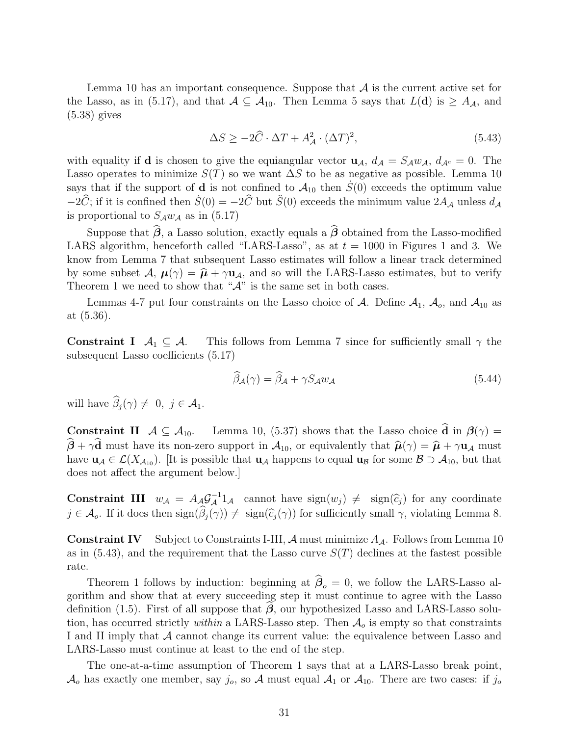Lemma 10 has an important consequence. Suppose that  $A$  is the current active set for the Lasso, as in (5.17), and that  $A \subseteq A_{10}$ . Then Lemma 5 says that  $L(\mathbf{d})$  is  $\geq A_{\mathcal{A}}$ , and (5.38) gives

$$
\Delta S \ge -2\hat{C} \cdot \Delta T + A_{\mathcal{A}}^2 \cdot (\Delta T)^2,\tag{5.43}
$$

with equality if **d** is chosen to give the equiangular vector  $\mathbf{u}_{\mathcal{A}}$ ,  $d_{\mathcal{A}} = S_{\mathcal{A}} w_{\mathcal{A}}$ ,  $d_{\mathcal{A}^c} = 0$ . The Lasso operates to minimize  $S(T)$  so we want  $\Delta S$  to be as negative as possible. Lemma 10 says that if the support of **d** is not confined to  $A_{10}$  then  $S(0)$  exceeds the optimum value  $-2\hat{C}$ ; if it is confined then  $\dot{S}(0) = -2\hat{C}$  but  $\ddot{S}(0)$  exceeds the minimum value  $2A_{\mathcal{A}}$  unless  $d_{\mathcal{A}}$ is proportional to  $S_A w_A$  as in (5.17)

Suppose that  $\beta$ , a Lasso solution, exactly equals a  $\beta$  obtained from the Lasso-modified LARS algorithm, henceforth called "LARS-Lasso", as at  $t = 1000$  in Figures 1 and 3. We know from Lemma 7 that subsequent Lasso estimates will follow a linear track determined by some subset  $\mathcal{A}, \mu(\gamma) = \hat{\mu} + \gamma \mathbf{u}_{\mathcal{A}},$  and so will the LARS-Lasso estimates, but to verify Theorem 1 we need to show that " $A$ " is the same set in both cases.

Lemmas 4-7 put four constraints on the Lasso choice of A. Define  $A_1$ ,  $A_0$ , and  $A_{10}$  as at (5.36).

**Constraint I**  $A_1 \subseteq A$ . This follows from Lemma 7 since for sufficiently small  $\gamma$  the subsequent Lasso coefficients (5.17)

$$
\widehat{\beta}_{\mathcal{A}}(\gamma) = \widehat{\beta}_{\mathcal{A}} + \gamma S_{\mathcal{A}} w_{\mathcal{A}} \tag{5.44}
$$

will have  $\beta_j(\gamma) \neq 0, j \in \mathcal{A}_1$ .

**Constraint II**  $A \subseteq A_{10}$ . Lemma 10, (5.37) shows that the Lasso choice **d** in  $\beta(\gamma) =$  $\beta + \gamma d$  must have its non-zero support in  $\mathcal{A}_{10}$ , or equivalently that  $\hat{\boldsymbol{\mu}}(\gamma) = \hat{\boldsymbol{\mu}} + \gamma \mathbf{u}_{\mathcal{A}}$  must have  $\mathbf{u}_A \in \mathcal{L}(X_{A_{10}})$ . [It is possible that  $\mathbf{u}_A$  happens to equal  $\mathbf{u}_B$  for some  $\mathcal{B} \supset \mathcal{A}_{10}$ , but that does not affect the argument below.]

**Constraint III**  $w_{\mathcal{A}} = A_{\mathcal{A}} \mathcal{G}_{\mathcal{A}}^{-1} 1_{\mathcal{A}}$  cannot have  $sign(w_j) \neq sign(\widehat{c}_j)$  for any coordinate  $j \in \mathcal{A}_o$ . If it does then  $sign(\beta_j(\gamma)) \neq sign(\widehat{c}_j(\gamma))$  for sufficiently small  $\gamma$ , violating Lemma 8.

**Constraint IV** Subject to Constraints I-III,  $A$  must minimize  $A_A$ . Follows from Lemma 10 as in  $(5.43)$ , and the requirement that the Lasso curve  $S(T)$  declines at the fastest possible rate.

Theorem 1 follows by induction: beginning at  $\beta_o = 0$ , we follow the LARS-Lasso algorithm and show that at every succeeding step it must continue to agree with the Lasso definition (1.5). First of all suppose that *β*, our hypothesized Lasso and LARS-Lasso solution, has occurred strictly within a LARS-Lasso step. Then  $A<sub>o</sub>$  is empty so that constraints I and II imply that A cannot change its current value: the equivalence between Lasso and LARS-Lasso must continue at least to the end of the step.

The one-at-a-time assumption of Theorem 1 says that at a LARS-Lasso break point,  $\mathcal{A}_o$  has exactly one member, say  $j_o$ , so  $\mathcal{A}$  must equal  $\mathcal{A}_1$  or  $\mathcal{A}_{10}$ . There are two cases: if  $j_o$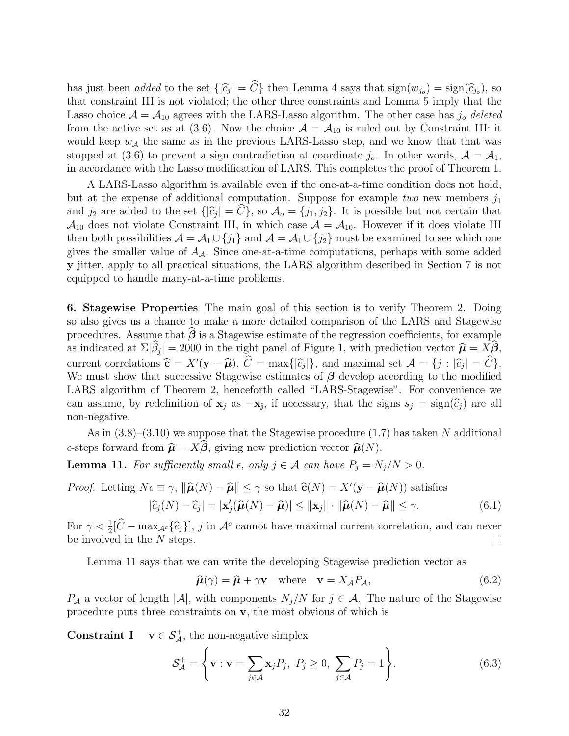has just been *added* to the set  $\{|\hat{c}_j| = C\}$  then Lemma 4 says that  $\text{sign}(w_{j_o}) = \text{sign}(\hat{c}_{j_o})$ , so that constraint III is not violated; the other three constraints and Lemma 5 imply that the Lasso choice  $A = A_{10}$  agrees with the LARS-Lasso algorithm. The other case has  $j_0$  deleted from the active set as at (3.6). Now the choice  $\mathcal{A} = \mathcal{A}_{10}$  is ruled out by Constraint III: it would keep  $w_A$  the same as in the previous LARS-Lasso step, and we know that that was stopped at (3.6) to prevent a sign contradiction at coordinate  $j_o$ . In other words,  $\mathcal{A} = \mathcal{A}_1$ , in accordance with the Lasso modification of LARS. This completes the proof of Theorem 1.

A LARS-Lasso algorithm is available even if the one-at-a-time condition does not hold, but at the expense of additional computation. Suppose for example two new members  $j_1$ and  $j_2$  are added to the set  $\{|\hat{c}_j| = C\}$ , so  $\mathcal{A}_o = \{j_1, j_2\}$ . It is possible but not certain that  $\mathcal{A}_{10}$  does not violate Constraint III, in which case  $\mathcal{A} = \mathcal{A}_{10}$ . However if it does violate III then both possibilities  $\mathcal{A} = \mathcal{A}_1 \cup \{j_1\}$  and  $\mathcal{A} = \mathcal{A}_1 \cup \{j_2\}$  must be examined to see which one gives the smaller value of  $A_{\mathcal{A}}$ . Since one-at-a-time computations, perhaps with some added **y** jitter, apply to all practical situations, the LARS algorithm described in Section 7 is not equipped to handle many-at-a-time problems.

**6. Stagewise Properties** The main goal of this section is to verify Theorem 2. Doing so also gives us a chance to make a more detailed comparison of the LARS and Stagewise procedures. Assume that  $\beta$  is a Stagewise estimate of the regression coefficients, for example as indicated at  $\Sigma|\beta_j| = 2000$  in the right panel of Figure 1, with prediction vector  $\hat{\boldsymbol{\mu}} = X\boldsymbol{\beta}$ , current correlations  $\hat{\mathbf{c}} = X'(\mathbf{y} - \hat{\boldsymbol{\mu}}), C = \max\{|\hat{c}_j|\}$ , and maximal set  $\mathcal{A} = \{j : |\hat{c}_j| = C\}$ . We must show that successive Stagewise estimates of *β* develop according to the modified LARS algorithm of Theorem 2, henceforth called "LARS-Stagewise". For convenience we can assume, by redefinition of  $\mathbf{x}_j$  as  $-\mathbf{x}_j$ , if necessary, that the signs  $s_j = \text{sign}(\widehat{c}_j)$  are all non-negative.

As in  $(3.8)$ – $(3.10)$  we suppose that the Stagewise procedure  $(1.7)$  has taken N additional  $\epsilon$ -steps forward from  $\hat{\boldsymbol{\mu}} = X\boldsymbol{\beta}$ , giving new prediction vector  $\hat{\boldsymbol{\mu}}(N)$ .

**Lemma 11.** For sufficiently small  $\epsilon$ , only  $j \in \mathcal{A}$  can have  $P_j = N_j/N > 0$ .

*Proof.* Letting  $N\epsilon \equiv \gamma$ ,  $\|\hat{\boldsymbol{\mu}}(N) - \hat{\boldsymbol{\mu}}\| \leq \gamma$  so that  $\hat{\mathbf{c}}(N) = X'(\mathbf{y} - \hat{\boldsymbol{\mu}}(N))$  satisfies  $|\widehat{c}_j(N) - \widehat{c}_j| = |\mathbf{x}'_j(\widehat{\boldsymbol{\mu}}(N) - \widehat{\boldsymbol{\mu}})| \le ||\mathbf{x}_j|| \cdot ||\widehat{\boldsymbol{\mu}}(N) - \widehat{\boldsymbol{\mu}}|| \le \gamma.$  (6.1)

For  $\gamma < \frac{1}{2} [\hat{C} - \max_{A^c} {\hat{c}_j}]$ , j in  $A^c$  cannot have maximal current correlation, and can never be involved in the N steps.  $\Box$ 

Lemma 11 says that we can write the developing Stagewise prediction vector as

$$
\hat{\boldsymbol{\mu}}(\gamma) = \hat{\boldsymbol{\mu}} + \gamma \mathbf{v} \quad \text{where} \quad \mathbf{v} = X_{\mathcal{A}} P_{\mathcal{A}}, \tag{6.2}
$$

 $P_{\mathcal{A}}$  a vector of length  $|\mathcal{A}|$ , with components  $N_j/N$  for  $j \in \mathcal{A}$ . The nature of the Stagewise procedure puts three constraints on **v**, the most obvious of which is

**Constraint I**  $\mathbf{v} \in \mathcal{S}_{\mathcal{A}}^{+}$ , the non-negative simplex

$$
\mathcal{S}_{\mathcal{A}}^{+} = \left\{ \mathbf{v} : \mathbf{v} = \sum_{j \in \mathcal{A}} \mathbf{x}_{j} P_{j}, \ P_{j} \ge 0, \ \sum_{j \in \mathcal{A}} P_{j} = 1 \right\}.
$$
 (6.3)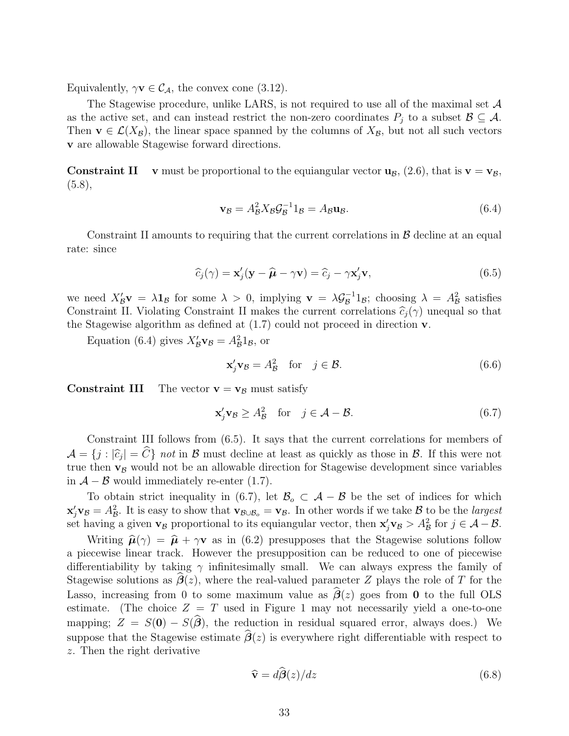Equivalently,  $\gamma \mathbf{v} \in C_A$ , the convex cone (3.12).

The Stagewise procedure, unlike LARS, is not required to use all of the maximal set  $\mathcal A$ as the active set, and can instead restrict the non-zero coordinates  $P_i$  to a subset  $\mathcal{B} \subseteq \mathcal{A}$ . Then **v**  $\in \mathcal{L}(X_{\mathcal{B}})$ , the linear space spanned by the columns of  $X_{\mathcal{B}}$ , but not all such vectors **v** are allowable Stagewise forward directions.

**Constraint II** v must be proportional to the equiangular vector  $\mathbf{u}_{\mathcal{B}}$ , (2.6), that is  $\mathbf{v} = \mathbf{v}_{\mathcal{B}}$ ,  $(5.8),$ 

$$
\mathbf{v}_{\mathcal{B}} = A_{\mathcal{B}}^2 X_{\mathcal{B}} \mathcal{G}_{\mathcal{B}}^{-1} 1_{\mathcal{B}} = A_{\mathcal{B}} \mathbf{u}_{\mathcal{B}}.
$$
(6.4)

Constraint II amounts to requiring that the current correlations in  $\beta$  decline at an equal rate: since

$$
\widehat{c}_j(\gamma) = \mathbf{x}'_j(\mathbf{y} - \widehat{\boldsymbol{\mu}} - \gamma \mathbf{v}) = \widehat{c}_j - \gamma \mathbf{x}'_j \mathbf{v},\tag{6.5}
$$

we need  $X'_{\mathcal{B}}\mathbf{v} = \lambda \mathbf{1}_{\mathcal{B}}$  for some  $\lambda > 0$ , implying  $\mathbf{v} = \lambda \mathcal{G}_{\mathcal{B}}^{-1} \mathbf{1}_{\mathcal{B}}$ ; choosing  $\lambda = A_{\mathcal{B}}^2$  satisfies Constraint II. Violating Constraint II makes the current correlations  $\hat{c}_j(\gamma)$  unequal so that the Stagewise algorithm as defined at (1.7) could not proceed in direction **v**.

Equation (6.4) gives  $X'_{\mathcal{B}} \mathbf{v}_{\mathcal{B}} = A_{\mathcal{B}}^2 \mathbf{1}_{\mathcal{B}}$ , or

$$
\mathbf{x}'_j \mathbf{v}_\mathcal{B} = A_\mathcal{B}^2 \quad \text{for} \quad j \in \mathcal{B}.\tag{6.6}
$$

**Constraint III** The vector  $\mathbf{v} = \mathbf{v}_B$  must satisfy

$$
\mathbf{x}'_j \mathbf{v}_\mathcal{B} \ge A_\mathcal{B}^2 \quad \text{for} \quad j \in \mathcal{A} - \mathcal{B}.\tag{6.7}
$$

Constraint III follows from (6.5). It says that the current correlations for members of  $\mathcal{A} = \{j : |\hat{c}_j| = C\}$  not in B must decline at least as quickly as those in B. If this were not true then  $\mathbf{v}_\mathcal{B}$  would not be an allowable direction for Stagewise development since variables in  $\mathcal{A}$  –  $\mathcal{B}$  would immediately re-enter (1.7).

To obtain strict inequality in (6.7), let  $\mathcal{B}_o \subset \mathcal{A} - \mathcal{B}$  be the set of indices for which  $\mathbf{x}'_j \mathbf{v}_\mathcal{B} = A_\mathcal{B}^2$ . It is easy to show that  $\mathbf{v}_{\mathcal{B}\cup\mathcal{B}_o} = \mathbf{v}_\mathcal{B}$ . In other words if we take  $\mathcal{B}$  to be the *largest* set having a given **v**<sub>B</sub> proportional to its equiangular vector, then  $\mathbf{x}'_j \mathbf{v}_\beta > A^2 \mathbf{v}_\beta$  for  $j \in \mathcal{A} - \mathcal{B}$ .

Writing  $\hat{\boldsymbol{\mu}}(\gamma) = \hat{\boldsymbol{\mu}} + \gamma \mathbf{v}$  as in (6.2) presupposes that the Stagewise solutions follow a piecewise linear track. However the presupposition can be reduced to one of piecewise differentiability by taking  $\gamma$  infinitesimally small. We can always express the family of Stagewise solutions as  $\beta(z)$ , where the real-valued parameter Z plays the role of T for the Lasso, increasing from 0 to some maximum value as  $\beta(z)$  goes from 0 to the full OLS estimate. (The choice  $Z = T$  used in Figure 1 may not necessarily yield a one-to-one mapping;  $Z = S(0) - S(\beta)$ , the reduction in residual squared error, always does.) We suppose that the Stagewise estimate  $\beta(z)$  is everywhere right differentiable with respect to z. Then the right derivative

$$
\widehat{\mathbf{v}} = d\widehat{\boldsymbol{\beta}}(z)/dz \tag{6.8}
$$

 $\sim$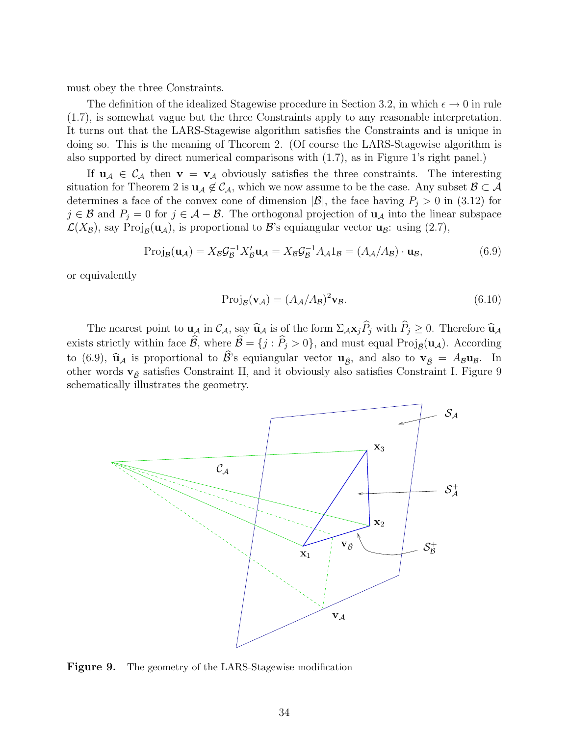must obey the three Constraints.

The definition of the idealized Stagewise procedure in Section 3.2, in which  $\epsilon \to 0$  in rule (1.7), is somewhat vague but the three Constraints apply to any reasonable interpretation. It turns out that the LARS-Stagewise algorithm satisfies the Constraints and is unique in doing so. This is the meaning of Theorem 2. (Of course the LARS-Stagewise algorithm is also supported by direct numerical comparisons with (1.7), as in Figure 1's right panel.)

If  $u_A \in C_A$  then  $v = v_A$  obviously satisfies the three constraints. The interesting situation for Theorem 2 is  $u_A \notin C_A$ , which we now assume to be the case. Any subset  $B \subset A$ determines a face of the convex cone of dimension  $|\mathcal{B}|$ , the face having  $P_i > 0$  in (3.12) for  $j \in \mathcal{B}$  and  $P_j = 0$  for  $j \in \mathcal{A} - \mathcal{B}$ . The orthogonal projection of  $\mathbf{u}_{\mathcal{A}}$  into the linear subspace  $\mathcal{L}(X_{\mathcal{B}})$ , say Proj<sub>B</sub>( $\mathbf{u}_{\mathcal{A}}$ ), is proportional to B's equiangular vector  $\mathbf{u}_{\mathcal{B}}$ : using (2.7),

$$
Proj_{\mathcal{B}}(\mathbf{u}_{\mathcal{A}}) = X_{\mathcal{B}}\mathcal{G}_{\mathcal{B}}^{-1}X_{\mathcal{B}}'\mathbf{u}_{\mathcal{A}} = X_{\mathcal{B}}\mathcal{G}_{\mathcal{B}}^{-1}A_{\mathcal{A}}1_{\mathcal{B}} = (A_{\mathcal{A}}/A_{\mathcal{B}}) \cdot \mathbf{u}_{\mathcal{B}},
$$
(6.9)

or equivalently

$$
Proj_{\mathcal{B}}(\mathbf{v}_{\mathcal{A}}) = (A_{\mathcal{A}}/A_{\mathcal{B}})^2 \mathbf{v}_{\mathcal{B}}.
$$
\n(6.10)

The nearest point to  $\mathbf{u}_\mathcal{A}$  in  $\mathcal{C}_\mathcal{A}$ , say  $\hat{\mathbf{u}}_\mathcal{A}$  is of the form  $\Sigma_\mathcal{A} \mathbf{x}_j P_j$  with  $P_j \geq 0$ . Therefore  $\hat{\mathbf{u}}_\mathcal{A}$ exists strictly within face  $\mathcal{B}$ , where  $\mathcal{B} = \{j : P_j > 0\}$ , and must equal Proj<sub> $\hat{\mathcal{B}}(\mathbf{u}_\mathcal{A})$ . According</sub> to (6.9),  $\hat{\mathbf{u}}_{\mathcal{A}}$  is proportional to  $\mathcal{B}$ 's equiangular vector  $\mathbf{u}_{\hat{\mathcal{B}}}$ , and also to  $\mathbf{v}_{\hat{\mathcal{B}}} = A_{\mathcal{B}} \mathbf{u}_{\mathcal{B}}$ . In other words  $\mathbf{v}_{\hat{\beta}}$  satisfies Constraint II, and it obviously also satisfies Constraint I. Figure 9 schematically illustrates the geometry.



**Figure 9.** The geometry of the LARS-Stagewise modification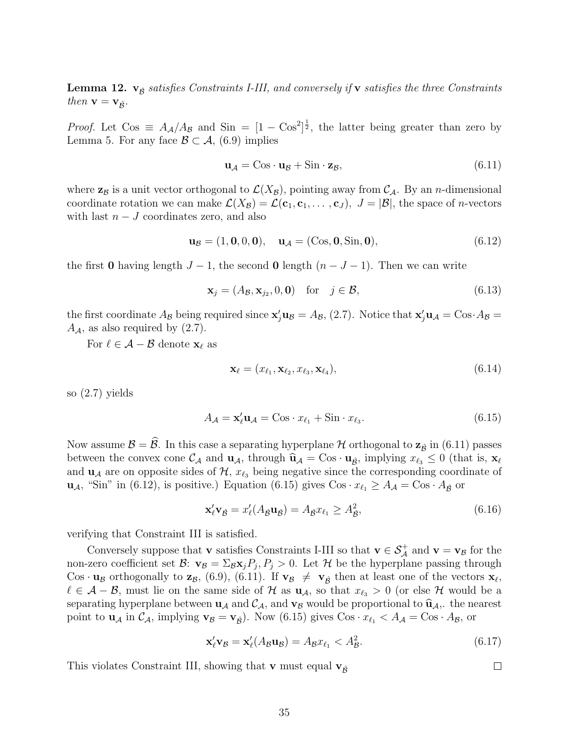**Lemma 12.**  $\mathbf{v}_{\hat{\beta}}$  satisfies Constraints I-III, and conversely if **v** satisfies the three Constraints then  $\mathbf{v} = \mathbf{v}_{\hat{\mathcal{B}}}$ .

*Proof.* Let  $\cos \equiv A_{\mathcal{A}}/A_{\mathcal{B}}$  and  $\sin = [1 - \cos^2]^{\frac{1}{2}}$ , the latter being greater than zero by Lemma 5. For any face  $\mathcal{B} \subset \mathcal{A}$ , (6.9) implies

$$
\mathbf{u}_{\mathcal{A}} = \mathbf{C}\mathbf{os} \cdot \mathbf{u}_{\mathcal{B}} + \mathbf{Sin} \cdot \mathbf{z}_{\mathcal{B}},\tag{6.11}
$$

where  $z_B$  is a unit vector orthogonal to  $\mathcal{L}(X_B)$ , pointing away from  $\mathcal{C}_A$ . By an *n*-dimensional coordinate rotation we can make  $\mathcal{L}(X_{\mathcal{B}}) = \mathcal{L}(\mathbf{c}_1, \mathbf{c}_1, \dots, \mathbf{c}_J), J = |\mathcal{B}|$ , the space of *n*-vectors with last  $n - J$  coordinates zero, and also

$$
\mathbf{u}_{\mathcal{B}} = (1, 0, 0, 0), \quad \mathbf{u}_{\mathcal{A}} = (\text{Cos}, 0, \text{Sin}, 0), \tag{6.12}
$$

the first **0** having length  $J - 1$ , the second **0** length  $(n - J - 1)$ . Then we can write

$$
\mathbf{x}_j = (A_{\mathcal{B}}, \mathbf{x}_{j_2}, 0, \mathbf{0}) \quad \text{for} \quad j \in \mathcal{B}, \tag{6.13}
$$

the first coordinate  $A_B$  being required since  $\mathbf{x}'_j \mathbf{u}_B = A_B$ , (2.7). Notice that  $\mathbf{x}'_j \mathbf{u}_A = \text{Cos } A_B =$  $A_{\mathcal{A}}$ , as also required by  $(2.7)$ .

For  $\ell \in \mathcal{A} - \mathcal{B}$  denote  $\mathbf{x}_{\ell}$  as

$$
\mathbf{x}_{\ell} = (x_{\ell_1}, \mathbf{x}_{\ell_2}, x_{\ell_3}, \mathbf{x}_{\ell_4}),\tag{6.14}
$$

so (2.7) yields

$$
A_{\mathcal{A}} = \mathbf{x}_{\ell}' \mathbf{u}_{\mathcal{A}} = \mathbf{C} \mathbf{o} \mathbf{s} \cdot x_{\ell_1} + \mathbf{S} \mathbf{in} \cdot x_{\ell_3}.
$$
 (6.15)

Now assume  $\mathcal{B} = \mathcal{B}$ . In this case a separating hyperplane  $\mathcal{H}$  orthogonal to  $\mathbf{z}_{\hat{\mathcal{B}}}$  in (6.11) passes between the convex cone  $\mathcal{C}_{\mathcal{A}}$  and  $\mathbf{u}_{\mathcal{A}}$ , through  $\mathbf{\hat{u}}_{\mathcal{A}} = \cos \cdot \mathbf{u}_{\hat{\mathcal{B}}},$  implying  $x_{\ell_3} \leq 0$  (that is,  $\mathbf{x}_{\ell}$ and  $\mathbf{u}_\mathcal{A}$  are on opposite sides of  $\mathcal{H}, x_{\ell_3}$  being negative since the corresponding coordinate of  $\mathbf{u}_{\mathcal{A}}$ , "Sin" in (6.12), is positive.) Equation (6.15) gives  $\cos \cdot x_{\ell_1} \geq A_{\mathcal{A}} = \cos \cdot A_{\hat{\mathcal{B}}}$  or

$$
\mathbf{x}_{\ell}' \mathbf{v}_{\beta} = x_{\ell}' (A_{\beta} \mathbf{u}_{\beta}) = A_{\beta} x_{\ell_1} \ge A_{\beta}^2,\tag{6.16}
$$

verifying that Constraint III is satisfied.

Conversely suppose that **v** satisfies Constraints I-III so that  $\mathbf{v} \in \mathcal{S}_{\mathcal{A}}^{+}$  and  $\mathbf{v} = \mathbf{v}_{\mathcal{B}}$  for the non-zero coefficient set  $\mathcal{B}$ :  $\mathbf{v}_{\mathcal{B}} = \sum_{\mathcal{B}} \mathbf{x}_i P_i$ ,  $P_i > 0$ . Let  $\mathcal{H}$  be the hyperplane passing through Cos · **u**<sub>B</sub> orthogonally to **z**<sub>B</sub>, (6.9), (6.11). If **v**<sub>B</sub>  $\neq$  **v**<sub> $\hat{B}$ <sup></sup> then at least one of the vectors **x**<sub>l</sub>,</sub>  $\ell \in \mathcal{A}-\mathcal{B}$ , must lie on the same side of H as  $\mathbf{u}_{\mathcal{A}}$ , so that  $x_{\ell_3} > 0$  (or else H would be a separating hyperplane between  $\mathbf{u}_{\mathcal{A}}$  and  $\mathcal{C}_{\mathcal{A}}$ , and  $\mathbf{v}_{\mathcal{B}}$  would be proportional to  $\hat{\mathbf{u}}_{\mathcal{A}}$ ,. the nearest point to  $\mathbf{u}_{\mathcal{A}}$  in  $\mathcal{C}_{\mathcal{A}}$ , implying  $\mathbf{v}_{\mathcal{B}} = \mathbf{v}_{\hat{\mathcal{B}}})$ . Now (6.15) gives  $\text{Cos } \cdot x_{\ell_1} < A_{\mathcal{A}} = \text{Cos } \cdot A_{\mathcal{B}}$ , or

$$
\mathbf{x}_{\ell}' \mathbf{v}_{\mathcal{B}} = \mathbf{x}_{\ell}' (A_{\mathcal{B}} \mathbf{u}_{\mathcal{B}}) = A_{\mathcal{B}} x_{\ell_1} < A_{\mathcal{B}}^2. \tag{6.17}
$$

 $\Box$ 

This violates Constraint III, showing that **v** must equal  $\mathbf{v}_{\hat{\beta}}$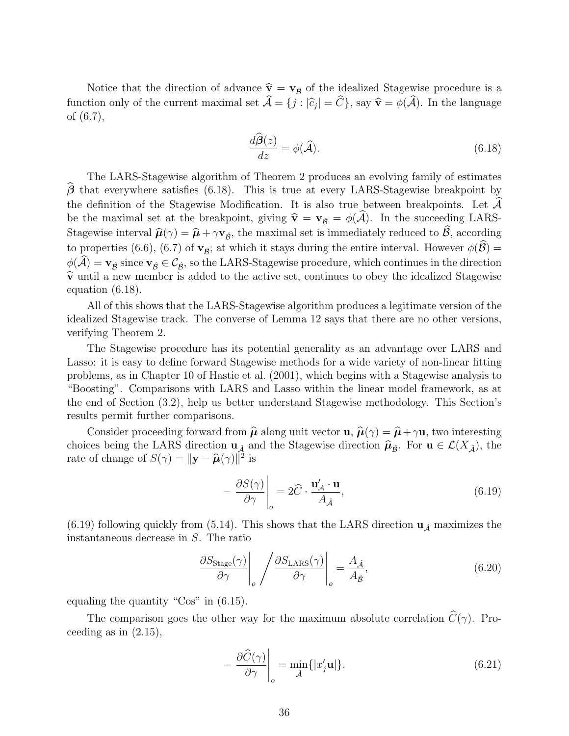Notice that the direction of advance  $\hat{\mathbf{v}} = \mathbf{v}_{\hat{B}}$  of the idealized Stagewise procedure is a function only of the current maximal set  $\mathcal{A} = \{j : |\hat{c}_j| = C\}$ , say  $\hat{\mathbf{v}} = \phi(\mathcal{A})$ . In the language of (6.7),

$$
\frac{d\widehat{\boldsymbol{\beta}}(z)}{dz} = \phi(\widehat{\mathcal{A}}). \tag{6.18}
$$

The LARS-Stagewise algorithm of Theorem 2 produces an evolving family of estimates *β*-that everywhere satisfies (6.18). This is true at every LARS-Stagewise breakpoint by the definition of the Stagewise Modification. It is also true between breakpoints. Let  $\mathcal{A}$ be the maximal set at the breakpoint, giving  $\hat{\mathbf{v}} = \mathbf{v}_{\hat{\mathcal{B}}} = \phi(\mathcal{A})$ . In the succeeding LARS-Stagewise interval  $\hat{\boldsymbol{\mu}}(\gamma) = \hat{\boldsymbol{\mu}} + \gamma \mathbf{v}_{\hat{\mathcal{B}}}$ , the maximal set is immediately reduced to  $\mathcal{B}$ , according to properties (6.6), (6.7) of  $\mathbf{v}_{\hat{\mathcal{B}}}$ ; at which it stays during the entire interval. However  $\phi(\mathcal{B}) =$  $\phi(\mathcal{A}) = \mathbf{v}_{\hat{\mathcal{B}}}$  since  $\mathbf{v}_{\hat{\mathcal{B}}} \in \mathcal{C}_{\hat{\mathcal{B}}}$ , so the LARS-Stagewise procedure, which continues in the direction  $\hat{\mathbf{v}}$  until a new member is added to the active set, continues to obey the idealized Stagewise equation (6.18).

All of this shows that the LARS-Stagewise algorithm produces a legitimate version of the idealized Stagewise track. The converse of Lemma 12says that there are no other versions, verifying Theorem 2.

The Stagewise procedure has its potential generality as an advantage over LARS and Lasso: it is easy to define forward Stagewise methods for a wide variety of non-linear fitting problems, as in Chapter 10 of Hastie et al. (2001), which begins with a Stagewise analysis to "Boosting". Comparisons with LARS and Lasso within the linear model framework, as at the end of Section (3.2), help us better understand Stagewise methodology. This Section's results permit further comparisons.

Consider proceeding forward from  $\hat{\boldsymbol{\mu}}$  along unit vector **u**,  $\hat{\boldsymbol{\mu}}(\gamma) = \hat{\boldsymbol{\mu}} + \gamma \mathbf{u}$ , two interesting choices being the LARS direction  $\mathbf{u}_{\hat{\mathcal{A}}}$  and the Stagewise direction  $\hat{\mathbf{\mu}}_{\hat{\mathcal{B}}}$ . For  $\mathbf{u} \in \mathcal{L}(X_{\hat{\mathcal{A}}})$ , the rate of change of  $S(\gamma) = ||\mathbf{y} - \hat{\boldsymbol{\mu}}(\gamma)||^2$  is

$$
-\left.\frac{\partial S(\gamma)}{\partial \gamma}\right|_o = 2\hat{C} \cdot \frac{\mathbf{u}'_A \cdot \mathbf{u}}{A_{\hat{A}}},\tag{6.19}
$$

(6.19) following quickly from (5.14). This shows that the LARS direction  $\mathbf{u}_{\hat{\mathcal{A}}}$  maximizes the instantaneous decrease in S. The ratio

$$
\frac{\partial S_{\text{Stage}}(\gamma)}{\partial \gamma} \bigg|_o / \frac{\partial S_{\text{LARS}}(\gamma)}{\partial \gamma} \bigg|_o = \frac{A_{\hat{A}}}{A_{\hat{B}}},\tag{6.20}
$$

equaling the quantity "Cos" in (6.15).

The comparison goes the other way for the maximum absolute correlation  $C(\gamma)$ . Proceeding as in  $(2.15)$ ,

$$
-\left.\frac{\partial\widehat{C}(\gamma)}{\partial\gamma}\right|_o = \min_{\hat{\mathcal{A}}} \{|x'_j \mathbf{u}|\}.
$$
\n(6.21)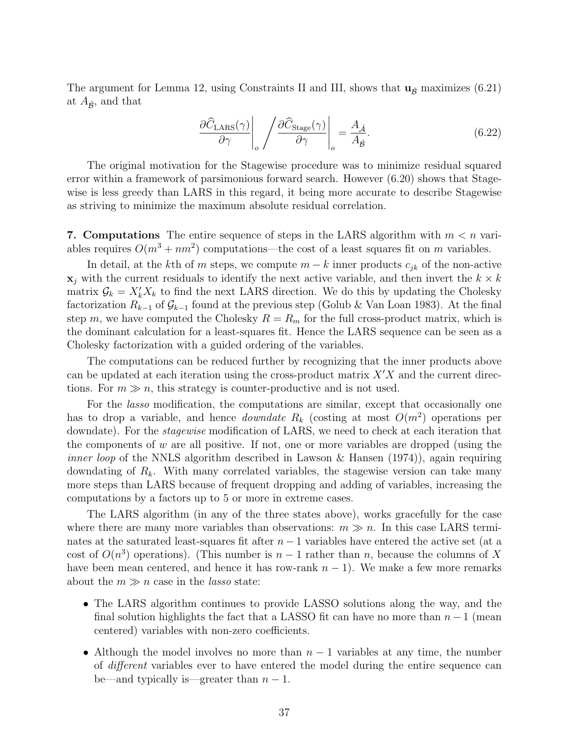The argument for Lemma 12, using Constraints II and III, shows that  $\mathbf{u}_{\hat{\beta}}$  maximizes (6.21) at  $A_{\hat{\mathcal{B}}}$ , and that

$$
\frac{\partial \widehat{C}_{\text{LARS}}(\gamma)}{\partial \gamma} \bigg|_o / \frac{\partial \widehat{C}_{\text{Stage}}(\gamma)}{\partial \gamma} \bigg|_o = \frac{A_{\hat{\mathcal{A}}}}{A_{\hat{\mathcal{B}}}}.\tag{6.22}
$$

The original motivation for the Stagewise procedure was to minimize residual squared error within a framework of parsimonious forward search. However (6.20) shows that Stagewise is less greedy than LARS in this regard, it being more accurate to describe Stagewise as striving to minimize the maximum absolute residual correlation.

**7. Computations** The entire sequence of steps in the LARS algorithm with  $m < n$  variables requires  $O(m^3 + nm^2)$  computations—the cost of a least squares fit on m variables.

In detail, at the kth of m steps, we compute  $m - k$  inner products  $c_{jk}$  of the non-active  $\mathbf{x}_i$  with the current residuals to identify the next active variable, and then invert the  $k \times k$ matrix  $\mathcal{G}_k = X'_k X_k$  to find the next LARS direction. We do this by updating the Cholesky factorization  $R_{k-1}$  of  $\mathcal{G}_{k-1}$  found at the previous step (Golub & Van Loan 1983). At the final step m, we have computed the Cholesky  $R = R_m$  for the full cross-product matrix, which is the dominant calculation for a least-squares fit. Hence the LARS sequence can be seen as a Cholesky factorization with a guided ordering of the variables.

The computations can be reduced further by recognizing that the inner products above can be updated at each iteration using the cross-product matrix  $X'X$  and the current directions. For  $m \gg n$ , this strategy is counter-productive and is not used.

For the lasso modification, the computations are similar, except that occasionally one has to drop a variable, and hence *downdate*  $R_k$  (costing at most  $O(m^2)$  operations per downdate). For the *stagewise* modification of LARS, we need to check at each iteration that the components of  $w$  are all positive. If not, one or more variables are dropped (using the *inner loop* of the NNLS algorithm described in Lawson & Hansen  $(1974)$ , again requiring downdating of  $R_k$ . With many correlated variables, the stagewise version can take many more steps than LARS because of frequent dropping and adding of variables, increasing the computations by a factors up to 5 or more in extreme cases.

The LARS algorithm (in any of the three states above), works gracefully for the case where there are many more variables than observations:  $m \gg n$ . In this case LARS terminates at the saturated least-squares fit after  $n-1$  variables have entered the active set (at a cost of  $O(n^3)$  operations). (This number is  $n-1$  rather than n, because the columns of X have been mean centered, and hence it has row-rank  $n - 1$ ). We make a few more remarks about the  $m \gg n$  case in the *lasso* state:

- The LARS algorithm continues to provide LASSO solutions along the way, and the final solution highlights the fact that a LASSO fit can have no more than  $n-1$  (mean centered) variables with non-zero coefficients.
- Although the model involves no more than  $n-1$  variables at any time, the number of different variables ever to have entered the model during the entire sequence can be—and typically is—greater than  $n-1$ .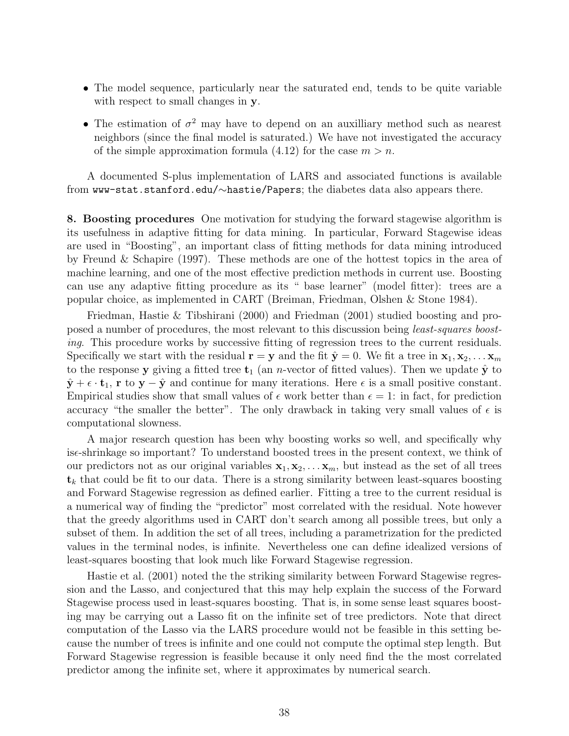- The model sequence, particularly near the saturated end, tends to be quite variable with respect to small changes in **y**.
- The estimation of  $\sigma^2$  may have to depend on an auxilliary method such as nearest neighbors (since the final model is saturated.) We have not investigated the accuracy of the simple approximation formula  $(4.12)$  for the case  $m>n$ .

A documented S-plus implementation of LARS and associated functions is available from www-stat.stanford.edu/∼hastie/Papers; the diabetes data also appears there.

**8. Boosting procedures** One motivation for studying the forward stagewise algorithm is its usefulness in adaptive fitting for data mining. In particular, Forward Stagewise ideas are used in "Boosting", an important class of fitting methods for data mining introduced by Freund & Schapire (1997). These methods are one of the hottest topics in the area of machine learning, and one of the most effective prediction methods in current use. Boosting can use any adaptive fitting procedure as its " base learner" (model fitter): trees are a popular choice, as implemented in CART (Breiman, Friedman, Olshen & Stone 1984).

Friedman, Hastie & Tibshirani (2000) and Friedman (2001) studied boosting and proposed a number of procedures, the most relevant to this discussion being least-squares boosting. This procedure works by successive fitting of regression trees to the current residuals. Specifically we start with the residual  $\mathbf{r} = \mathbf{y}$  and the fit  $\hat{\mathbf{y}} = 0$ . We fit a tree in  $\mathbf{x}_1, \mathbf{x}_2, \dots, \mathbf{x}_m$ to the response **y** giving a fitted tree  $t_1$  (an *n*-vector of fitted values). Then we update  $\hat{y}$  to  $\hat{\mathbf{y}} + \epsilon \cdot \mathbf{t}_1$ , **r** to  $\mathbf{y} - \hat{\mathbf{y}}$  and continue for many iterations. Here  $\epsilon$  is a small positive constant. Empirical studies show that small values of  $\epsilon$  work better than  $\epsilon = 1$ : in fact, for prediction accuracy "the smaller the better". The only drawback in taking very small values of  $\epsilon$  is computational slowness.

A major research question has been why boosting works so well, and specifically why is-shrinkage so important? To understand boosted trees in the present context, we think of our predictors not as our original variables  $\mathbf{x}_1, \mathbf{x}_2, \ldots, \mathbf{x}_m$ , but instead as the set of all trees **t**<sup>k</sup> that could be fit to our data. There is a strong similarity between least-squares boosting and Forward Stagewise regression as defined earlier. Fitting a tree to the current residual is a numerical way of finding the "predictor" most correlated with the residual. Note however that the greedy algorithms used in CART don't search among all possible trees, but only a subset of them. In addition the set of all trees, including a parametrization for the predicted values in the terminal nodes, is infinite. Nevertheless one can define idealized versions of least-squares boosting that look much like Forward Stagewise regression.

Hastie et al. (2001) noted the the striking similarity between Forward Stagewise regression and the Lasso, and conjectured that this may help explain the success of the Forward Stagewise process used in least-squares boosting. That is, in some sense least squares boosting may be carrying out a Lasso fit on the infinite set of tree predictors. Note that direct computation of the Lasso via the LARS procedure would not be feasible in this setting because the number of trees is infinite and one could not compute the optimal step length. But Forward Stagewise regression is feasible because it only need find the the most correlated predictor among the infinite set, where it approximates by numerical search.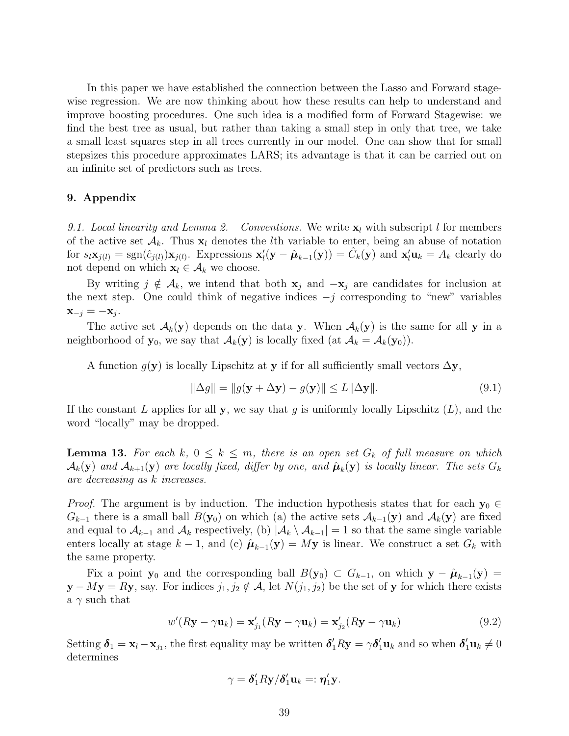In this paper we have established the connection between the Lasso and Forward stagewise regression. We are now thinking about how these results can help to understand and improve boosting procedures. One such idea is a modified form of Forward Stagewise: we find the best tree as usual, but rather than taking a small step in only that tree, we take a small least squares step in all trees currently in our model. One can show that for small stepsizes this procedure approximates LARS; its advantage is that it can be carried out on an infinite set of predictors such as trees.

### **9. Appendix**

9.1. Local linearity and Lemma 2. Conventions. We write  $\mathbf{x}_l$  with subscript l for members of the active set  $\mathcal{A}_k$ . Thus  $\mathbf{x}_l$  denotes the *l*th variable to enter, being an abuse of notation for  $s_l \mathbf{x}_{j(l)} = \text{sgn}(\hat{c}_{j(l)}) \mathbf{x}_{j(l)}$ . Expressions  $\mathbf{x}'_l(\mathbf{y} - \hat{\boldsymbol{\mu}}_{k-1}(\mathbf{y})) = \hat{C}_k(\mathbf{y})$  and  $\mathbf{x}'_l \mathbf{u}_k = A_k$  clearly do not depend on which  $\mathbf{x}_l \in \mathcal{A}_k$  we choose.

By writing  $j \notin A_k$ , we intend that both **x**<sub>j</sub> and  $-\mathbf{x}_j$  are candidates for inclusion at the next step. One could think of negative indices  $-j$  corresponding to "new" variables  $\mathbf{x}_{-j} = -\mathbf{x}_j$ .

The active set  $\mathcal{A}_k(\mathbf{y})$  depends on the data **y**. When  $\mathcal{A}_k(\mathbf{y})$  is the same for all **y** in a neighborhood of **y**<sub>0</sub>, we say that  $\mathcal{A}_k(\mathbf{y})$  is locally fixed (at  $\mathcal{A}_k = \mathcal{A}_k(\mathbf{y}_0)$ ).

A function  $g(y)$  is locally Lipschitz at **y** if for all sufficiently small vectors  $\Delta y$ ,

$$
\|\Delta g\| = \|g(\mathbf{y} + \Delta \mathbf{y}) - g(\mathbf{y})\| \le L \|\Delta \mathbf{y}\|.
$$
\n(9.1)

If the constant L applies for all **y**, we say that g is uniformly locally Lipschitz  $(L)$ , and the word "locally" may be dropped.

**Lemma 13.** For each k,  $0 \leq k \leq m$ , there is an open set  $G_k$  of full measure on which  $\mathcal{A}_k(\mathbf{y})$  and  $\mathcal{A}_{k+1}(\mathbf{y})$  are locally fixed, differ by one, and  $\hat{\boldsymbol{\mu}}_k(\mathbf{y})$  is locally linear. The sets  $G_k$ are decreasing as k increases.

*Proof.* The argument is by induction. The induction hypothesis states that for each  $y_0 \in$  $G_{k-1}$  there is a small ball  $B(\mathbf{y}_0)$  on which (a) the active sets  $\mathcal{A}_{k-1}(\mathbf{y})$  and  $\mathcal{A}_k(\mathbf{y})$  are fixed and equal to  $\mathcal{A}_{k-1}$  and  $\mathcal{A}_k$  respectively, (b)  $|\mathcal{A}_k \setminus \mathcal{A}_{k-1}| = 1$  so that the same single variable enters locally at stage  $k - 1$ , and (c)  $\hat{\boldsymbol{\mu}}_{k-1}(\mathbf{y}) = M\mathbf{y}$  is linear. We construct a set  $G_k$  with the same property.

Fix a point **y**<sub>0</sub> and the corresponding ball  $B(\mathbf{y}_0) \subset G_{k-1}$ , on which  $\mathbf{y} - \hat{\boldsymbol{\mu}}_{k-1}(\mathbf{y}) =$ **y** − M**y** = R**y**, say. For indices  $j_1, j_2 \notin \mathcal{A}$ , let  $N(j_1, j_2)$  be the set of **y** for which there exists a  $\gamma$  such that

$$
w'(R\mathbf{y} - \gamma \mathbf{u}_k) = \mathbf{x}'_{j_1}(R\mathbf{y} - \gamma \mathbf{u}_k) = \mathbf{x}'_{j_2}(R\mathbf{y} - \gamma \mathbf{u}_k)
$$
(9.2)

Setting  $\delta_1 = \mathbf{x}_l - \mathbf{x}_{j_1}$ , the first equality may be written  $\delta'_1 R \mathbf{y} = \gamma \delta'_1 \mathbf{u}_k$  and so when  $\delta'_1 \mathbf{u}_k \neq 0$ determines

$$
\gamma = \delta_1'R\mathbf{y}/\delta_1'\mathbf{u}_k =: \eta_1'\mathbf{y}.
$$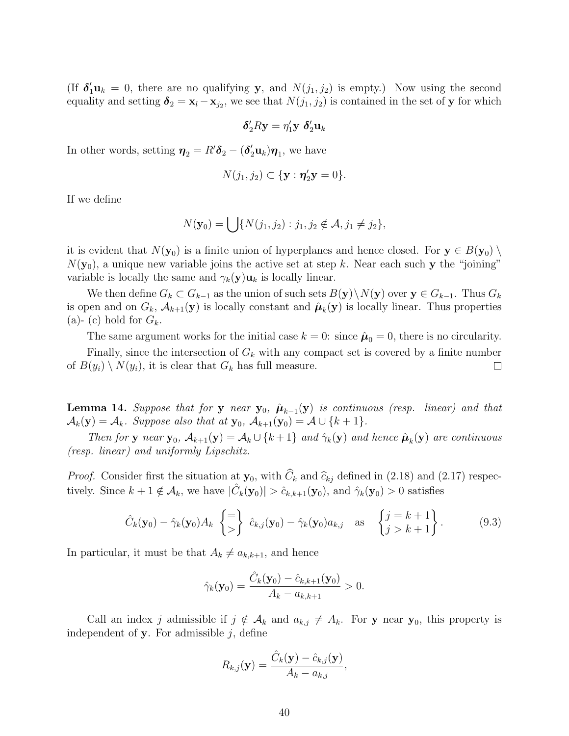(If  $\delta_1' \mathbf{u}_k = 0$ , there are no qualifying **y**, and  $N(j_1, j_2)$  is empty.) Now using the second equality and setting  $\delta_2 = \mathbf{x}_l - \mathbf{x}_{j_2}$ , we see that  $N(j_1, j_2)$  is contained in the set of **y** for which

$$
\delta_2'R\mathbf{y} = \eta_1'\mathbf{y} \; \delta_2'\mathbf{u}_k
$$

In other words, setting  $\boldsymbol{\eta}_2 = R' \boldsymbol{\delta}_2 - (\boldsymbol{\delta}_2' \mathbf{u}_k) \boldsymbol{\eta}_1$ , we have

$$
N(j_1, j_2) \subset \{\mathbf{y} : \pmb{\eta}_2' \mathbf{y} = 0\}.
$$

If we define

$$
N(\mathbf{y}_0) = \bigcup \{ N(j_1, j_2) : j_1, j_2 \notin \mathcal{A}, j_1 \neq j_2 \},\
$$

it is evident that  $N(\mathbf{y}_0)$  is a finite union of hyperplanes and hence closed. For  $\mathbf{y} \in B(\mathbf{y}_0)$  $N(\mathbf{y}_0)$ , a unique new variable joins the active set at step k. Near each such **y** the "joining" variable is locally the same and  $\gamma_k(\mathbf{y})\mathbf{u}_k$  is locally linear.

We then define  $G_k \subset G_{k-1}$  as the union of such sets  $B(\mathbf{y})\setminus N(\mathbf{y})$  over  $\mathbf{y} \in G_{k-1}$ . Thus  $G_k$ is open and on  $G_k$ ,  $\mathcal{A}_{k+1}(\mathbf{y})$  is locally constant and  $\hat{\boldsymbol{\mu}}_k(\mathbf{y})$  is locally linear. Thus properties (a)- (c) hold for  $G_k$ .

The same argument works for the initial case  $k = 0$ : since  $\hat{\mu}_0 = 0$ , there is no circularity. Finally, since the intersection of  $G_k$  with any compact set is covered by a finite number of  $B(y_i) \setminus N(y_i)$ , it is clear that  $G_k$  has full measure.  $\Box$ 

**Lemma 14.** Suppose that for **y** near **y**<sub>0</sub>,  $\hat{\mu}_{k-1}(\mathbf{y})$  is continuous (resp. linear) and that  $\mathcal{A}_k(\mathbf{y}) = \mathcal{A}_k$ . Suppose also that at  $\mathbf{y}_0$ ,  $\mathcal{A}_{k+1}(\mathbf{y}_0) = \mathcal{A} \cup \{k+1\}$ .

Then for **y** near **y**<sub>0</sub>,  $\mathcal{A}_{k+1}(\mathbf{y}) = \mathcal{A}_k \cup \{k+1\}$  and  $\hat{\gamma}_k(\mathbf{y})$  and hence  $\hat{\boldsymbol{\mu}}_k(\mathbf{y})$  are continuous (resp. linear) and uniformly Lipschitz.

*Proof.* Consider first the situation at  $\mathbf{y}_0$ , with  $C_k$  and  $\hat{c}_{kj}$  defined in (2.18) and (2.17) respectively. Since  $k + 1 \notin \mathcal{A}_k$ , we have  $|\hat{C}_k(\mathbf{y}_0)| > \hat{c}_{k,k+1}(\mathbf{y}_0)$ , and  $\hat{\gamma}_k(\mathbf{y}_0) > 0$  satisfies

$$
\hat{C}_k(\mathbf{y}_0) - \hat{\gamma}_k(\mathbf{y}_0) A_k \begin{Bmatrix} = \\ > \end{Bmatrix} \hat{c}_{k,j}(\mathbf{y}_0) - \hat{\gamma}_k(\mathbf{y}_0) a_{k,j} \text{ as } \begin{Bmatrix} j = k+1 \\ j > k+1 \end{Bmatrix}.
$$
 (9.3)

In particular, it must be that  $A_k \neq a_{k,k+1}$ , and hence

$$
\hat{\gamma}_k(\mathbf{y}_0) = \frac{\hat{C}_k(\mathbf{y}_0) - \hat{c}_{k,k+1}(\mathbf{y}_0)}{A_k - a_{k,k+1}} > 0.
$$

Call an index j admissible if  $j \notin A_k$  and  $a_{k,j} \neq A_k$ . For **y** near **y**<sub>0</sub>, this property is independent of  $\mathbf{y}$ . For admissible  $j$ , define

$$
R_{k,j}(\mathbf{y}) = \frac{\hat{C}_k(\mathbf{y}) - \hat{c}_{k,j}(\mathbf{y})}{A_k - a_{k,j}},
$$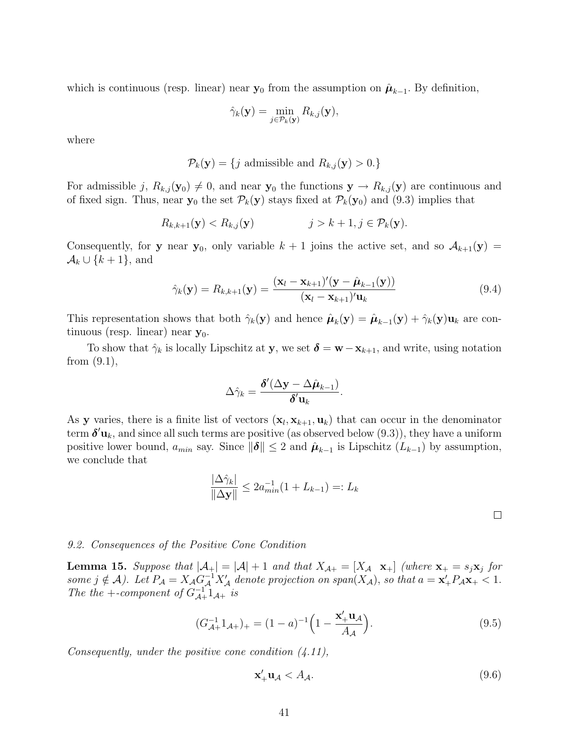which is continuous (resp. linear) near  $y_0$  from the assumption on  $\hat{\mu}_{k-1}$ . By definition,

$$
\hat{\gamma}_k(\mathbf{y}) = \min_{j \in \mathcal{P}_k(\mathbf{y})} R_{k,j}(\mathbf{y}),
$$

where

$$
\mathcal{P}_k(\mathbf{y}) = \{ j \text{ admissible and } R_{k,j}(\mathbf{y}) > 0. \}
$$

For admissible j,  $R_{k,j}(\mathbf{y}_0) \neq 0$ , and near  $\mathbf{y}_0$  the functions  $\mathbf{y} \to R_{k,j}(\mathbf{y})$  are continuous and of fixed sign. Thus, near  $y_0$  the set  $\mathcal{P}_k(y)$  stays fixed at  $\mathcal{P}_k(y_0)$  and (9.3) implies that

$$
R_{k,k+1}(\mathbf{y}) < R_{k,j}(\mathbf{y}) \qquad \qquad j > k+1, j \in \mathcal{P}_k(\mathbf{y}).
$$

Consequently, for **y** near **y**<sub>0</sub>, only variable  $k + 1$  joins the active set, and so  $A_{k+1}(\mathbf{y}) =$  $\mathcal{A}_k \cup \{k+1\}$ , and

$$
\hat{\gamma}_k(\mathbf{y}) = R_{k,k+1}(\mathbf{y}) = \frac{(\mathbf{x}_l - \mathbf{x}_{k+1})'(\mathbf{y} - \hat{\boldsymbol{\mu}}_{k-1}(\mathbf{y}))}{(\mathbf{x}_l - \mathbf{x}_{k+1})'\mathbf{u}_k}
$$
(9.4)

This representation shows that both  $\hat{\gamma}_k(\mathbf{y})$  and hence  $\hat{\boldsymbol{\mu}}_k(\mathbf{y}) = \hat{\boldsymbol{\mu}}_{k-1}(\mathbf{y}) + \hat{\gamma}_k(\mathbf{y})\mathbf{u}_k$  are continuous (resp. linear) near  $y_0$ .

To show that  $\hat{\gamma}_k$  is locally Lipschitz at **y**, we set  $\delta = \mathbf{w} - \mathbf{x}_{k+1}$ , and write, using notation from  $(9.1)$ ,

$$
\Delta \hat{\gamma}_k = \frac{\boldsymbol{\delta}'(\Delta \mathbf{y} - \Delta \hat{\boldsymbol{\mu}}_{k-1})}{\boldsymbol{\delta}' \mathbf{u}_k}.
$$

As **y** varies, there is a finite list of vectors  $(\mathbf{x}_l, \mathbf{x}_{k+1}, \mathbf{u}_k)$  that can occur in the denominator term  $\boldsymbol{\delta}'{\bf u}_k$ , and since all such terms are positive (as observed below  $(9.3)$ ), they have a uniform positive lower bound,  $a_{min}$  say. Since  $\|\boldsymbol{\delta}\| \leq 2$  and  $\hat{\boldsymbol{\mu}}_{k-1}$  is Lipschitz  $(L_{k-1})$  by assumption, we conclude that

$$
\frac{|\Delta\hat{\gamma}_k|}{\|\Delta\mathbf{y}\|} \le 2a_{min}^{-1}(1 + L_{k-1}) =: L_k
$$

## 9.2. Consequences of the Positive Cone Condition

**Lemma 15.** Suppose that  $|\mathcal{A}_+| = |\mathcal{A}| + 1$  and that  $X_{\mathcal{A}_+} = [X_{\mathcal{A}} \mathbf{x}_+]$  (where  $\mathbf{x}_+ = s_j \mathbf{x}_j$  for some  $j \notin \mathcal{A}$ ). Let  $P_{\mathcal{A}} = X_{\mathcal{A}} G_{\mathcal{A}}^{-1} X_{\mathcal{A}}'$  denote projection on span $(X_{\mathcal{A}})$ , so that  $a = \mathbf{x}'_+ P_{\mathcal{A}} \mathbf{x}_+ < 1$ . The the +-component of  $G_{\mathcal{A}+}^{-1}1_{\mathcal{A}+}$  is

$$
(G_{\mathcal{A}+}^{-1}1_{\mathcal{A}+})_{+} = (1-a)^{-1} \left(1 - \frac{\mathbf{x}'_{+} \mathbf{u}_{\mathcal{A}}}{A_{\mathcal{A}}}\right).
$$
\n(9.5)

Consequently, under the positive cone condition (4.11),

$$
\mathbf{x}'_+ \mathbf{u}_\mathcal{A} < A_\mathcal{A}.\tag{9.6}
$$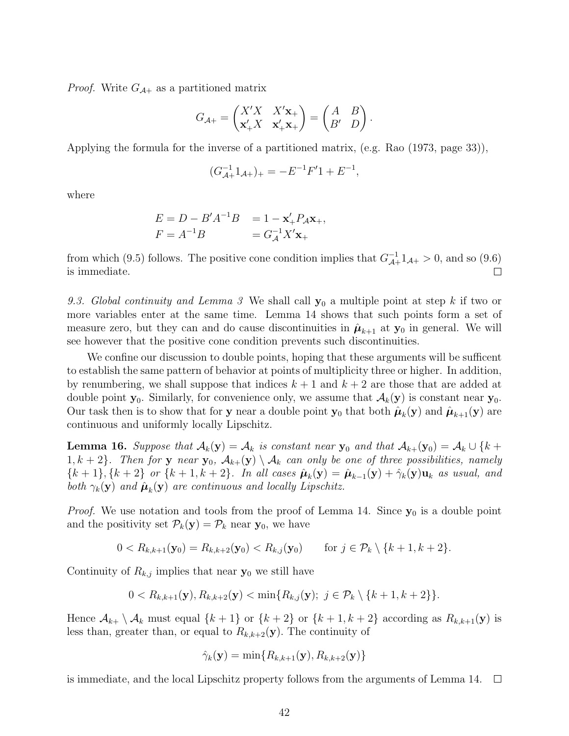*Proof.* Write  $G_{\mathcal{A}+}$  as a partitioned matrix

$$
G_{\mathcal{A}+} = \begin{pmatrix} X'X & X'\mathbf{x}_+ \\ \mathbf{x}'_+X & \mathbf{x}'_+\mathbf{x}_+ \end{pmatrix} = \begin{pmatrix} A & B \\ B' & D \end{pmatrix}.
$$

Applying the formula for the inverse of a partitioned matrix, (e.g. Rao (1973, page 33)),

$$
(G_{\mathcal{A}+}^{-1}1_{\mathcal{A}+})_{+} = -E^{-1}F'1 + E^{-1},
$$

where

$$
E = D - B'A^{-1}B = 1 - \mathbf{x}'_+P_A\mathbf{x}_+, F = A^{-1}B = G_A^{-1}X'\mathbf{x}_+
$$

from which (9.5) follows. The positive cone condition implies that  $G_{\mathcal{A}+}^{-1}1_{\mathcal{A}+} > 0$ , and so (9.6) is immediate.

9.3. Global continuity and Lemma 3 We shall call **y**<sup>0</sup> a multiple point at step k if two or more variables enter at the same time. Lemma 14 shows that such points form a set of measure zero, but they can and do cause discontinuities in  $\hat{\mu}_{k+1}$  at  $\mathbf{y}_0$  in general. We will see however that the positive cone condition prevents such discontinuities.

We confine our discussion to double points, hoping that these arguments will be sufficent to establish the same pattern of behavior at points of multiplicity three or higher. In addition, by renumbering, we shall suppose that indices  $k + 1$  and  $k + 2$  are those that are added at double point  $\mathbf{y}_0$ . Similarly, for convenience only, we assume that  $\mathcal{A}_k(\mathbf{y})$  is constant near  $\mathbf{y}_0$ . Our task then is to show that for **y** near a double point **y**<sub>0</sub> that both  $\hat{\mu}_k(\mathbf{y})$  and  $\hat{\mu}_{k+1}(\mathbf{y})$  are continuous and uniformly locally Lipschitz.

**Lemma 16.** Suppose that  $\mathcal{A}_k(\mathbf{y}) = \mathcal{A}_k$  is constant near  $\mathbf{y}_0$  and that  $\mathcal{A}_{k+}(\mathbf{y}_0) = \mathcal{A}_k \cup \{k+1\}$ 1,  $k + 2$ . Then for **y** near **y**<sub>0</sub>,  $\mathcal{A}_{k+}(y) \setminus \mathcal{A}_k$  can only be one of three possibilities, namely  ${k + 1}, {k + 2}$  or  ${k + 1, k + 2}$ . In all cases  $\hat{\mu}_k(y) = \hat{\mu}_{k-1}(y) + \hat{\gamma}_k(y)u_k$  as usual, and both  $\gamma_k(\mathbf{y})$  and  $\hat{\boldsymbol{\mu}}_k(\mathbf{y})$  are continuous and locally Lipschitz.

*Proof.* We use notation and tools from the proof of Lemma 14. Since  $y_0$  is a double point and the positivity set  $\mathcal{P}_k(\mathbf{y}) = \mathcal{P}_k$  near  $\mathbf{y}_0$ , we have

$$
0 < R_{k,k+1}(\mathbf{y}_0) = R_{k,k+2}(\mathbf{y}_0) < R_{k,j}(\mathbf{y}_0) \quad \text{for } j \in \mathcal{P}_k \setminus \{k+1, k+2\}.
$$

Continuity of  $R_{k,j}$  implies that near  $y_0$  we still have

$$
0 < R_{k,k+1}(\mathbf{y}), R_{k,k+2}(\mathbf{y}) < \min\{R_{k,j}(\mathbf{y});\ j \in \mathcal{P}_k \setminus \{k+1, k+2\}\}.
$$

Hence  $\mathcal{A}_{k+} \setminus \mathcal{A}_k$  must equal  $\{k+1\}$  or  $\{k+2\}$  or  $\{k+1, k+2\}$  according as  $R_{k,k+1}(\mathbf{y})$  is less than, greater than, or equal to  $R_{k,k+2}(\mathbf{y})$ . The continuity of

$$
\hat{\gamma}_k(\mathbf{y}) = \min\{R_{k,k+1}(\mathbf{y}), R_{k,k+2}(\mathbf{y})\}
$$

is immediate, and the local Lipschitz property follows from the arguments of Lemma 14.  $\Box$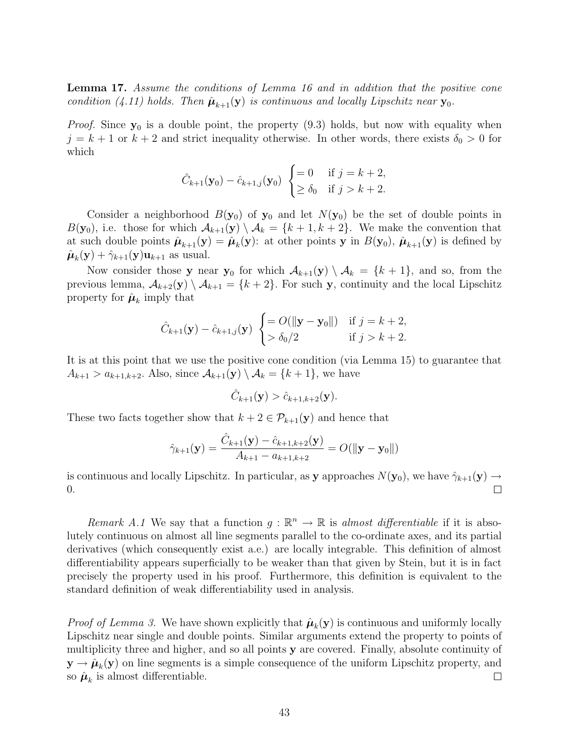**Lemma 17.** Assume the conditions of Lemma 16 and in addition that the positive cone condition (4.11) holds. Then  $\hat{\mu}_{k+1}(\mathbf{y})$  is continuous and locally Lipschitz near  $\mathbf{y}_0$ .

*Proof.* Since  $y_0$  is a double point, the property  $(9.3)$  holds, but now with equality when  $j = k + 1$  or  $k + 2$  and strict inequality otherwise. In other words, there exists  $\delta_0 > 0$  for which

$$
\hat{C}_{k+1}(\mathbf{y}_0) - \hat{c}_{k+1,j}(\mathbf{y}_0) \begin{cases} = 0 & \text{if } j = k+2, \\ \ge \delta_0 & \text{if } j > k+2. \end{cases}
$$

Consider a neighborhood  $B(\mathbf{y}_0)$  of  $\mathbf{y}_0$  and let  $N(\mathbf{y}_0)$  be the set of double points in  $B(\mathbf{y}_0)$ , i.e. those for which  $\mathcal{A}_{k+1}(\mathbf{y}) \setminus \mathcal{A}_k = \{k+1, k+2\}$ . We make the convention that at such double points  $\hat{\mu}_{k+1}(\mathbf{y}) = \hat{\mu}_k(\mathbf{y})$ : at other points **y** in  $B(\mathbf{y}_0)$ ,  $\hat{\mu}_{k+1}(\mathbf{y})$  is defined by  $\hat{\boldsymbol{\mu}}_k(\mathbf{y}) + \hat{\gamma}_{k+1}(\mathbf{y})\mathbf{u}_{k+1}$  as usual.

Now consider those **y** near **y**<sub>0</sub> for which  $\mathcal{A}_{k+1}(\mathbf{y}) \setminus \mathcal{A}_k = \{k+1\}$ , and so, from the previous lemma,  $\mathcal{A}_{k+2}(\mathbf{y}) \setminus \mathcal{A}_{k+1} = \{k+2\}$ . For such **y**, continuity and the local Lipschitz property for  $\hat{\boldsymbol{\mu}}_k$  imply that

$$
\hat{C}_{k+1}(\mathbf{y}) - \hat{c}_{k+1,j}(\mathbf{y}) \begin{cases} = O(\|\mathbf{y} - \mathbf{y}_0\|) & \text{if } j = k+2, \\ > \delta_0/2 & \text{if } j > k+2. \end{cases}
$$

It is at this point that we use the positive cone condition (via Lemma 15) to guarantee that  $A_{k+1} > a_{k+1,k+2}$ . Also, since  $\mathcal{A}_{k+1}(\mathbf{y}) \setminus \mathcal{A}_k = \{k+1\}$ , we have

$$
\hat{C}_{k+1}(\mathbf{y}) > \hat{c}_{k+1,k+2}(\mathbf{y}).
$$

These two facts together show that  $k + 2 \in \mathcal{P}_{k+1}(\mathbf{y})$  and hence that

$$
\hat{\gamma}_{k+1}(\mathbf{y}) = \frac{\hat{C}_{k+1}(\mathbf{y}) - \hat{c}_{k+1,k+2}(\mathbf{y})}{A_{k+1} - a_{k+1,k+2}} = O(||\mathbf{y} - \mathbf{y}_0||)
$$

is continuous and locally Lipschitz. In particular, as **y** approaches  $N(\mathbf{y}_0)$ , we have  $\hat{\gamma}_{k+1}(\mathbf{y}) \to$ 0.  $\Box$ 

Remark A.1 We say that a function  $g : \mathbb{R}^n \to \mathbb{R}$  is almost differentiable if it is absolutely continuous on almost all line segments parallel to the co-ordinate axes, and its partial derivatives (which consequently exist a.e.) are locally integrable. This definition of almost differentiability appears superficially to be weaker than that given by Stein, but it is in fact precisely the property used in his proof. Furthermore, this definition is equivalent to the standard definition of weak differentiability used in analysis.

*Proof of Lemma 3.* We have shown explicitly that  $\hat{\mu}_k(y)$  is continuous and uniformly locally Lipschitz near single and double points. Similar arguments extend the property to points of multiplicity three and higher, and so all points **y** are covered. Finally, absolute continuity of  $\mathbf{y} \to \hat{\boldsymbol{\mu}}_k(\mathbf{y})$  on line segments is a simple consequence of the uniform Lipschitz property, and so  $\hat{\mu}_k$  is almost differentiable.  $\Box$